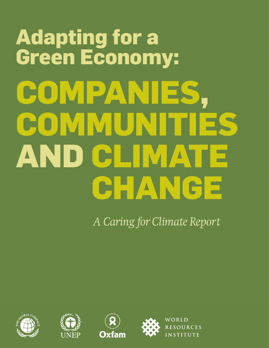# **Adapting for a Green Economy: Companies, COMMUNIS AND CELVAT CHANGE**

*A Caring for Climate Report*









WORLD **RESOURCES INSTITUTE**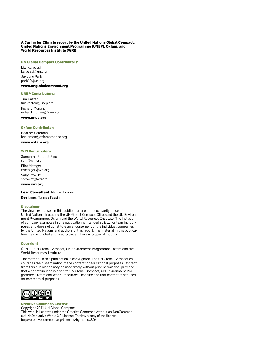#### **A Caring for Climate report by the United Nations Global Compact, United Nations Environment Programme (UNEP), Oxfam, and World Resources Institute (WRI)**

#### **UN Global Compact Contributors:**

Lila Karbassi karbassi@un.org Jayoung Park park10@un.org

#### **www.unglobalcompact.org**

#### **UNEP Contributors:**

Tim Kasten tim.kasten@unep.org Richard Munang richard.munang@unep.org **www.unep.org**

#### **Oxfam Contributor:**

Heather Coleman hcoleman@oxfamamerica.org

#### **www.oxfam.org**

#### **WRI Contributors:**

Samantha Putt del Pino sam@wri.org Eliot Metzger emetzger@wri.org Sally Prowitt sprowitt@wri.org

#### **www.wri.org**

**Lead Consultant:** Nancy Hopkins

**Designer:** Tannaz Fassihi

#### **Disclaimer**

The views expressed in this publication are not necessarily those of the United Nations (including the UN Global Compact Office and the UN Environment Programme), Oxfam and the World Resources Institute. The inclusion of company examples in this publication is intended strictly for learning purposes and does not constitute an endorsement of the individual companies by the United Nations and authors of this report. The material in this publication may be quoted and used provided there is proper attribution.

#### **Copyright**

© 2011, UN Global Compact, UN Environment Programme, Oxfam and the World Resources Institute.

The material in this publication is copyrighted. The UN Global Compact encourages the dissemination of the content for educational purposes. Content from this publication may be used freely without prior permission, provided that clear attribution is given to UN Global Compact, UN Environment Programme, Oxfam and World Resources Institute and that content is not used for commercial purposes.



**Creative Commons License** Copyright 2011 UN Global Compact. This work is licensed under the Creative Commons Attribution-NonCommercial-NoDerivative Works 3.0 License. To view a copy of the license, http://creativecommons.org/licenses/by-nc-nd/3.0/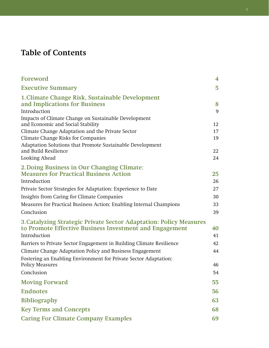## **Table of Contents**

| <b>Foreword</b>                                                      | $\overline{\mathbf{4}}$ |
|----------------------------------------------------------------------|-------------------------|
| <b>Executive Summary</b>                                             | 5                       |
| 1. Climate Change Risk, Sustainable Development                      |                         |
| and Implications for Business                                        | 8                       |
| Introduction                                                         | 9                       |
| Impacts of Climate Change on Sustainable Development                 |                         |
| and Economic and Social Stability                                    | 12                      |
| Climate Change Adaptation and the Private Sector                     | 17                      |
| Climate Change Risks for Companies                                   | 19                      |
| Adaptation Solutions that Promote Sustainable Development            |                         |
| and Build Resilience                                                 | 22                      |
| Looking Ahead                                                        | 24                      |
| 2. Doing Business in Our Changing Climate:                           |                         |
| <b>Measures for Practical Business Action</b>                        | 25                      |
| Introduction                                                         | 26                      |
| Private Sector Strategies for Adaptation: Experience to Date         | 27                      |
| Insights from Caring for Climate Companies                           | 30                      |
| Measures for Practical Business Action: Enabling Internal Champions  | 33                      |
| Conclusion                                                           | 39                      |
| 3. Catalyzing Strategic Private Sector Adaptation: Policy Measures   |                         |
| to Promote Effective Business Investment and Engagement              | 40                      |
| Introduction                                                         | 41                      |
| Barriers to Private Sector Engagement in Building Climate Resilience | 42                      |
| Climate Change Adaptation Policy and Business Engagement             | 44                      |
| Fostering an Enabling Environment for Private Sector Adaptation:     |                         |
| <b>Policy Measures</b>                                               | 46                      |
| Conclusion                                                           | 54                      |
| <b>Moving Forward</b>                                                | 55                      |
| <b>Endnotes</b>                                                      | 56                      |
| <b>Bibliography</b>                                                  | 63                      |
| <b>Key Terms and Concepts</b>                                        | 68                      |
| <b>Caring For Climate Company Examples</b>                           | 69                      |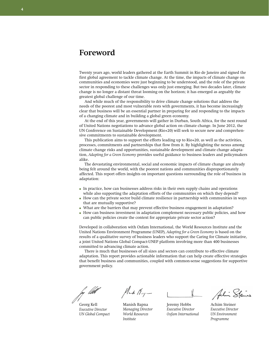## **Foreword**

Twenty years ago, world leaders gathered at the Earth Summit in Rio de Janeiro and signed the first global agreement to tackle climate change. At the time, the impacts of climate change on communities and economies were just beginning to be understood, and the role of the private sector in responding to these challenges was only just emerging. But two decades later, climate change is no longer a distant threat looming on the horizon; it has emerged as arguably the greatest global challenge of our time.

And while much of the responsibility to drive climate change solutions that address the needs of the poorest and most vulnerable rests with governments, it has become increasingly clear that business will be an essential partner in preparing for and responding to the impacts of a changing climate and in building a global green economy.

At the end of this year, governments will gather in Durban, South Africa, for the next round of United Nations negotiations to advance global action on climate change. In June 2012, the UN Conference on Sustainable Development (Rio+20) will seek to secure new and comprehensive commitments to sustainable development.

This publication aims to support the efforts leading up to Rio+20, as well as the activities, processes, commitments and partnerships that flow from it. By highlighting the nexus among climate change risks and opportunities, sustainable development and climate change adaptation, *Adapting for a Green Economy* provides useful guidance to business leaders and policymakers alike.

The devastating environmental, social and economic impacts of climate change are already being felt around the world, with the poorest nations and communities disproportionately affected. This report offers insights on important questions surrounding the role of business in adaptation:

- In practice, how can businesses address risks in their own supply chains and operations while also supporting the adaptation efforts of the communities on which they depend?
- How can the private sector build climate resilience in partnership with communities in ways that are mutually supportive?
- What are the barriers that may prevent effective business engagement in adaptation?
- How can business investment in adaptation complement necessary public policies, and how can public policies create the context for appropriate private sector action?

Developed in collaboration with Oxfam International, the World Resources Institute and the United Nations Environment Programme (UNEP), *Adapting for a Green Economy* is based on the results of a qualitative survey of business leaders who support the Caring for Climate initiative, a joint United Nations Global Compact-UNEP platform involving more than 400 businesses committed to advancing climate action.

There is much that businesses of all sizes and sectors can contribute to effective climate adaptation. This report provides actionable information that can help create effective strategies that benefit business and communities, coupled with common-sense suggestions for supportive government policy.

þy *lít*a

Georg Kell *Executive Director UN Global Compact*

 $M_{\rightarrow}$  /  $M_{\nu}$  -

Manish Bapna *Managing Director World Resources Institute*

Jeremy Hobbs *Executive Director Oxfam International* 

Achim Steiner *Executive Director UN Environment Programme*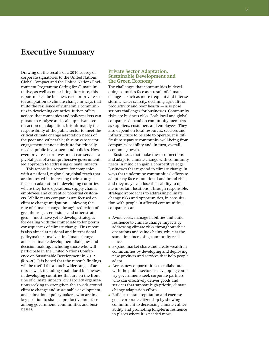## **Executive Summary**

Drawing on the results of a 2010 survey of corporate signatories to the United Nations Global Compact and the United Nations Environment Programme Caring for Climate initiative, as well as on existing literature, this report makes the business case for private sector adaptation to climate change in ways that build the resilience of vulnerable communities in developing countries. It then offers actions that companies and policymakers can pursue to catalyze and scale up private sector action on adaptation. It is ultimately the responsibility of the public sector to meet the critical climate change adaptation needs of the poor and vulnerable; thus private sector engagement cannot substitute for critically needed public investment and policies. However, private sector investment can serve as a pivotal part of a comprehensive governmentled approach to addressing climate impacts.

This report is a resource for companies with a national, regional or global reach that are interested in increasing their strategic focus on adaptation in developing countries where they have operations, supply chains, employees and current or potential customers. While many companies are focused on climate change mitigation — slowing the rate of climate change through reduction of greenhouse gas emissions and other strategies — most have yet to develop strategies for dealing with the immediate to long-term consequences of climate change. This report is also aimed at national and international policymakers involved in climate change and sustainable development dialogues and decision-making, including those who will participate in the United Nations Conference on Sustainable Development in 2012 (Rio+20). It is hoped that the report's findings will be useful for a much wider range of actors as well, including small, local businesses in developing countries that are on the front line of climate impacts; civil society organizations seeking to strengthen their work around climate change and sustainable development; and subnational policymakers, who are in a key position to shape a productive interface among government, communities and businesses.

#### **Private Sector Adaptation, Sustainable Development and the Green Economy**

The challenges that communities in developing countries face as a result of climate change — such as more frequent and intense storms, water scarcity, declining agricultural productivity and poor health — also pose serious challenges for businesses. Community risks are business risks. Both local and global companies depend on community members as suppliers, customers and employees. They also depend on local resources, services and infrastructure to be able to operate. It is difficult to separate community well-being from companies' viability and, in turn, overall economic growth.

Businesses that make these connections and adapt to climate change with community needs in mind can gain a competitive edge. Businesses that respond to climate change in ways that undermine communities' efforts to adapt may face reputational and brand risks, and they may even lose their ability to operate in certain locations. Through responsible, strategic approaches to addressing climate change risks and opportunities, in consultation with people in affected communities, companies can:

- Avoid costs, manage liabilities and build resilience to climate change impacts by addressing climate risks throughout their operations and value chains, while at the same time increasing community resilience.
- Expand market share and create wealth in communities by developing and deploying new products and services that help people adapt.
- Access new opportunities to collaborate with the public sector, as developing country governments seek corporate partners who can effectively deliver goods and services that support high-priority climate change adaptation efforts.
- Build corporate reputation and exercise good corporate citizenship by showing commitment to decreasing climate vulnerability and promoting long-term resilience in places where it is needed most.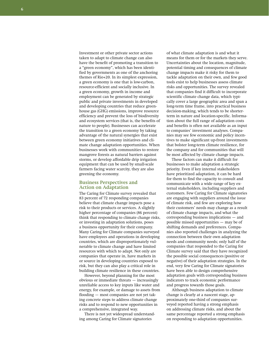Investment or other private sector actions taken to adapt to climate change can also have the benefit of promoting a transition to a "green economy", which has been identified by governments as one of the anchoring themes of Rio+20. In its simplest expression, a green economy is one that is low-carbon, resource-efficient and socially inclusive. In a green economy, growth in income and employment can be generated by strategic public and private investments in developed and developing countries that reduce greenhouse gas (GHG) emissions, improve resource efficiency and prevent the loss of biodiversity and ecosystem services (that is, the benefits of nature to people). Businesses can accelerate the transition to a green economy by taking advantage of the natural synergies that exist between green economy initiatives and climate change adaptation opportunities. When businesses work with communities to restore mangrove forests as natural barriers against storms, or develop affordable drip irrigation equipment that can be used by small-scale farmers facing water scarcity, they are also greening the economy.

#### **Business Perspectives and Action on Adaptation**

The Caring for Climate survey revealed that 83 percent of 72 responding companies believe that climate change impacts pose a risk to their products or services. A slightly higher percentage of companies (86 percent) think that responding to climate change risks, or investing in adaptation solutions, poses a business opportunity for their company. Many Caring for Climate companies surveyed have employees and operations in developing countries, which are disproportionately vulnerable to climate change and have limited resources with which to adapt. Not only are companies that operate in, have markets in or source in developing countries exposed to risk, but they can also play a critical role in building climate resilience in these countries.

However, beyond planning for the most obvious or immediate threats — increasingly unreliable access to key inputs like water and energy, for example, or damage to assets from flooding — most companies are not yet taking concrete steps to address climate change risks and to respond to new opportunities in a comprehensive, integrated way.

There is not yet widespread understanding among Caring for Climate signatories

of what climate adaptation is and what it means for them or for the markets they serve. Uncertainties about the location, magnitude, potential timing and consequences of climate change impacts make it risky for them to tackle adaptation on their own, and few good tools exist to help businesses assess climate risks and opportunities. The survey revealed that companies find it difficult to incorporate scientific climate change data, which typically cover a large geographic area and span a long-term time frame, into practical business decision-making, which tends to be shorterterm in nature and location-specific. Information about the full range of adaptation costs and benefits is often not available as an input to companies' investment analyses. Companies may see few economic and policy incentives to make significant up-front investments that bolster long-term climate resilience, for the company and for communities that will be most affected by climate change impacts.

These factors can make it difficult for businesses to make adaptation a strategic priority. Even if key internal stakeholders have prioritized adaptation, it can be hard for them to find the capacity to consult and communicate with a wide range of key external stakeholders, including suppliers and customers. Few Caring for Climate signatories are engaging with suppliers around the issue of climate risk, and few are exploring how their customers' needs may change as a result of climate change impacts, and what the corresponding business implications — and possible missed opportunities — may be of shifting demands and preferences. Companies also reported challenges in analyzing the connection between their own adaptation needs and community needs; only half of the companies that responded to the Caring for Climate survey said that they have recognized the possible social consequences (positive or negative) of their adaptation strategies. In the end, very few Caring for Climate signatories have been able to design comprehensive adaptation goals with corresponding business indicators to track economic performance and progress towards those goals.

Although business adaptation to climate change is clearly at a nascent stage, approximately one-third of companies surveyed reported having a strong emphasis on addressing climate risks, and about the same percentage reported a strong emphasis on responding to adaptation opportunities.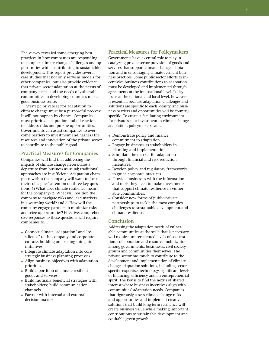The survey revealed some emerging best practices in how companies are responding to complex climate change challenges and opportunities while contributing to sustainable development. This report provides several case studies that not only serve as models for other companies, but also provide evidence that private sector adaptation at the nexus of company needs and the needs of vulnerable communities in developing countries makes good business sense.

Strategic private sector adaptation to climate change must be a purposeful process: It will not happen by chance. Companies must prioritize adaptation and take action to address risks and pursue opportunities. Governments can assist companies to overcome barriers to investment and harness the resources and innovation of the private sector to contribute to the public good.

#### **Practical Measures for Companies**

Companies will find that addressing the impacts of climate change necessitates a departure from business as usual; traditional approaches are insufficient. Adaptation champions within the company will want to focus their colleagues' attention on three key questions: 1) What does climate resilience mean for the company? 2) What will position the company to navigate risks and lead markets in a warming world? and 3) How will the company engage partners to minimize risks and seize opportunities? Effective, comprehensive responses to these questions will require companies to…

- Connect climate "adaptation" and "resilience" to the company and corporate culture, building on existing mitigation initiatives.
- Integrate climate adaptation into core strategic business planning processes.
- Align business objectives with adaptation priorities.
- Build a portfolio of climate-resilient goods and services.
- Build mutually beneficial strategies with stakeholders; build communication channels.
- Partner with internal and external decision-makers.

#### **Practical Measures for Policymakers**

Governments have a central role to play in catalyzing private sector provision of goods and services that support climate change adaptation and in encouraging climate-resilient business practices. Some public sector efforts to incentivize business contributions to adaptation must be developed and implemented through agreements at the international level. Policy focus at the national and local level, however, is essential, because adaptation challenges and solutions are specific to each locality, and business barriers and opportunities will be countryspecific. To create a facilitating environment for private sector investment in climate change adaptation, policymakers can…

- Demonstrate policy and finance commitment to adaptation.
- Engage businesses as stakeholders in planning and implementation.
- Stimulate the market for adaptation through financial and risk-reduction incentives.
- Develop policy and regulatory frameworks to guide corporate practices.
- Provide businesses with the information and tools they need to make investments that support climate resilience in vulnerable communities.
- Consider new forms of public-private partnerships to tackle the most complex challenges to sustainable development and climate resilience.

#### **Conclusion**

Addressing the adaptation needs of vulnerable communities at the scale that is necessary will require unprecedented levels of cooperation, collaboration and resource mobilization among governments, businesses, civil society groups and communities themselves. The private sector has much to contribute to the development and implementation of climate change adaptation solutions, including sectorspecific expertise, technology, significant levels of financing, efficiency and an entrepreneurial spirit. The key is to find the nexus of shared interest where business incentives align with communities' adaptation needs. Companies that rigorously assess climate change risks and opportunities and implement creative solutions that build long-term resilience will create business value while making important contributions to sustainable development and equitable green growth.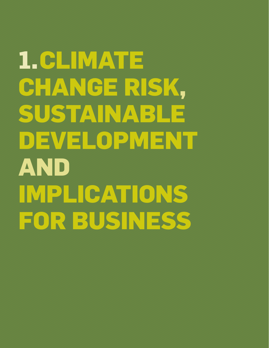**1.Climate Change Risk, Sustainable Development and Implications for Business**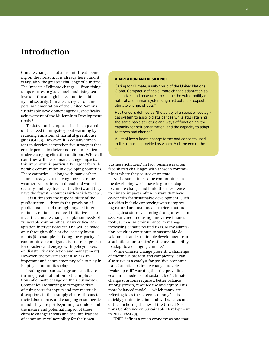## **Introduction**

Climate change is not a distant threat looming on the horizon. It is already here<sup>1</sup>, and it is arguably the greatest challenge of our time. The impacts of climate change — from rising temperatures to glacial melt and rising sea levels — threaten global economic stability and security. Climate change also hampers implementation of the United Nations sustainable development agenda, specifically achievement of the Millennium Development Goals.<sup>2</sup>

To date, much emphasis has been placed on the need to mitigate global warming by reducing emissions of harmful greenhouse gases (GHGs). However, it is equally important to develop comprehensive strategies that enable people to thrive and remain resilient under changing climatic conditions. While all countries will face climate change impacts, this imperative is particularly urgent for vulnerable communities in developing countries. These countries  $-$  along with many others — are already experiencing more extreme weather events, increased food and water insecurity, and negative health effects, and they have the fewest resources with which to cope.

It is ultimately the responsibility of the public sector — through the provision of public finance and through targeted international, national and local initiatives — to meet the climate change adaptation needs of vulnerable communities. Many critical adaptation interventions can and will be made only through public or civil society investments (for example, building the capacity of communities to mitigate disaster risk, prepare for disasters and engage with policymakers on disaster risk reduction and management). However, the private sector also has an important and complementary role to play in helping communities adapt.

Leading companies, large and small, are turning greater attention to the implications of climate change on their businesses. Companies are starting to recognize risks of rising costs for inputs and raw materials, disruptions in their supply chains, threats to their labour force, and changing customer demand. They are just beginning to understand the nature and potential impact of these climate change threats and the implications of community vulnerability for their own

#### **Adaptation and Resilience**

Caring for Climate, a sub-group of the United Nations Global Compact, defines climate change adaptation as "initiatives and measures to reduce the vulnerability of natural and human systems against actual or expected climate change effects."

Resilience is defined as "the ability of a social or ecological system to absorb disturbances while still retaining the same basic structure and ways of functioning, the capacity for self-organization, and the capacity to adapt to stress and change."

A list of key climate change terms and concepts used in this report is provided as Annex A at the end of the report.

business activities.<sup>3</sup> In fact, businesses often face shared challenges with those in communities where they source or operate.

At the same time, some communities in the developing world have begun to adapt to climate change and build their resilience to climate impacts, often in ways that have co-benefits for sustainable development. Such activities include conserving water, improving natural and man-made barriers that protect against storms, planting drought-resistant seed varieties, and using innovative financial tools, such as microinsurance, to manage increasing climate-related risks. Many adaptation activities contribute to sustainable development, and sustainable development can also build communities' resilience and ability to adapt to a changing climate.<sup>4</sup>

While climate change presents a challenge of enormous breadth and complexity, it can also serve as a catalyst for positive economic transformation. Climate change provides a "wake-up call" warning that the prevailing economic model is not sustainable.<sup>5</sup> Climate change solutions require a better balance among growth, resource use and equity. This more balanced model — which many are referring to as the "green economy"  $-$  is quickly gaining traction and will serve as one of the anchoring themes of the United Nations Conference on Sustainable Development in 2012 (Rio+20).<sup>6</sup>

UNEP defines a green economy as one that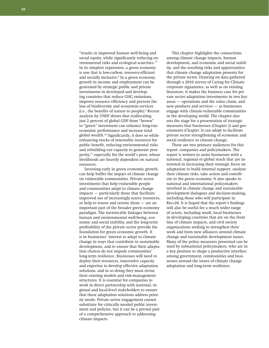"results in improved human well-being and social equity, while significantly reducing environmental risks and ecological scarcities."<sup>7</sup> In its simplest expression, a green economy is one that is low-carbon, resource-efficient and socially inclusive.<sup>8</sup> In a green economy, growth in income and employment can be generated by strategic public and private investments in developed and developing countries that reduce GHG emissions, improve resource efficiency and prevent the loss of biodiversity and ecosystem services (i.e., the benefits of nature to people).<sup>9</sup> Recent analysis by UNEP shows that reallocating just 2 percent of global GDP from "brown" to "green" investment can enhance long-run economic performance and increase total global wealth.<sup>10</sup> Significantly, it does so while enhancing stocks of renewable resources for public benefit, reducing environmental risks and rebuilding our capacity to generate prosperity,<sup>11</sup> especially for the world's poor, whose livelihoods are heavily dependent on natural resources.

Investing early in green economic growth can help buffer the impact of climate change on vulnerable communities. Private sector investments that help vulnerable people and communities adapt to climate change impacts — particularly those that facilitate improved use of increasingly scarce resources, or help to renew and restore them — are an important part of the broader green economy paradigm. The inextricable linkages between human and environmental well-being, economic and social stability, and the long-term profitability of the private sector provide the foundation for green economic growth. It is in businesses' interest to adapt to climate change in ways that contribute to sustainable development, and to ensure that their adaptation choices do not impede communities' long-term resilience. Businesses will need to deploy their resources, innovative capacity and expertise to develop effective adaptation solutions, and in so doing they must revise their existing models and risk-management structures. It is essential for companies to work in direct partnership with national, regional and local-level stakeholders to ensure that these adaptation solutions address priority needs. Private sector engagement cannot substitute for critically needed public investment and policies, but it can be a pivotal part of a comprehensive approach to addressing climate impacts.

This chapter highlights the connections among climate change impacts, human development, and economic and social stability, and the resulting risks and opportunities that climate change adaptation presents for the private sector. Drawing on data gathered through a 2010 survey of Caring for Climate corporate signatories, as well as on existing literature, it makes the business case for private sector adaptation investments in two key areas — operations and the value chain, and new products and services — as businesses engage with climate-vulnerable communities in the developing world. The chapter also sets the stage for a presentation of strategic measures that businesses (Chapter 2) and governments (Chapter 3) can adopt to facilitate private sector strengthening of economic and social resilience to climate change.

There are two primary audiences for this report: companies and policymakers. The report is written to assist businesses with a national, regional or global reach that are interested in increasing their strategic focus on adaptation to build internal support, analyze their climate risks, take action and contribute to the green economy. It also speaks to national and international policymakers involved in climate change and sustainable development dialogues and decision-making, including those who will participate in Rio+20. It is hoped that the report's findings will also be useful for a much wider range of actors, including small, local businesses in developing countries that are on the front line of climate impacts, and civil society organizations seeking to strengthen their work and form new alliances around climate change and sustainable development issues. Many of the policy measures presented can be used by subnational policymakers, who are in a key position to shape a productive interface among government, communities and businesses around the issues of climate change adaptation and long-term resilience.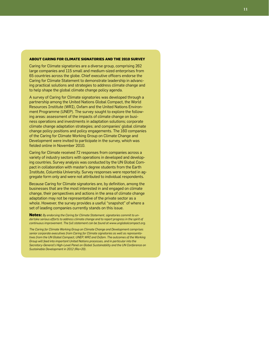#### **ABOUT CARING FOR CLIMATE SIGNATORIES AND THE 2010 SURVEY**

Caring for Climate signatories are a diverse group, comprising 262 large companies and 115 small and medium-sized enterprises from 65 countries across the globe. Chief executive officers endorse the Caring for Climate Statement to demonstrate leadership in advanc ing practical solutions and strategies to address climate change and to help shape the global climate change policy agenda.

A survey of Caring for Climate signatories was developed through a partnership among the United Nations Global Compact, the World Resources Institute (WRI), Oxfam and the United Nations Environ ment Programme (UNEP). The survey sought to explore the follow ing areas: assessment of the impacts of climate change on busi ness operations and investments in adaptation solutions; corporate climate change adaptation strategies; and companies' global climate change policy positions and policy engagements. The 160 companies of the Caring for Climate Working Group on Climate Change and Development were invited to participate in the survey, which was fielded online in November 2010.

Caring for Climate received 72 responses from companies across a variety of industry sectors with operations in developed and develop ing countries. Survey analysis was conducted by the UN Global Com pact in collaboration with master's degree students from the Earth Institute, Columbia University. Survey responses were reported in ag gregate form only and were not attributed to individual respondents.

Because Caring for Climate signatories are, by definition, among the businesses that are the most interested in and engaged on climate change, their perspectives and actions in the area of climate change adaptation may not be representative of the private sector as a whole. However, the survey provides a useful "snapshot" of where a set of leading companies currently stands on this issue.

**Notes:** *By endorsing the Caring for Climate Statement, signatories commit to un dertake serious efforts to address climate change and to report progress in the spirit of continuous improvement. The full statement can be found at www.unglobalcompact.org.*

*The Caring for Climate Working Group on Climate Change and Development comprises senior corporate executives from Caring for Climate signatories as well as representa tives from the UN Global Compact, UNEP, WRI and Oxfam. The outcomes of the Working Group will feed into important United Nations processes, and in particular into the Secretary-General's High-Level Panel on Global Sustainability and the UN Conference on Sustainable Development in 2012 (Rio+20).*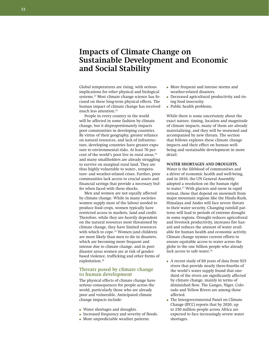## **Impacts of Climate Change on Sustainable Development and Economic and Social Stability**

Global temperatures are rising, with serious implications for other physical and biological systems.12 Most climate change science has focused on these long-term physical effects. The human impact of climate change has received much less attention.<sup>13</sup>

People in every country in the world will be affected in some fashion by climate change, but it disproportionately impacts poor communities in developing countries. By virtue of their geography, greater reliance on natural resources, and lack of infrastructure, developing countries have greater exposure to environmental risks. At least 70 percent of the world's poor live in rural areas,<sup>14</sup> and many smallholders are already struggling to survive on marginal rural land. They are thus highly vulnerable to water-, temperature- and weather-related crises. Further, poor communities lack access to crucial assets and financial savings that provide a necessary buffer when faced with these shocks.

Men and women are not equally affected by climate change. While in many societies women supply most of the labour needed to produce food crops, women typically have restricted access to markets, land and credit. Therefore, while they are heavily dependent on the natural resources most threatened by climate change, they have limited resources with which to cope.<sup>15</sup> Women (and children) are more likely than men to die in disasters, which are becoming more frequent and intense due to climate change, and in postdisaster areas women are at risk of genderbased violence, trafficking and other forms of exploitation.<sup>16</sup>

#### **Threats posed by climate change to human development**

The physical effects of climate change have serious consequences for people across the world, particularly those who are already poor and vulnerable. Anticipated climate change impacts include:

- Water shortages and droughts.
- Increased frequency and severity of floods.
- More unpredictable weather patterns.
- More frequent and intense storms and weather-related disasters.
- Decreased agricultural productivity and rising food insecurity.
- Public health problems.

While there is some uncertainty about the exact nature, timing, location and magnitude of climate impacts, many of them are already materializing, and they will be worsened and accompanied by new threats. The section that follows explores these climate change impacts and their effect on human wellbeing and sustainable development in more detail.

#### **Water shortages and droughts.**

Water is the lifeblood of communities and a driver of economic health and well-being, and in 2010, the UN General Assembly adopted a resolution on the human right to water.17 With glaciers and snow in rapid retreat, those that depend on snowmelt from major mountain regions like the Hindu-Kush, Himalaya and Andes will face severe threats to their water security. Changing rainfall patterns will lead to periods of extreme drought in some regions. Drought reduces agricultural and livestock productivity, increases fire hazard and reduces the amount of water available for human health and economic activity. Climate change stymies current efforts to ensure equitable access to water across the globe to the one billion people who already lack access to safe water.<sup>18</sup>

- A recent study of 60 years of data from 925 rivers that provide nearly three-fourths of the world's water supply found that onethird of the rivers are significantly affected by climate change, mainly in terms of diminished flow. The Ganges, Niger, Colorado and Yellow Rivers are among those affected.
- The Intergovernmental Panel on Climate Change (IPCC) reports that by 2020, up to 250 million people across Africa are expected to face increasingly severe water shortages.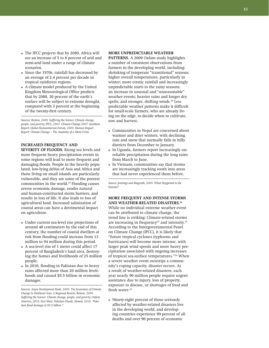- The IPCC projects that by 2080, Africa will see an increase of 5 to 8 percent of arid and semi-arid land under a range of climate scenarios.
- Since the 1970s, rainfall has decreased by an average of 2.4 percent per decade in tropical rainforest regions.
- A climate model produced by the United Kingdom Meteorological Office predicts that by 2080, 30 percent of the earth's surface will be subject to extreme drought, compared with 3 percent at the beginning of the twenty-first century.

*Sources: Renton, 2009. Suffering the Science: Climate change, people, and poverty; IPCC, 2007. Climate Change 2007: Synthesis Report; Global Humanitarian Forum, 2009. Human Impact Report: Climate Change – The Anatomy of a Silent Crisis.*

#### **Increased frequency and**

**SEVERITY OF FLOODS.** Rising sea levels and more frequent heavy precipitation events in some regions will lead to more frequent and damaging floods. People in the heavily populated, low-lying deltas of Asia and Africa and those living on small islands are particularly vulnerable, and they are some of the poorest communities in the world.19 Flooding causes severe economic damage, erodes natural and human-constructed storm barriers, and results in loss of life. It also leads to loss of agricultural land. Increased salinization of coastal areas can have a detrimental impact on agriculture.

- Under current sea-level rise projections of around 40 centimeters by the end of this century, the number of coastal dwellers at risk from flooding could increase from 13 million to 94 million during this period.
- A sea-level rise of 1 meter could affect 17 percent of Bangladesh's land area, destroying the homes and livelihoods of 25 million people.
- In 2010, flooding in Pakistan due to heavy rains affected more than 20 million livelihoods and caused \$9.5 billion in economic damages.

#### **More unpredictable weather**

**PATTERNS.** A 2009 Oxfam study highlights a number of consistent observations from farmers in the developing world, including: shrinking of temperate "transitional" seasons; higher overall temperatures, particularly in winter; more erratic rainfall and increasingly unpredictable starts to the rainy seasons; an increase in unusual and "unseasonable" weather events; heavier rains and longer dry spells; and stronger, shifting winds.<sup>20</sup> Less predictable weather patterns make it difficult for small-scale farmers, who are already living on the edge, to decide when to cultivate, sow and harvest.

- Communities in Nepal are concerned about warmer and drier winters, with declining rain and snow that normally falls in hilly districts from December to January.
- In Uganda, farmers report increasingly unreliable precipitation during the long rains from March to June.
- In Vietnam, communities say that storms are increasingly tracking south into areas that had never experienced them before.

*Source: Jennings and Magrath, 2009. What Happened to the Seasons?*

#### **More frequent and intense storms and weather-related disasters. 21**

While no individual extreme weather event can be attributed to climate change, the trend line is striking: Climate-related storms are increasing in frequency<sup>22</sup> and intensity.<sup>23</sup> According to the Intergovernmental Panel on Climate Change (IPCC), it is likely that "future tropical cyclones (typhoons and hurricanes) will become more intense, with larger peak wind speeds and more heavy precipitation associated with ongoing increases of tropical sea-surface temperatures."24 When a severe weather event outstrips a community's coping capacity, disaster occurs. As a result of weather-related disasters, each year nearly 90 million people require urgent assistance due to injury, loss of property, exposure to disease, or shortages of food and fresh water.<sup>25</sup>

● Ninety-eight percent of those seriously affected by weather-related disasters live in the developing world, and developing countries experience 99 percent of all deaths and over 90 percent of economic

*Sources: Asian Development Bank, 2009. The Economics of Climate Change in Southeast Asia: A Regional Review; Renton, 2009. Suffering the Science: Climate change, people, and poverty; Oxfam America, 2010. Fact Sheet: Pakistan Floods; Ahmed, 2010. "Pakistan flood damage at \$9.5 billion."*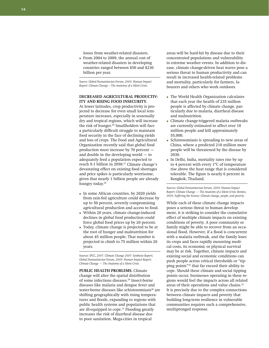losses from weather-related disasters.

● From 2004 to 2009, the annual cost of weather-related disasters in developing countries ranged between \$50 and \$230 billion per year.

*Source: Global Humanitarian Forum, 2009. Human Impact Report: Climate Change – The Anatomy of a Silent Crisis.*

#### **Decreased agricultural productivity and rising food insecurity.**

At lower latitudes, crop productivity is projected to decrease for even small local temperature increases, especially in seasonally dry and tropical regions, which will increase the risk of hunger.<sup>26</sup> Smallholders will face a particularly difficult struggle to maintain food security in the face of declining yields and loss of crops. The Food and Agricultural Organization recently said that global food production must increase by 70 percent and double in the developing world — to adequately feed a population expected to reach 9.1 billion in 2050.<sup>27</sup> Climate change's devastating effect on existing food shortages and price spikes is particularly worrisome, given that nearly 1 billion people are already hungry today.<sup>28</sup>

- In some African countries, by 2020 yields from rain-fed agriculture could decrease by up to 50 percent, severely compromising agricultural production and access to food.
- Within 20 years, climate change-induced declines in global food production could force global food prices up by 20 percent.
- Today, climate change is projected to be at the root of hunger and malnutrition for about 45 million people. That number is projected to climb to 75 million within 20 years.

*Sources: IPCC, 2007. Climate Change 2007: Synthesis Report; Global Humanitarian Forum, 2009. Human Impact Report: Climate Change — The Anatomy of a Silent Crisis.*

**Public health problems.** Climate change will alter the spatial distribution of some infectious diseases.29 Insect-borne diseases like malaria and dengue fever and water-borne diseases like schistosomiasis<sup>30</sup> are shifting geographically with rising temperatures and floods, expanding to regions with public health systems and populations that are ill-equipped to cope.<sup>31</sup> Flooding greatly increases the risk of diarrheal disease due to poor sanitation. Mega-cities in tropical

areas will be hard-hit by disease due to their concentrated populations and vulnerability to extreme weather events. In addition to disease, climate change-driven heat waves pose a serious threat to human productivity and can result in increased health-related problems and mortality, particularly for farmers, labourers and others who work outdoors.

- The World Health Organization calculates that each year the health of 235 million people is affected by climate change, particularly due to malaria, diarrheal disease and malnutrition.
- Climate change-triggered malaria outbreaks are currently estimated to affect over 10 million people and kill approximately 55,000.
- Schistosomiasis is spreading to new areas of China, where a predicted 210 million more people will be threatened by the disease by 2030.
- In Delhi, India, mortality rates rise by up to 4 percent with every 1ºC of temperature rise above the heat range that is considered tolerable. The figure is nearly 6 percent in Bangkok, Thailand.

*Sources: Global Humanitarian Forum, 2009. Human Impact Report: Climate Change — The Anatomy of a Silent Crisis; Renton, 2009. Suffering the Science: Climate change, people, and poverty.*

While each of these climate change impacts poses a serious threat to human development, it is striking to consider the cumulative effect of multiple climate impacts on existing conditions of poverty. A poor community or family might be able to recover from an occasional flood. However, if a flood is concurrent with a malaria outbreak, and the family loses its crops and faces rapidly mounting medical costs, its economic or physical survival may be at risk. Together, climate impacts and existing social and economic conditions can push people across critical thresholds or "tipping points"32 that far exceed their ability to cope. Should these climate and social tipping points occur, businesses operating in these regions would feel the impacts across all related areas of their operations and value chains.<sup>33</sup> It is precisely due to the complex connections between climate impacts and poverty that building long-term resilience in vulnerable communities requires such a comprehensive, multipronged response.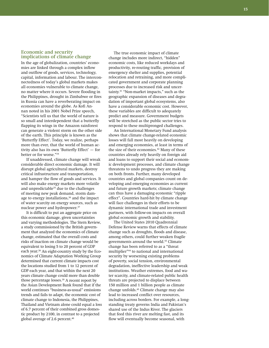#### **15**

#### **Economic and security implications of climate change**

In the age of globalization, countries' economies are linked through a complex inflow and outflow of goods, services, technology, capital, information and labour. The interconnectedness of today's global markets makes all economies vulnerable to climate change, no matter where it occurs. Severe flooding in the Philippines, drought in Zimbabwe or fires in Russia can have a reverberating impact on economies around the globe. As Kofi Annan noted in his 2001 Nobel Prize speech, "Scientists tell us that the world of nature is so small and interdependent that a butterfly flapping its wings in the Amazon rainforest can generate a violent storm on the other side of the earth. This principle is known as the 'Butterfly Effect'. Today, we realize, perhaps more than ever, that the world of human activity also has its own 'Butterfly Effect' — for better or for worse."<sup>34</sup>

If unaddressed, climate change will wreak considerable direct economic damage. It will disrupt global agricultural markets, destroy critical infrastructure and transportation, and hamper the flow of goods and services. It will also make energy markets more volatile and unpredictable<sup>35</sup> due to the challenges of meeting new peak demand, storm damage to energy installations,<sup>36</sup> and the impact of water scarcity on energy sources, such as nuclear power and hydropower.<sup>37</sup>

It is difficult to put an aggregate price on this economic damage, given uncertainties and varying methodologies. The Stern Review, a study commissioned by the British government that analyzed the economics of climate change, estimated that the overall costs and risks of inaction on climate change would be equivalent to losing 5 to 20 percent of GDP each year.38 An eight-country study by the Economics of Climate Adaptation Working Group determined that current climate impacts cost the locations studied from 1 to 12 percent of GDP each year, and that within the next 20 years climate change could more than double those percentage losses.<sup>39</sup> A recent report by the Asian Development Bank found that if the world continues "business-as-usual" emissions trends and fails to adapt, the economic cost of climate change to Indonesia, the Philippines, Thailand and Vietnam alone could equal a loss of 6.7 percent of their combined gross domestic product by 2100, in contrast to a projected global average of 2.6 percent.<sup>40</sup>

The true economic impact of climate change includes more indirect, "hidden" economic costs, like reduced workdays and productivity, re-routing traffic, provision of emergency shelter and supplies, potential relocation and retraining, and more complicated government and corporate planning processes due to increased risk and uncertainty.<sup>41</sup> "Non-market impacts," such as the geographic expansion of diseases and degradation of important global ecosystems, also have a considerable economic cost. However, these variables are difficult to adequately predict and measure. Government budgets will be stretched as the public sector tries to respond to these multipronged challenges.

An International Monetary Fund analysis shows that climate change-related economic losses will fall most heavily on developing and emerging economies, at least in terms of the size of their economies.<sup>42</sup> Many of these countries already rely heavily on foreign aid and loans to support their social and economic development processes, and climate change threatens to undo progress they are making on both fronts. Further, many developed countries and global companies count on developing and emerging economies as current and future growth markets; climate change can thus have a damaging economic "ripple effect". Countries hard-hit by climate change will face challenges in their efforts to be dynamic international trade and investment partners, with follow-on impacts on overall global economic growth and stability.

The United States 2010 Quadrennial Defense Review warns that effects of climate change such as droughts, floods and disease, among others, could further weaken fragile governments around the world.<sup>43</sup> Climate change has been referred to as a "threat multiplier"44 to national and international security by worsening existing problems of poverty, social tension, environmental degradation, ineffective leadership and weak institutions. Weather extremes, food and water scarcity, and climate-related public health threats are projected to displace between 150 million and 1 billion people as climate change unfolds.45 Climate change may also lead to increased conflict over resources, including across borders. For example, a longstanding treaty governs India and Pakistan's shared use of the Indus River. The glaciers that feed this river are melting fast, and its flow will eventually become seasonal, with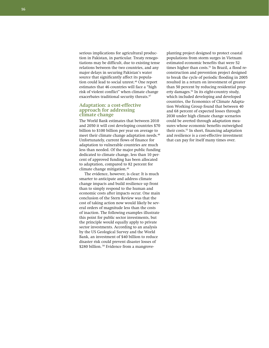serious implications for agricultural production in Pakistan, in particular. Treaty renegotiations may be difficult, due to existing tense relations between the two countries, and any major delays in securing Pakistan's water source that significantly affect its population could lead to social unrest.46 One report estimates that 46 countries will face a "high risk of violent conflict" when climate change exacerbates traditional security threats.<sup>47</sup>

#### **Adaptation: a cost-effective approach for addressing climate change**

The World Bank estimates that between 2010 and 2050 it will cost developing countries \$70 billion to \$100 billion per year on average to meet their climate change adaptation needs.<sup>48</sup> Unfortunately, current flows of finance for adaptation to vulnerable countries are much less than needed. Of the major public funding dedicated to climate change, less than 10 percent of approved funding has been allocated to adaptation, compared to 82 percent for climate change mitigation.<sup>49</sup>

The evidence, however, is clear: It is much smarter to anticipate and address climate change impacts and build resilience up front than to simply respond to the human and economic costs after impacts occur. One main conclusion of the Stern Review was that the cost of taking action now would likely be several orders of magnitude less than the costs of inaction. The following examples illustrate this point for public sector investments, but the principle would equally apply to private sector investments. According to an analysis by the US Geological Survey and the World Bank, an investment of \$40 billion to reduce disaster risk could prevent disaster losses of \$280 billion.<sup>50</sup> Evidence from a mangrove-

planting project designed to protect coastal populations from storm surges in Vietnam estimated economic benefits that were 52 times higher than costs.<sup>51</sup> In Brazil, a flood reconstruction and prevention project designed to break the cycle of periodic flooding in 2005 resulted in a return on investment of greater than 50 percent by reducing residential property damages.<sup>52</sup> In its eight-country study, which included developing and developed countries, the Economics of Climate Adaptation Working Group found that between 40 and 68 percent of expected losses through 2030 under high climate change scenarios could be averted through adaptation measures whose economic benefits outweighed their costs.<sup>53</sup> In short, financing adaptation and resilience is a cost-effective investment that can pay for itself many times over.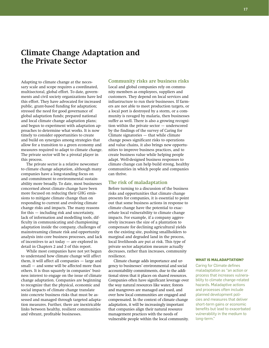## **Climate Change Adaptation and the Private Sector**

Adapting to climate change at the necessary scale and scope requires a coordinated, multisectoral, global effort. To date, governments and civil society organizations have led this effort. They have advocated for increased public, grant-based funding for adaptation; stressed the need for good governance of global adaptation funds; prepared national and local climate change adaptation plans; and begun to experiment with adaptation approaches to determine what works. It is now timely to consider opportunities to create and build on synergies among strategies that allow for a transition to a green economy and measures required to adapt to climate change. The private sector will be a pivotal player in this process.

The private sector is a relative newcomer to climate change adaptation, although many companies have a long-standing focus on and commitment to environmental sustainability more broadly. To date, most businesses concerned about climate change have been more focused on reducing their GHG emissions to mitigate climate change than on responding to current and evolving climate change risks and impacts. The many reasons for this — including risk and uncertainty, lack of information and modelling tools, difficulty in communicating and championing adaptation inside the company, challenges of mainstreaming climate risk and opportunity analysis into core business processes, and lack of incentives to act today — are explored in detail in Chapters 2 and 3 of this report.

While most companies have not yet begun to understand how climate change will affect them, it will affect all companies — large and small — and some will be affected more than others. It is thus squarely in companies' business interest to engage on the issue of climate change adaptation. Companies are beginning to recognize that the physical, economic and social impacts of climate change translate into concrete business risks that must be assessed and managed through targeted adaptation measures. Further, there are inextricable links between healthy, resilient communities and vibrant, profitable businesses.

#### **Community risks are business risks**

Local and global companies rely on community members as employees, suppliers and customers. They depend on local services and infrastructure to run their businesses. If farmers are not able to meet production targets, or a local port is destroyed by a storm, or a community is ravaged by malaria, then businesses suffer as well. There is also a growing recognition within the private sector — underscored by the findings of the survey of Caring for Climate signatories — that while climate change poses significant risks to operations and value chains, it also brings new opportunities to improve business practices, and to create business value while helping people adapt. Well-designed business responses to climate change can help build strong, healthy communities in which people and companies can thrive.

#### **The risk of maladaptation**

Before turning to a discussion of the business risks and opportunities that climate change presents for companies, it is essential to point out that some business actions in response to climate change have the potential to exacerbate local vulnerability to climate change impacts. For example, if a company aggressively increases the size of a plantation to compensate for declining agricultural yields on the existing site, pushing smallholders to marginal and degraded land in the process, local livelihoods are put at risk. This type of private sector adaptation measure actually decreases, rather than increases, community resilience.

Climate change adds importance and urgency to businesses' environmental and social accountability commitments, due to the additional stress that it places on shared resources. Companies often have significant leverage over the way natural resources like water, forests and mangroves are managed and used, and over how local communities are engaged and compensated. In the context of climate change adaptation, it will be increasingly important that companies align their natural resource management practices with the needs of vulnerable people within the local community.

#### **What is Maladaptation?**

Caring for Climate defines maladaptation as "an action or process that increases vulnerability to climate change-related hazards. Maladaptive actions and processes often include planned development policies and measures that deliver short-term gains or economic benefits but lead to exacerbated vulnerability in the medium to long-term."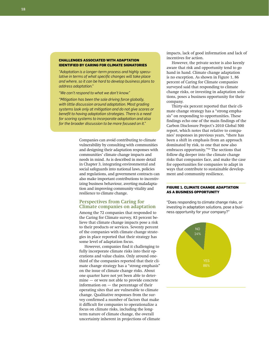#### **Challenges Associated with Adaptation Identified by Caring for Climate Signatories**

*"Adaptation is a longer-term process and highly speculative in terms of what specific changes will take place and where, so it can be hard to develop business plans to address adaptation."*

*"We can't respond to what we don't know."*

*"Mitigation has been the sole driving force globally, with little discussion around adaptation. Most grading systems look only at mitigation and do not give scores or benefit to having adaptation strategies. There is a need for scoring systems to incorporate adaptation and also for the broader discussion to be more focused on it."*

> Companies can avoid contributing to climate vulnerability by consulting with communities and designing their adaptation responses with communities' climate change impacts and needs in mind. As is described in more detail in Chapter 3, integrating environmental and social safeguards into national laws, policies and regulations, and government contracts can also make important contributions to incentivizing business behaviour, averting maladaptation and improving community vitality and resilience to climate change.

#### **Perspectives from Caring for Climate companies on adaptation**

Among the 72 companies that responded to the Caring for Climate survey, 83 percent believe that climate change impacts pose a risk to their products or services. Seventy percent of the companies with climate change strategies in place reported that their strategy has some level of adaptation focus.

However, companies find it challenging to fully incorporate climate risks into their operations and value chains. Only around onethird of the companies reported that their climate change strategy has a "strong emphasis" on the issue of climate change risks. About one quarter have not yet been able to determine — or were not able to provide concrete information on — the percentage of their operating sites that are vulnerable to climate change. Qualitative responses from the survey confirmed a number of factors that make it difficult for companies to operationalize a focus on climate risks, including the longterm nature of climate change, the overall uncertainty inherent in projections of climate

impacts, lack of good information and lack of incentives for action.

However, the private sector is also keenly aware that risk and opportunity tend to go hand in hand. Climate change adaptation is no exception. As shown in Figure 1, 86 percent of Caring for Climate companies surveyed said that responding to climate change risks, or investing in adaptation solutions, poses a business opportunity for their company.

Thirty-six percent reported that their climate change strategy has a "strong emphasis" on responding to opportunities. These findings echo one of the main findings of the Carbon Disclosure Project's 2010 Global 500 report, which notes that relative to companies' responses in previous years, "there has been a shift in emphasis from an approach dominated by risk, to one that now also embraces opportunity."54 The sections that follow dig deeper into the climate change risks that companies face, and make the case for opportunities for companies to adapt in ways that contribute to sustainable development and community resilience.

#### **Figure 1. Climate Change Adaptation as a Business Opportunity**

"Does responding to climate change risks, or investing in adaptation solutions, pose a business opportunity for your company?"

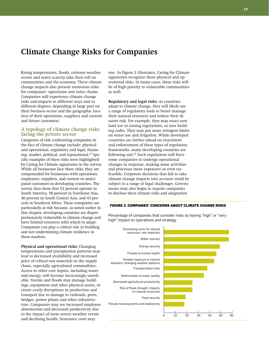## **Climate Change Risks for Companies**

Rising temperatures, floods, extreme weather events and water scarcity take their toll on communities and the economy. These climate change impacts also present numerous risks for companies' operations and value chains. Companies will experience climate change risks and impacts in different ways and to different degrees, depending in large part on their business sector and the geographic location of their operations, suppliers and current and future customers.

#### **A typology of climate change risks facing the private sector**

Categories of risk confronting companies in the face of climate change include: physical and operational, regulatory and legal, financing, market, political, and reputational.<sup>55</sup> Specific examples of these risks were highlighted by Caring for Climate signatories in the survey. While all businesses face these risks, they are compounded for businesses with operations, employees, suppliers, and current or anticipated customers in developing countries. The survey data show that 53 percent operate in South America, 50 percent in Southeast Asia, 40 percent in South Central Asia, and 43 percent in Southern Africa. These companies are particularly at risk because, as noted earlier in this chapter, developing countries are disproportionately vulnerable to climate change and have limited resources with which to adapt. Companies can play a critical role in building and not undermining climate resilience in these markets.

**Physical and operational risks:** Changing temperatures and precipitation patterns may lead to decreased availability and increased price of critical raw materials in the supply chain, especially agricultural commodities. Access to other core inputs, including water and energy, will become increasingly unreliable. Storms and floods may damage buildings, equipment and other physical assets, or create costly disruptions in production and transport due to damage to railroads, ports, bridges, power plants and other infrastructure. Companies may see increased employee absenteeism and decreased productivity due to the impact of more severe weather events and declining health. Insurance costs may

rise. As Figure 2 illustrates, Caring for Climate signatories recognize these physical and operational risks. In many cases, these risks will be of high priority to vulnerable communities as well.

**Regulatory and legal risks:** As countries adapt to climate change, they will likely use a range of regulatory tools to better manage their natural resources and reduce their disaster risk. For example, they may enact new land use or zoning regulations, or new building codes. They may put more stringent limits on water use and irrigation. While developed countries are farther ahead on enactment and enforcement of these types of regulatory frameworks, many developing countries are following suit.56 Such regulations will force some companies to undergo operational changes in response, making some activities and processes more expensive or even unfeasible. Corporate decisions that fail to take climate change impacts into account could be subject to a range of legal challenges. Governments may also begin to require companies to disclose their climate risks and adaptation

#### **Figure 2. Companies' Concerns About Climate Change Risks**

Percentage of companies that consider risks as having "high" or "very high" impact on operations and strategy

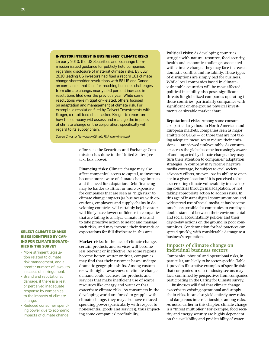#### **Investor Interest in Businesses' Climate Risks**

In early 2010, the US Securities and Exchange Commission issued guidance for publicly held companies regarding disclosure of material climate risks. By July 2010 leading US investors had filed a record 101 climate change shareholder resolutions with 88 US and Canadian companies that face far-reaching business challenges from climate change, nearly a 50 percent increase in resolutions filed over the previous year. While some resolutions were mitigation-related, others focused on adaptation and management of climate risk. For example, a resolution filed by Calvert Investments with Kroger, a retail food chain, asked Kroger to report on how the company will assess and manage the impacts of climate change on the corporation, specifically with regard to its supply chain.

*Source: Investor Network on Climate Risk (www.incr.com)*

efforts, as the Securities and Exchange Commission has done in the United States (see text box above).

**Financing risks:** Climate change may also affect companies' access to capital, as investors become more aware of climate change impacts and the need for adaptation. Debt financing may be harder to attract or more expensive for companies that are seen as "high risk" to climate change impacts (as businesses with operations, employees and supply chains in developing countries will certainly be). Investors will likely have lower confidence in companies that are failing to analyze climate risks and to take proactive action to adapt and manage such risks, and may increase their demands or expectations for full disclosure in this area.

**Market risks:** In the face of climate change, certain products and services will become less relevant or ineffective. As some regions become hotter, wetter or drier, companies may find that their customer bases undergo dramatic geographic shifts. Among customers with higher awareness of climate change, demand could decrease for products and services that make inefficient use of scarce resources like energy and water or that exacerbate climate risks. As consumers in the developing world are forced to grapple with climate change, they may also have reduced spending power (particularly with respect to nonessential goods and services), thus impacting some companies' profitability.

**Political risks:** As developing countries struggle with natural resource, food security, health and economic challenges associated with climate change, they may face increased domestic conflict and instability. These types of disruptions are simply bad for business. While local companies based in climatevulnerable countries will be most affected, political instability also poses significant threats for globalized companies operating in those countries, particularly companies with significant on-the-ground physical investments or sizeable market share.

**Reputational risks:** Among some consumers, particularly those in North American and European markets, companies seen as major emitters of GHGs — or those that are not taking adequate measures to reduce their emissions — are viewed unfavourably. As consumers across the globe become increasingly aware of and impacted by climate change, they may turn their attention to companies' adaptation strategies. A company may receive negative media coverage, be subject to civil society advocacy efforts, or even lose its ability to operate in a given location if it is perceived to be exacerbating climate vulnerability in developing countries through maladaptation, or not taking appropriate action to address risks. In this age of instant digital communications and widespread use of social media, it has become much less possible for companies to employ a double standard between their environmental and social accountability policies and their day-to-day actions on the ground in poor communities. Condemnation for bad practices can spread quickly, with considerable damage to a business's reputation.

#### **Impacts of climate change on individual business sectors**

Companies' physical and operational risks, in particular, are likely to be sector-specific. Table 1 provides illustrative examples of specific risks that companies in select industry sectors may face, confirmed by perspectives from companies participating in the Caring for Climate survey.

Businesses will find that climate change exacerbates existing operational and supply chain risks. It can also yield entirely new risks, and dangerous interrelationships among risks. As noted earlier in this chapter, climate change is a "threat multiplier." For example, food security and energy security are highly dependent on the availability and predictability of water

#### **Select Climate Change Risks Identified by Caring for Climate Signatories in the Survey**

- • More stringent legislation related to climate risk management, and a greater number of lawsuits in cases of infringement.
- • Brand and reputational damage, if there is a real or perceived inadequate response by companies to the impacts of climate change.
- • Reduced consumer spending power due to economic impacts of climate change.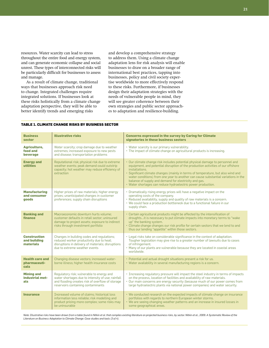resources. Water scarcity can lead to stress throughout the entire food and energy system, and can generate economic collapse and social unrest. These types of interconnected risks will be particularly difficult for businesses to assess and manage.

As a result of climate change, traditional ways that businesses approach risk need to change. Integrated challenges require integrated solutions. If businesses look at these risks holistically from a climate change adaptation perspective, they will be able to better identify trends and emerging risks

and develop a comprehensive strategy to address them. Using a climate change adaptation lens for risk analysis will enable businesses to draw on a broader range of international best practices, tapping into businesses, policy and civil society expertise worldwide to more effectively respond to these risks. Furthermore, if businesses design their adaptation strategies with the needs of vulnerable people in mind, they will see greater coherence between their own strategies and public sector approaches to adaptation and resilience-building.

#### **Table 1. Climate Change Risks by Business Sector**

| <b>Business</b><br>sector                        | <b>Illustrative risks</b>                                                                                                                                                                | <b>Concerns expressed in the survey by Caring for Climate</b><br>signatories in these business sectors                                                                                                                                                                                                                                                                                                                                                                                 |
|--------------------------------------------------|------------------------------------------------------------------------------------------------------------------------------------------------------------------------------------------|----------------------------------------------------------------------------------------------------------------------------------------------------------------------------------------------------------------------------------------------------------------------------------------------------------------------------------------------------------------------------------------------------------------------------------------------------------------------------------------|
| Agriculture,<br>food and<br>beverage             | Water scarcity; crop damage due to weather<br>extremes; increased exposure to new pests<br>and disease; transportation problems                                                          | • Water scarcity is our primary vulnerability.<br>• The impact of climate change on agricultural products is increasing.                                                                                                                                                                                                                                                                                                                                                               |
| <b>Energy and</b><br>utilities                   | Reputational risk; physical risk due to extreme<br>weather events; peak demand could outstrip<br>capacity; hot weather may reduce efficiency of<br>extraction                            | • Our climate change risk includes potential physical damage to personnel and<br>equipment, and potential disruption of the production activities of our offshore<br>installations.<br>· Significant climate changes (mainly in terms of temperature, but also wind and<br>water conditions) from one year to another can cause substantial variations in the<br>balance of supply and demand for electricity and gas.<br>• Water shortages can reduce hydroelectric power production. |
| <b>Manufacturing</b><br>and consumer<br>goods    | Higher prices of raw materials; higher energy<br>prices; unanticipated changes in customer<br>preferences; supply chain disruptions                                                      | • Dramatically rising energy prices will have a negative impact on the<br>operating costs of the company.<br>· Reduced availability, supply and quality of raw materials is a concern.<br>• We could face a production bottleneck due to a functional failure in our<br>supply chain.                                                                                                                                                                                                  |
| <b>Banking and</b><br>finance                    | Macroeconomic downturn hurts volume;<br>customer defaults in retail sector; uninsured<br>damage to project assets; exposure to indirect<br>risks through investment portfolio            | • Certain agricultural products might be affected by the intensification of<br>droughtsit is necessary to put climate impacts into monetary terms to "wake<br>up" the banking system.<br>• Climate change changes our risk profile for certain sectors that we lend to and<br>thus our lending "appetite" within those sectors.                                                                                                                                                        |
| <b>Construction</b><br>and building<br>materials | Changes in building codes and regulations;<br>reduced worker productivity due to heat;<br>disruptions in delivery of materials; disruptions<br>due to extreme weather events             | • Legal risks take on considerable significance in the context of adaptation.<br>Tougher legislation may give rise to a greater number of lawsuits due to cases<br>of infringement.<br>• Many of our plants are vulnerable because they are located in coastal areas<br>worldwide.                                                                                                                                                                                                     |
| <b>Health care and</b><br>pharmaceuti-<br>cals   | Changing disease vectors; increased water-<br>borne illness; higher health insurance costs                                                                                               | • Potential and actual drought situations present a risk for us.<br>• Water availability in several manufacturing regions is a concern.                                                                                                                                                                                                                                                                                                                                                |
| <b>Mining and</b><br>industrial met-<br>als      | Regulatory risk; vulnerable to energy and<br>water shortages due to intensity of use; rainfall<br>and flooding creates risk of overflow of storage<br>reservoirs containing contaminants | • Increasing regulatory pressure will impact the steel industry in terms of impacts<br>on the process, location of facilities and availability of raw materials.<br>• Our main concerns are energy security (because much of our power comes from<br>large hydroelectric plants via national power companies) and water security.                                                                                                                                                      |
| <b>Insurance</b>                                 | Increased volume of claims; historical loss<br>information less reliable; risk modelling and<br>product pricing more complex; some risks may<br>be uninsurable                           | • We conducted research on the expected impacts of climate change on insurance<br>portfolios with regards to northern European winter storms.<br>• We are seeing changing weather patterns and an increase in insured losses in<br>some geographical areas.                                                                                                                                                                                                                            |

Note: Illustrative risks have been drawn from a table found in Nitkin et al. that compiles existing literature on projected business risks, by sector. Nitkin et al., 2009. A Systematic Review of the *Literature on Business Adaptation to Climate Change: Case studies and tools (3 of 4).*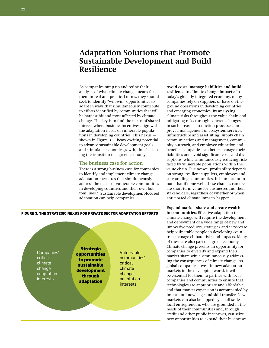## **Adaptation Solutions that Promote Sustainable Development and Build Resilience**

As companies ramp up and refine their analysis of what climate change means for them in real and practical terms, they should seek to identify "win-win" opportunities to adapt in ways that simultaneously contribute to efforts identified by communities that will be hardest hit and most affected by climate change. The key is to find the nexus of shared interest where business incentives align with the adaptation needs of vulnerable populations in developing countries. This nexus shown in Figure  $3$   $-$  bears exciting potential to advance sustainable development goals and stimulate economic growth, thus hastening the transition to a green economy.

#### **The business case for action**

There is a strong business case for companies to identify and implement climate change adaptation measures that simultaneously address the needs of vulnerable communities in developing countries and their own bottom lines.57 Sustainable development-focused adaptation can help companies:

companies rely on suppliers or have on-theground operations in developing countries and emerging economies. By analyzing climate risks throughout the value chain and mitigating risks through concrete changes in such areas as production processes, improved management of ecosystem services, infrastructure and asset siting, supply chain communications and management, community outreach, and employee education and benefits, companies can better manage their liabilities and avoid significant costs and disruptions, while simultaneously reducing risks faced by vulnerable populations within the value chain. Businesses' profitability depends on strong, resilient suppliers, employees and surrounding communities. It is important to note that if done well, these changes can create short-term value for businesses and their stakeholders, regardless of whether or when anticipated climate impacts happen. **Expand market share and create wealth** 

**Avoid costs, manage liabilities and build resilience to climate change impacts:** In today's globally integrated economy, many

**in communities:** Effective adaptation to climate change will require the development and deployment of a wide range of new and innovative products, strategies and services to help vulnerable people in developing countries manage climate risks and impacts. Many of these are also part of a green economy. Climate change presents an opportunity for companies to diversify and expand their market share while simultaneously addressing the consequences of climate change. As global companies invest in new adaptation markets in the developing world, it will be essential for them to partner with local companies and communities to ensure that technologies are appropriate and affordable, and that market expansion is accompanied by important knowledge and skill transfer. New markets can also be tapped by small-scale local entrepreneurs who are grounded in the needs of their communities and, through credit and other public incentives, can seize new opportunities to expand their businesses.



Companies' critical climate change adaptation interests

**Strategic opportunities to promote sustainable development through adaptation**

Vulnerable communities' critical climate change adaptation interests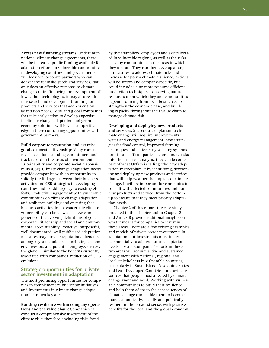**Access new financing streams:** Under international climate change agreements, there will be increased public funding available for adaptation efforts in vulnerable communities in developing countries, and governments will look for corporate partners who can deliver the requisite goods and services. Not only does an effective response to climate change require financing for development of low-carbon technologies, it may also result in research and development funding for products and services that address critical adaptation needs. Local and global companies that take early action to develop expertise in climate change adaptation and green economy solutions will have a competitive edge in these contracting opportunities with government partners.

**Build corporate reputation and exercise good corporate citizenship:** Many companies have a long-standing commitment and track record in the areas of environmental sustainability and corporate social responsibility (CSR). Climate change adaptation needs provide companies with an opportunity to solidify the linkages between their business activities and CSR strategies in developing countries and to add urgency to existing efforts. Productive engagement with vulnerable communities on climate change adaptation and resilience-building and ensuring that business activities do not exacerbate climate vulnerability can be viewed as new components of the evolving definitions of good corporate citizenship and social and environmental accountability. Proactive, purposeful, well-documented, well-publicized adaptation measures may provide reputational benefits among key stakeholders — including customers, investors and potential employees across the globe — similar to the benefits currently associated with companies' reduction of GHG emissions.

#### **Strategic opportunities for private sector investment in adaptation**

The most promising opportunities for companies to complement public sector initiatives and investments in climate change adaptation lie in two key areas:

**Building resilience within company operations and the value chain:** Companies can conduct a comprehensive assessment of the climate risks they face, including risks faced

by their suppliers, employees and assets located in vulnerable regions, as well as the risks faced by communities in the areas in which they operate. They can then develop a range of measures to address climate risks and increase long-term climate resilience. Actions will be sector- and company-specific, but could include using more resource-efficient production techniques, conserving natural resources upon which they and communities depend, sourcing from local businesses to strengthen the economic base, and building capacity throughout their value chain to manage climate risk.

**Developing and deploying new products and services:** Successful adaptation to climate change will require improvements in water and energy management, new strategies for flood control, improved farming techniques and better early-warning systems for disasters. If companies factor climate risks into their market analysis, they can become part of what Oxfam is calling "the new adaptation marketplace"58 by identifying, developing and deploying new products and services that will help weather the impacts of climate change. It will be important for companies to consult with affected communities and build new products and services from the bottom up to ensure that they meet priority adaptation needs.

Chapter 2 of this report, the case study provided in this chapter and in Chapter 2, and Annex B provide additional insights on what it means for companies to invest in these areas. There are a few existing examples and models of private sector investments in adaptation, but investments must increase exponentially to address future adaptation needs at scale. Companies' efforts in these two areas will require active and sustained engagement with national, regional and local stakeholders in vulnerable countries, particularly in Small Island Developing States and Least Developed Countries, to provide resources that people most affected by climate change want and need. Working with vulnerable communities to build their resilience and help them adapt to the consequences of climate change can enable them to become more economically, socially and politically resilient in the broadest sense, with positive benefits for the local and the global economy.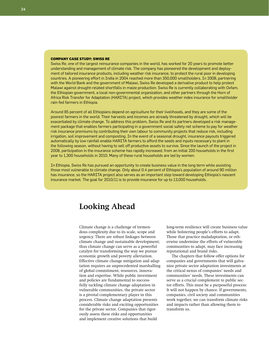#### **Company Case Study: Swiss Re**

Swiss Re, one of the largest reinsurance companies in the world, has worked for 20 years to promote better understanding and management of climate risk. The company has pioneered the development and deployment of tailored insurance products, including weather risk insurance, to protect the rural poor in developing countries. A pioneering effort in India in 2004 reached more than 350,000 smallholders. In 2008, partnering with the World Bank and the government of Malawi, Swiss Re developed a derivative product to help protect Malawi against drought-related shortfalls in maize production. Swiss Re is currently collaborating with Oxfam, the Ethiopian government, a local non-governmental organization, and other partners through the Horn of Africa Risk Transfer for Adaptation (HARITA) project, which provides weather index insurance for smallholder rain-fed farmers in Ethiopia.

Around 85 percent of all Ethiopians depend on agriculture for their livelihoods, and they are some of the poorest farmers in the world. Their harvests and incomes are already threatened by drought, which will be exacerbated by climate change. To address this problem, Swiss Re and its partners developed a risk management package that enables farmers participating in a government social safety net scheme to pay for weather risk insurance premiums by contributing their own labour to community projects that reduce risk, including irrigation, soil improvement and composting. In the event of a seasonal drought, insurance payouts triggered automatically by low rainfall enable HARITA farmers to afford the seeds and inputs necessary to plant in the following season, without having to sell off productive assets to survive. Since the launch of the project in 2008, participation in the insurance scheme has rapidly increased, from an initial 200 households in the first year to 1,300 households in 2010. Many of these rural households are led by women.

In Ethiopia, Swiss Re has pursued an opportunity to create business value in the long term while assisting those most vulnerable to climate change. Only about 0.4 percent of Ethiopia's population of around 90 million has insurance, so the HARITA project also serves as an important step toward developing Ethiopia's nascent insurance market. The goal for 2010/11 is to provide insurance for up to 13,000 households.

## **Looking Ahead**

Climate change is a challenge of tremendous complexity due to its scale, scope and urgency. There are robust linkages between climate change and sustainable development; thus climate change can serve as a powerful catalyst for transforming the way we pursue economic growth and poverty alleviation. Effective climate change mitigation and adaptation requires an unprecedented marshalling of global commitment, resources, innovation and expertise. While public investment and policies are fundamental to successfully tackling climate change adaptation in vulnerable communities, the private sector is a pivotal complementary player in this process. Climate change adaptation presents considerable risks and exciting opportunities for the private sector. Companies that rigorously assess these risks and opportunities and implement creative solutions that build

long-term resilience will create business value while bolstering people's efforts to adapt. Those that practice maladaptation, or otherwise undermine the efforts of vulnerable communities to adapt, may face increasing reputational and brand risks.

The chapters that follow offer options for companies and governments that will galvanize private sector adaptation investments at the critical nexus of companies' needs and communities' needs. These investments can serve as a crucial complement to public sector efforts. This must be a purposeful process: It will not happen by chance. If governments, companies, civil society and communities work together, we can transform climate risks and impacts rather than allowing them to transform us.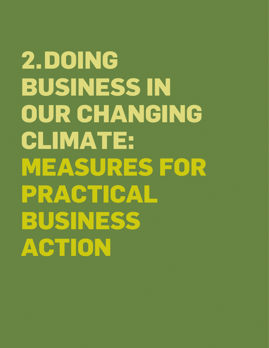## **2.Doing Business in Our Changing Climate: Measures for PRACTICAL Business Action**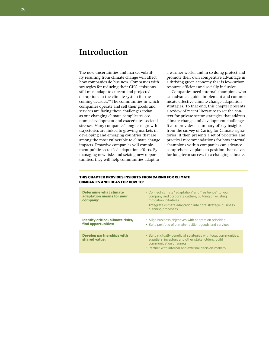## **Introduction**

The new uncertainties and market volatility resulting from climate change will affect how companies do business. Companies with strategies for reducing their GHG emissions still must adapt to current and projected disruptions in the climate system for the coming decades.59 The communities in which companies operate and sell their goods and services are facing these challenges today as our changing climate complicates economic development and exacerbates societal stresses. Many companies' long-term growth trajectories are linked to growing markets in developing and emerging countries that are among the most vulnerable to climate change impacts. Proactive companies will complement public sector-led adaptation efforts. By managing new risks and seizing new opportunities, they will help communities adapt to

a warmer world, and in so doing protect and promote their own competitive advantage in a thriving green economy that is low-carbon, resource-efficient and socially inclusive.

Companies need internal champions who can advance, guide, implement and communicate effective climate change adaptation strategies. To that end, this chapter presents a review of recent literature to set the context for private sector strategies that address climate change and development challenges. It also provides a summary of key insights from the survey of Caring for Climate signatories. It then presents a set of priorities and practical recommendations for how internal champions within companies can advance comprehensive plans to position themselves for long-term success in a changing climate.

| <b>Determine what climate</b><br>adaptation means for your<br>company: | • Connect climate "adaptation" and "resilience" to your<br>company and corporate culture, building on existing<br>mitigation initiatives<br>. Integrate climate adaptation into core strategic business<br>planning processes |
|------------------------------------------------------------------------|-------------------------------------------------------------------------------------------------------------------------------------------------------------------------------------------------------------------------------|
| <b>Identify critical climate risks,</b><br>find opportunities:         | • Align business objectives with adaptation priorities<br>• Build portfolio of climate-resilient goods and services                                                                                                           |
| <b>Develop partnerships with</b><br>shared value:                      | • Build mutually beneficial strategies with local communities,<br>suppliers, investors and other stakeholders, build<br>communication channels<br>• Partner with internal and external decision-makers                        |

#### **This chapter provides insights from Caring for Climate companies and ideas for how to:**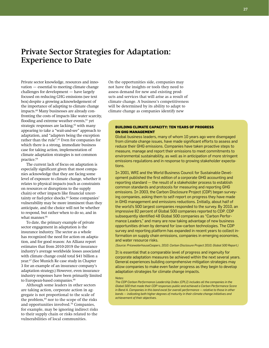## **Private Sector Strategies for Adaptation: Experience to Date**

Private sector knowledge, resources and innovation — essential to meeting climate change challenges for development — have largely focused on reducing GHG emissions (see text box) despite a growing acknowledgement of the importance of adapting to climate change impacts.60 Many businesses are already confronting the costs of impacts like water scarcity, flooding and extreme weather events,<sup>61</sup> yet strategic responses are lacking,<sup>62</sup> with many appearing to take a "wait-and-see" approach to adaptation, and "adapters being the exception rather than the rule".63 Even for companies for which there is a strong, immediate business case for taking action, implementation of climate adaptation strategies is not common practice.<sup>64</sup>

The current lack of focus on adaptation is especially significant given that most companies acknowledge that they are facing some level of exposure to climate change, whether it relates to physical impacts (such as constraints on resources or disruptions to the supply chain) or other impacts like financial uncertainty or fuel-price shocks.<sup>65</sup> Some companies' vulnerability may be more imminent than they anticipate, and the choice will not be whether to respond, but rather when to do so, and in what manner.<sup>66</sup>

To date, the primary example of private sector engagement in adaptation is the insurance industry. The sector as a whole has recognized the need for action on adaptation, and for good reason: An Allianz report estimates that from 2010-2019 the insurance industry's average worldwide losses associated with climate change could total \$41 billion a year.67 (See Munich Re case study in Chapter 3 for an example of an insurance company's adaptation strategy.) However, even insurance industry responses have been primarily limited to European-based companies.<sup>68</sup>

Although some leaders in other sectors are taking action, corporate action in aggregate is not proportional to the scale of the problem,<sup>69</sup> nor to the scope of the risks and opportunities involved.70 Companies, for example, may be ignoring indirect risks to their supply chain or risks related to the vulnerabilities of local communities.

On the opportunities side, companies may not have the insights or tools they need to assess demand for new and existing products and services that will arise as a result of climate change. A business's competitiveness will be determined by its ability to adapt to climate change as companies identify new

#### **Building Climate Capacity: Ten Years of Progress on GHG Management**

Global business leaders, many of whom 10 years ago were disengaged from climate change issues, have made significant efforts to assess and reduce their GHG emissions. Companies have taken proactive steps to measure, manage and report their emissions to meet commitments to environmental sustainability, as well as in anticipation of more stringent emissions regulations and in response to growing stakeholder expectations.

In 2001, WRI and the World Business Council for Sustainable Development published the first edition of a corporate GHG accounting and reporting standard — the result of a stakeholder process to establish common standards and protocols for measuring and reporting GHG emissions. In 2003, the Carbon Disclosure Project (CDP) began surveying companies, asking them to self-report on progress they have made in GHG management and emissions reductions. Initially, about half of the world's 500 largest companies responded to the survey. By 2010, an impressive 82 percent of Global 500 companies reported to CDP. CDP subsequently identified 48 Global 500 companies as "Carbon Performance Leaders," and many are now taking advantage of new business opportunities driven by demand for low-carbon technologies. The CDP survey and reporting platform has expanded in recent years to collect information on supply chain emissions, companies in emerging economies, and water resource risks.

*(Source: PricewaterhouseCoopers, 2010. Carbon Disclosure Project 2010, Global 500 Report.)*

It is essential that a comparable level of progress and ingenuity for corporate adaptation measures be achieved within the next several years. General experiences building comprehensive mitigation strategies may allow companies to make even faster progress as they begin to develop adaptation strategies for climate change impacts.

#### *Notes:*

*The CDP Carbon Performance Leadership Index (CPLI) includes all the companies in the Global 500 that made their CDP responses public and achieved a Carbon Performance Score in Band A. Companies in this band excel for overall performance — relative to those in other bands — indicating both higher degrees of maturity in their climate change initiatives and achievement of their objectives.*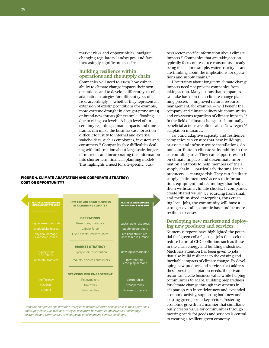market risks and opportunities, navigate changing regulatory landscapes, and face increasingly significant costs.71c

#### **Building resilience within operations and the supply chain**

Companies will need to assess how vulnerability to climate change impacts their own operations, and to develop different types of adaptation strategies for different types of risks accordingly — whether they represent an extension of existing conditions (for example, more extreme drought in drought-prone areas) or brand-new threats (for example, flooding due to rising sea levels). A high level of uncertainty regarding climate impacts and time frames can make the business case for action difficult to justify to internal and external stakeholders, such as employees, investors and consumers.72 Companies face difficulties dealing with information about large-scale, longerterm trends and incorporating this information into shorter-term financial planning models. This highlights a need for site-specific, busi-

#### **Figure 4. Climate Adaptation and Corporate Strategy: Cost or Opportunity?**



*Proactive companies can develop strategies to address climate change risks in their operations and supply chains, as well as strategies to capture new market opportunities and engage customers and communities to meet needs amid changing climate conditions.*

ness sector-specific information about climate impacts.73 Companies that are taking action typically focus on resource constraints already being felt — for example, water scarcity — and are thinking about the implications for operations and supply chains.<sup>74</sup>

Uncertainty about long-term climate change impacts need not prevent companies from taking action. Many actions that companies can take based on their climate change planning process — improved natural resource management, for example — will benefit the company and climate-vulnerable communities and ecosystems regardless of climate impacts.<sup>75</sup> In the field of climate change, such mutually beneficial actions are often called "low-regret"<sup>76</sup> adaptation measures.

To build adaptive capacity and resilience, companies can ensure that new buildings, or assets and infrastructure installations, do not contribute to climate vulnerability in the surrounding area. They can support research on climate impacts and disseminate information and tools to help members of their supply chain — particularly the small-scale producers — manage risk. They can facilitate supply chain members' access to information, equipment and technology that helps them withstand climate shocks. If companies create shared value<sup>77</sup> by sourcing from small and medium-sized enterprises, thus creating local jobs, the community will have a stronger overall economic base and be more resilient to crises.

## **Developing new markets and deploy- ing new products and services**

Numerous reports have highlighted the potential for "green-collar" jobs — jobs that seek to reduce harmful GHG pollution, such as those in the clean energy and building industries. Much less attention has been given to jobs that also build resilience to the existing and inevitable impacts of climate change. By developing new products and services that address these pressing adaptation needs, the private sector can create business value while helping communities to adapt. Building preparedness for climate change through investments in adaptation can incentivize new and expanded economic activity, supporting both new and existing green jobs in key sectors. Fostering economic growth in a manner that simultaneously creates value for communities through meeting needs for goods and services is central to creating a resilient green economy.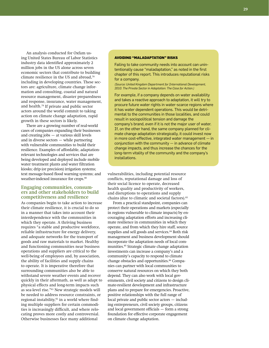An analysis conducted for Oxfam using United States Bureau of Labor Statistics industry data identified approximately 2 million jobs in the US alone across seven economic sectors that contribute to building climate resilience in the US and abroad,78 including in developing countries. These sectors are: agriculture, climate change information and consulting, coastal and natural resource management, disaster preparedness and response, insurance, water management, and health.79 If private and public sector actors around the world commit to taking action on climate change adaptation, rapid growth in these sectors is likely.

There are a growing number of real-world cases of companies expanding their businesses and creating jobs — at various skill levels and in diverse sectors — while partnering with vulnerable communities to build their resilience. Examples of affordable, adaptationrelevant technologies and services that are being developed and deployed include mobile water treatment plants and water filtration kiosks; drip (or precision) irrigation systems; text message-based flood warning systems; and weather-indexed insurance for crops.<sup>80</sup>

#### **Engaging communities, consumers and other stakeholders to build competitiveness and resilience**

As companies begin to take action to increase their climate resilience, it is crucial to do so in a manner that takes into account their interdependence with the communities in which they operate. A thriving business requires "a stable and productive workforce, reliable infrastructure for energy delivery, and adequate networks for the transport of goods and raw materials to market. Healthy and functioning communities near business operations and suppliers are critical to the well-being of employees and, by association, the ability of facilities and supply chains to operate. It is imperative therefore that surrounding communities also be able to withstand severe weather events and recover quickly in their aftermath, as well as adapt to physical effects and long-term impacts such as sea-level rise."81 New strategic models will be needed to address resource constraints, or regional instability,<sup>82</sup> in a world where finding multiple suppliers for certain commodities is increasingly difficult, and where relocating proves more costly and controversial. Otherwise businesses face many additional

#### **Avoiding "Maladaptation" Risks**

Failing to take community needs into account can unintentionally cause "maladaptation," as noted in the first chapter of this report. This introduces reputational risks for a company.

*(Source: United Kingdom Department for International Development, 2010. The Private Sector in Adaptation: The Case for Action.)*

For example, if a company depends on water availability and takes a reactive approach to adaptation, it will try to procure future water rights in water-scarce regions where it has water dependent operations. This would be detrimental to the communities in those localities, and could result in sociopolitical tension and damage the company's brand, even if it is not the major user of water. If, on the other hand, the same company planned for climate change adaptation strategically, it could invest now in more cost-effective, integrated water management — in conjunction with the community  $-$  in advance of climate change impacts, and thus increase the chances for the long-term vitality of the community and the company's installations.

vulnerabilities, including potential resource conflicts, reputational damage and loss of their social licence to operate, decreased health quality and productivity of workers, and disruptions to operations and supply chains (due to climatic and societal factors).<sup>83</sup>

From a practical standpoint, companies can protect their operations and markets (especially in regions vulnerable to climate impacts) by encouraging adaptation efforts and increasing climate resilience in communities in which they operate, and from which they hire staff, source supplies and sell goods and services.<sup>84</sup> Both risk management and business development should incorporate the adaptation needs of local communities.85 Strategic climate change adaptation investments can increase a company's and a community's capacity to respond to climate change obstacles and opportunities.<sup>86</sup> Companies can partner with local communities to conserve natural resources on which they both depend. They can also work with local governments, civil society and citizens to design climate-resilient development and infrastructure plans and to prepare for emergencies. Proactive, positive relationships with the full range of local private and public sector actors — including entrepreneurs, civil society groups, citizens and local government officials — form a strong foundation for effective corporate engagement on climate change adaptation.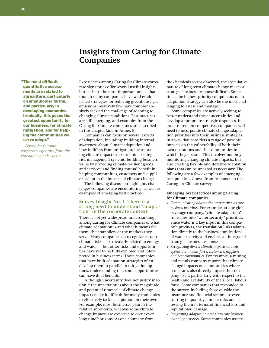## **Insights from Caring for Climate Companies**

**" The most difficult quantitative assessments are related to agriculture, particularly on smallholder farms, and particularly in developing economies. Ironically, this poses the greatest opportunity for our business, for climate mitigation, and for helping the communities we serve adapt."** 

*— Caring for Climate corporate signatory from the consumer-goods sector*

Experiences among Caring for Climate corporate signatories offer several useful insights, but perhaps the most important one is that though many companies have well-established strategies for reducing greenhouse gas emissions, relatively few have comprehensively tackled the challenge of adapting to changing climate conditions. Best practices are still emerging, and examples from the Caring for Climate companies are described in this chapter (and in Annex B).

Companies can focus on several aspects of adaptation, including: building internal awareness about climate adaptation and how it differs from mitigation; incorporating climate impact exposure into existing risk management systems; building business value by providing climate-resilient goods and services; and finding mutual benefit in helping communities, customers and suppliers adapt to the impacts of climate change.

The following discussion highlights challenges companies are encountering, as well as examples of emerging best practices.

### **Survey Insight No. 1: There is a strong need to understand "adapta- tion" in the corporate context.**

There is not yet widespread understanding among Caring for Climate companies of what climate adaptation is and what it means for them, their suppliers or the markets they serve. Many companies do recognize certain climate risks — particularly related to energy and water — but other risks and opportunities have yet to be fully explored and interpreted in business terms. Those companies that have built adaptation strategies often develop them in parallel to mitigation options, understanding that some opportunities can have dual benefits.

Although uncertainty does not justify inaction,<sup>87</sup> the uncertainties about the magnitude and potential timescale of climate change impacts make it difficult for many companies to effectively tackle adaptation on their own. For example, most businesses plan in the relative short-term, whereas some climate change impacts are expected to occur over long time-horizons. As one company from

the chemicals sector observed, the speculative nature of long-term climate change makes a strategic business response difficult. Sometimes the highest priority components of an adaptation strategy can also be the most challenging to assess and manage.

Some companies are actively seeking to better understand these uncertainties and develop appropriate strategic responses. In order to remain competitive, companies will need to incorporate climate change adaptation priorities into their business strategies in a way that considers a range of possible impacts on the vulnerability of both their own operations and the communities in which they operate. This involves not only monitoring changing climate impacts, but also creating flexible and iterative adaptation plans that can be updated as necessary. The following are a few examples of emerging best practices, drawn from responses to the Caring for Climate survey.

#### **Emerging best practices among Caring for Climate companies**

- *Communicating adaptation imperatives as core business priorities.* For example, at one global beverage company, "climate adaptation" translates into "water security" priorities. Since water is a key input in this company's products, the translation links adaptation directly to the business implications of water scarcity and enables an integrated strategic business response.
- *Recognizing diverse climate impacts on their operations, labour force, customers, suppliers and host communities.* For example, a mining and metals company reports that climate change impacts on communities where it operates also directly impact the company itself, particularly with respect to the health and availability of their local labour force. Some companies that responded to the survey, including those outside the insurance and financial sector, are even starting to quantify climate risks and assessing them in terms of financial loss and reputational damage.
- *Integrating adaptation needs into core business planning processes.* Some companies use ex-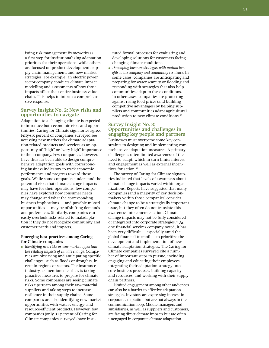isting risk management frameworks as a first step for institutionalizing adaptation priorities for their operations, while others are focused on product development, supply chain management, and new market strategies. For example, an electric power sector company conducts climate impact modelling and assessments of how those impacts affect their entire business value chain. This helps to inform a comprehensive response.

#### **Survey Insight No. 2: New risks and opportunities to navigate**

Adaptation to a changing climate is expected to introduce both economic risks and opportunities. Caring for Climate signatories agree. Fifty-six percent of companies surveyed see accessing new markets for climate adaptation-related products and services as an opportunity of "high" or "very high" importance to their company. Few companies, however, have thus far been able to design comprehensive adaptation goals with corresponding business indicators to track economic performance and progress toward those goals. While some companies understand the potential risks that climate change impacts may have for their operations, few companies have explored how consumer needs may change and what the corresponding business implications — and possible missed opportunities — may be of shifting demands and preferences. Similarly, companies can easily overlook risks related to maladaptation if they do not recognize community and customer needs and impacts.

#### **Emerging best practices among Caring for Climate companies**

● *Identifying new risks or new market opportunities relating impacts of climate change.* Companies are observing and anticipating specific challenges, such as floods or droughts, in certain regions or sectors. The insurance industry, as mentioned earlier, is taking proactive measures to prepare for climate risks. Some companies are seeing climate risks upstream among their raw-material suppliers and taking steps to increase resilience in their supply chains. Some companies are also identifying new market opportunities with water-, energy- and resource-efficient products. However, few companies (only 31 percent of Caring for Climate companies surveyed) have instituted formal processes for evaluating and developing solutions for customers facing changing climate conditions.

● *Developing business strategies with mutual benefits to the company and community resilience.* In some cases, companies are anticipating and preparing for water scarcity or flooding and responding with strategies that also help communities adapt to these conditions. In other cases, companies are protecting against rising food prices (and building competitive advantages) by helping suppliers and communities adapt agricultural production to new climate conditions.<sup>88</sup>

#### **Survey Insight No. 3: Opportunities and challenges in engaging key people and partners**

Businesses must overcome some key constraints to designing and implementing comprehensive adaptation measures. A primary challenge is often limited awareness of the need to adapt, which in turn limits interest and engagement as well as external incentives for action.<sup>89</sup>

The survey of Caring for Climate signatories indicated that levels of awareness about climate change impacts varied within organizations. Reports have suggested that many companies (and a majority of key decisionmakers within those companies) consider climate change to be a strategically important issue, but they often do not translate this awareness into concrete action. Climate change impacts may not be fully considered or integrated into corporate strategies.<sup>90</sup> As one financial services company noted, it has been very difficult — especially amid the global financial turmoil — to prioritize the development and implementation of new climate adaptation strategies. The Caring for Climate companies surveyed cite a number of important steps to pursue, including engaging and educating their employees, integrating their adaptation strategy into core business processes, building capacity and resources, and working with their supply chain partners.

Limited engagement among other audiences can also be a barrier to effective adaptation strategies. Investors are expressing interest in corporate adaptation but are not always in the communication loop. Middle managers and subsidiaries, as well as suppliers and customers, are facing direct climate impacts but are often unengaged in corporate climate adaptation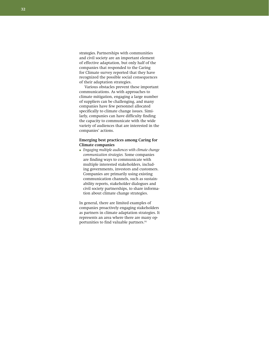strategies. Partnerships with communities and civil society are an important element of effective adaptation, but only half of the companies that responded to the Caring for Climate survey reported that they have recognized the possible social consequences of their adaptation strategies.

Various obstacles prevent these important communications. As with approaches to climate mitigation, engaging a large number of suppliers can be challenging, and many companies have few personnel allocated specifically to climate change issues. Similarly, companies can have difficulty finding the capacity to communicate with the wide variety of audiences that are interested in the companies' actions.

#### **Emerging best practices among Caring for Climate companies**

● *Engaging multiple audiences with climate change communication strategies.* Some companies are finding ways to communicate with multiple interested stakeholders, including governments, investors and customers. Companies are primarily using existing communication channels, such as sustainability reports, stakeholder dialogues and civil society partnerships, to share information about climate change strategies.

In general, there are limited examples of companies proactively engaging stakeholders as partners in climate adaptation strategies. It represents an area where there are many opportunities to find valuable partners.<sup>91</sup>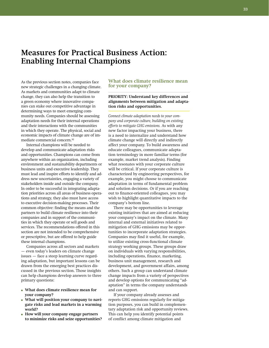## **Measures for Practical Business Action: Enabling Internal Champions**

As the previous section notes, companies face new strategic challenges in a changing climate. As markets and communities adapt to climate change, they can also help the transition to a green economy where innovative companies can stake out competitive advantage in determining ways to meet emerging community needs. Companies should be assessing adaptation needs for their internal operations and their interactions with the communities in which they operate. The physical, social and economic impacts of climate change are of immediate commercial concern.<sup>92</sup>

Internal champions will be needed to develop and communicate adaptation risks and opportunities. Champions can come from anywhere within an organization, including environment and sustainability departments or business units and executive leadership. They must lead and inspire efforts to identify and address new uncertainties, engaging a variety of stakeholders inside and outside the company. In order to be successful in integrating adaptation priorities across all areas of business operations and strategy, they also must have access to executive decision-making processes. Their common objective: finding the means and the partners to build climate resilience into their companies and in support of the communities in which they operate or sell goods and services. The recommendations offered in this section are not intended to be comprehensive or prescriptive, but are offered to help guide these internal champions.

Companies across all sectors and markets — even today's leaders on climate change issues — face a steep learning curve regarding adaptation, but important lessons can be drawn from the emerging best practices discussed in the previous section. Those insights can help champions develop answers to three primary questions:

- **What does climate resilience mean for your company?**
- What will position your company to navi**gate risks and lead markets in a warming world?**
- **How will your company engage partners to minimize risks and seize opportunities?**

#### **What does climate resilience mean for your company?**

#### PRIORITY: Understand key differences and **alignments between mitigation and adaptation risks and opportunities.**

*Connect climate adaptation needs to your company and corporate culture, building on existing efforts to mitigate GHG emissions.* As with any new factor impacting your business, there is a need to internalize and understand how climate change will directly and indirectly affect your company. To build awareness and educate colleagues, communicate adaptation terminology in more familiar terms (for example, market trend analysis). Finding what resonates with your corporate culture will be critical. If your corporate culture is characterized by engineering perspectives, for example, you might choose to communicate adaptation in terms of fundamental problem and solution decisions. Or if you are reaching out to finance-oriented colleagues, you may wish to highlight quantitative impacts to the company's bottom line.

There may be opportunities to leverage existing initiatives that are aimed at reducing your company's impact on the climate. Many internal and external initiatives related to mitigation of GHG emissions may be opportunities to incorporate adaptation strategies. Companies may find it useful, for example, to utilize existing cross-functional climate strategy working groups. These groups draw on individuals with varying responsibilities, including operations, finance, marketing, business unit management, research and development, and government affairs, among others. Such a group can understand climate change impacts from a variety of perspectives and develop options for communicating "adaptation" in terms the company understands and can support.

If your company already assesses and reports GHG emissions regularly for mitigation purposes, you can build in complementary adaptation risk and opportunity reviews. This can help you identify potential points of conflict among climate mitigation and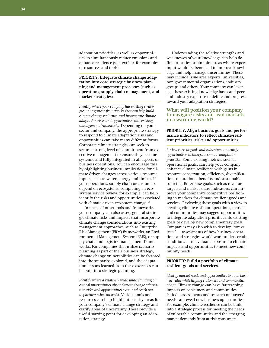adaptation priorities, as well as opportunities to simultaneously reduce emissions and enhance resilience (see text box for examples of resources and tools).

PRIORITY: Integrate climate change adap**tation into core strategic business planning and management processes (such as operations, supply chain management, and market strategies).**

*Identify where your company has existing strategic management frameworks that can help build climate change resilience, and incorporate climate adaptation risks and opportunities into existing management frameworks.* Depending on your sector and company, the appropriate strategy to respond to climate adaptation risks and opportunities can take many different forms. Corporate climate strategies can seek to secure a strong level of commitment from executive management to ensure they become systemic and fully integrated in all aspects of business operations. You can encourage this by highlighting business implications for climate-driven changes across various resource inputs, such as water, energy and timber. If your operations, supply chain or customers depend on ecosystems, completing an ecosystem service review, for example, can help identify the risks and opportunities associated with climate-driven ecosystem change.<sup>93</sup>

In terms of other tools and frameworks, your company can also assess general strategic climate risks and impacts that incorporate climate change considerations into existing management approaches, such as Enterprise Risk Management (ERM) frameworks, an Environmental Management System (EMS), or supply chain and logistics management frameworks. For companies that utilize scenario planning as part of their business strategy, climate change vulnerabilities can be factored into the scenarios explored, and the adaptation lessons learned from these exercises can be built into strategic planning.

*Identify where a relatively weak understanding or critical uncertainties about climate change adaptation risks and opportunities exist, and reach out to partners who can assist.* Various tools and resources can help highlight priority areas for your company's climate change strategy and clarify areas of uncertainty. These provide a useful starting point for developing an adaptation strategy.

Understanding the relative strengths and weaknesses of your knowledge can help define priorities or pinpoint areas where expert input would be beneficial to improve knowledge and help manage uncertainties. These may include issue area experts, universities, non-governmental organizations, industry groups and others. Your company can leverage these existing knowledge bases and peer and industry expertise to define and progress toward your adaptation strategies.

#### **What will position your company to navigate risks and lead markets in a warming world?**

#### PRIORITY: Align business goals and perfor**mance indicators to reflect climate-resilient priorities, risks and opportunities.**

*Review current goals and indicators to identify opportunities to integrate climate adaptation priorities.* Some existing metrics, such as operational goals, can help your company enhance climate resilience with gains in resource conservation, efficiency, diversification, reputational benefits and sustainable sourcing. Enterprise goals, such as revenue targets and market share indicators, can improve your company's competitive positioning in markets for climate-resilient goods and services. Reviewing these goals with a view to creating climate-resilient operations, markets and communities may suggest opportunities to integrate adaptation priorities into existing goals or develop new complementary goals. Companies may also wish to develop "stress tests" — assessments of how business operations and strategies would work under certain conditions — to evaluate exposure to climate impacts and opportunities to meet new community needs.

#### PRIORITY: Build a portfolio of climate**resilient goods and services.**

*Identify market needs and opportunities to build business value while helping customers and communities adapt.* Climate change can have far-reaching impacts on consumers and communities. Periodic assessments and research on buyers' needs can reveal new business opportunities. For example, climate resilience can be built into a strategic process for meeting the needs of vulnerable communities and the emerging market demands from at-risk consumers.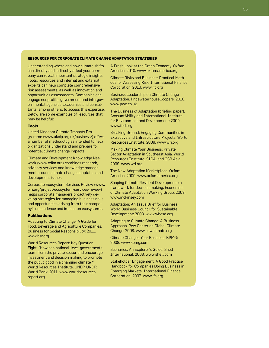#### **Resources for Corporate Climate Change Adaptation Strategies**

Understanding where and how climate shifts can directly and indirectly affect your company can reveal important strategic insights. Tools, resources and internal and external experts can help complete comprehensive risk assessments, as well as innovation and opportunities assessments. Companies can engage nonprofits, government and intergovernmental agencies, academics and consultants, among others, to access this expertise. Below are some examples of resources that may be helpful:

#### **Tools**

United Kingdom Climate Impacts Programme (www.ukcip.org.uk/business/) offers a number of methodologies intended to help organizations understand and prepare for potential climate change impacts.

Climate and Development Knowledge Network (www.cdkn.org) combines research, advisory services and knowledge management around climate change adaptation and development issues.

Corporate Ecosystem Services Review (www. wri.org/project/ecosystem-services-review) helps corporate managers proactively develop strategies for managing business risks and opportunities arising from their company's dependence and impact on ecosystems.

#### **Publications**

Adapting to Climate Change: A Guide for Food, Beverage and Agriculture Companies. Business for Social Responsibility: 2011. www.bsr.org

World Resources Report: Key Question Eight. "How can national-level governments learn from the private sector and encourage investment and decision making to promote the public good in a changing climate?" World Resources Institute, UNEP, UNDP, World Bank: 2011. www.worldresources report.org

A Fresh Look at the Green Economy. Oxfam America: 2010. www.oxfamamerica.org

Climate Risks and Business: Practical Methods for Assessing Risk. International Finance Corporation: 2010. www.ifc.org

Business Leadership on Climate Change Adaptation. PricewaterhouseCoopers: 2010. www.pwc.co.uk

The Business of Adaptation (briefing paper). AccountAbility and International Institute for Environment and Development: 2009. www.iied.org

Breaking Ground: Engaging Communities in Extractive and Infrastructure Projects. World Resources Institute: 2009. www.wri.org

Making Climate Your Business: Private Sector Adaptation in Southeast Asia. World Resources Institute, SIDA, and CSR Asia: 2009. www.wri.org

The New Adaptation Marketplace. Oxfam America: 2009. www.oxfamamerica.org

Shaping Climate Resilient Development: a framework for decision making. Economics of Climate Adaptation Working Group: 2009. www.mckinsey.com

Adaptation: An Issue Brief for Business. World Business Council for Sustainable Development: 2008. www.wbcsd.org

Adapting to Climate Change: A Business Approach. Pew Center on Global Climate Change: 2008. www.pewclimate.org

Climate Changes Your Business. KPMG: 2008. www.kpmg.com

Scenarios: An Explorer's Guide. Shell International: 2008. www.shell.com

Stakeholder Engagement: A Good Practice Handbook for Companies Doing Business in Emerging Markets. International Finance Corporation: 2007. www.ifc.org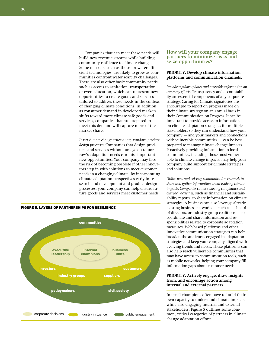Companies that can meet these needs will build new revenue streams while building community resilience to climate change. Some markets, such as those for water-efficient technologies, are likely to grow as communities confront water scarcity challenges. There are also other basic community needs, such as access to sanitation, transportation or even education, which can represent new opportunities to create goods and services tailored to address these needs in the context of changing climate conditions. In addition, as consumer demand in developed markets shifts toward more climate-safe goods and services, companies that are prepared to meet this demand will capture more of the market share.

*Insert climate change criteria into standard product design processes.* Companies that design products and services without an eye on tomorrow's adaptation needs can miss important new opportunities. Your company may face the risk of becoming obsolete if other innovators step in with solutions to meet customer needs in a changing climate. By incorporating climate adaptation perspectives early in research and development and product design processes, your company can help ensure future goods and services meet customer needs.



#### **How will your company engage partners to minimize risks and seize opportunities?**

#### **PRIORITY: Develop climate information platforms and communication channels.**

*Provide regular updates and accessible information on company efforts.* Transparency and accountability are essential components of any corporate strategy. Caring for Climate signatories are encouraged to report on progress made on their climate strategy on an annual basis in their Communication on Progress. It can be important to provide access to information on climate adaptation strategies for multiple stakeholders so they can understand how your company — and your markets and connections with vulnerable communities — can be best prepared to manage climate change impacts. Proactively providing information to local communities, including those most vulnerable to climate change impacts, may help your company build support for climate strategies and solutions.

*Utilize new and existing communication channels to share and gather information about evolving climate impacts. Companies can use existing compliance and outreach activities,* such as financial and sustainability reports, to share information on climate strategies. A business can also leverage already existing business networks — such as its board of directors, or industry group coalitions — to coordinate and share information and responsibilities related to corporate adaptation measures. Web-based platforms and other innovative communication strategies can help broaden the audiences engaged in adaptation strategies and keep your company aligned with evolving trends and needs. These platforms can also help reach vulnerable communities that may have access to communication tools, such as mobile networks, helping your company fill information gaps about customer needs.

#### **PRIORITY: Actively engage, draw insights from, and encourage action among internal and external partners.**

Internal champions often have to build their own capacity to understand climate impacts, while also engaging internal and external stakeholders. Figure 5 outlines some common, critical categories of partners in climate change adaptation efforts.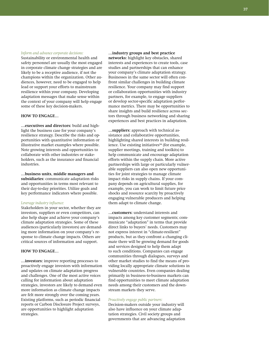#### *Inform and advance corporate decisions:*

Sustainability or environmental health and safety personnel are usually the most engaged in corporate climate change strategies and are likely to be a receptive audience, if not the champions within the organization. Other audiences, however, need to be engaged to help lead or support your efforts to mainstream resilience within your company. Developing adaptation messages that make sense within the context of your company will help engage some of these key decision-makers.

### **How to engage…**

**…executives and directors:** build and highlight the business case for your company's resilience strategy. Describe the risks and opportunities with quantitative information or illustrative market examples where possible. Note growing interests and opportunities to collaborate with other industries or stakeholders, such as the insurance and financial industries.

**…business units, middle managers and subsidiaries:** communicate adaptation risks and opportunities in terms most relevant to their day-to-day priorities. Utilize goals and key performance indicators where possible.

### *Leverage industry influence:*

Stakeholders in your sector, whether they are investors, suppliers or even competitors, can also help shape and achieve your company's climate adaptation strategies. Some of these audiences (particularly investors) are demanding more information on your company's response to climate change impacts. Others are critical sources of information and support.

### **How to engage…**

**…investors:** improve reporting processes to proactively engage investors with information and updates on climate adaptation progress and challenges. One of the most active voices calling for information about adaptation strategies, investors are likely to demand even more information as climate change impacts are felt more strongly over the coming years. Existing platforms, such as periodic financial reports or Carbon Disclosure Project surveys, are opportunities to highlight adaptation strategies.

**…industry groups and best practice networks:** highlight key obstacles, shared interests and experiences to create tools, case studies and partnerships that can enhance your company's climate adaptation strategy. Businesses in the same sector will often confront similar challenges in building climate resilience. Your company may find support or collaboration opportunities with industry partners, for example, to engage suppliers or develop sector-specific adaptation performance metrics. There may be opportunities to share insights and build resilience across sectors through business networking and sharing experiences and best practices in adaptation.

**…suppliers:** approach with technical assistance and collaborative opportunities, highlighting shared interests in building resilience. Use existing initiatives<sup>94</sup> (for example, supplier meetings, training and toolkits) to help communicate and encourage adaptation efforts within the supply chain. More active partnerships with large or particularly vulnerable suppliers can also open new opportunities for joint strategies to manage climate impact risks in supply chains. If your company depends on agricultural supplies, for example, you can work to limit future price shocks and resource scarcity by proactively engaging vulnerable producers and helping them adapt to climate change.

**…customers:** understand interests and impacts among key customer segments; communicate "adaptation" in terms that provide direct links to buyers' needs. Customers may not express interest in "climate-resilient" products, but as they confront a changing climate there will be growing demand for goods and services designed to help them adapt to such conditions. Companies can engage communities through dialogues, surveys and other market studies to find the means of providing locally appropriate climate solutions in vulnerable countries. Even companies dealing primarily in business-to-business markets can find opportunities to meet climate adaptation needs among their customers and the downstream markets they serve.

### *Proactively engage public partners:*

Decision-makers outside your industry will also have influence on your climate adaptation strategies. Civil society groups and governments that are advancing adaptation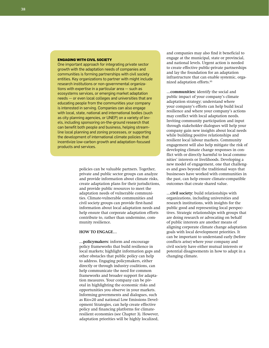#### **Engaging with Civil Society**

One important approach for integrating private sector growth with the adaptation needs of companies and communities is forming partnerships with civil society entities. Key organizations to partner with might include research institutions or non-governmental organizations with expertise in a particular area — such as ecosystems services, or emerging market adaptation needs — or even local colleges and universities that are educating people from the communities your company is interested in serving. Companies can also engage with local, state, national and international bodies (such as city planning agencies, or UNEP) on a variety of levels, including sponsoring on-the-ground research that can benefit both people and business, helping streamline local planning and zoning processes, or supporting the development of international climate policies that incentivize low-carbon growth and adaptation-focused products and services.

> policies can be valuable partners. Together, private and public sector groups can analyze and provide information about climate risks, create adaptation plans for their jurisdictions, and provide public resources to meet the adaptation needs of vulnerable communities. Climate-vulnerable communities and civil society groups can provide first-hand information about local adaptation needs and help ensure that corporate adaptation efforts contribute to, rather than undermine, community resilience.

### **How to engage…**

**…policymakers:** inform and encourage policy frameworks that build resilience in local markets; highlight information gaps and other obstacles that public policy can help to address. Engaging policymakers, either directly or through industry coalitions, can help communicate the need for common frameworks and broader support for adaptation measures. Your company can be pivotal in highlighting the economic risks and opportunities you observe in your markets. Informing governments and dialogues, such as Rio+20 and national Low Emissions Development Strategies, can help create effective policy and financing platforms for climateresilient economies (see Chapter 3). However, adaptation priorities will be highly localized,

and companies may also find it beneficial to engage at the municipal, state or provincial, and national levels. Urgent action is needed to create effective public-private partnerships and lay the foundation for an adaptation infrastructure that can enable systemic, organized adaptation efforts.<sup>95</sup>

**…communities:** identify the social and public impact of your company's climate adaptation strategy; understand where your company's efforts can help build local resilience and where your company's actions may conflict with local adaptation needs. Inviting community participation and input through stakeholder dialogues will help your company gain new insights about local needs while building positive relationships and resilient local labour markets. Community engagement will also help mitigate the risk of developing climate change responses in conflict with or directly harmful to local communities' interests or livelihoods. Developing a new model of engagement, one that challenges and goes beyond the traditional ways that businesses have worked with communities in the past, can help ensure climate-compatible outcomes that create shared value.

**…civil society:** build relationships with organizations, including universities and research institutions, with insights for the public good and representing local perspectives. Strategic relationships with groups that are doing research or advocating on behalf of public interests are another means of aligning corporate climate change adaptation goals with local development priorities. It can be important to understand early (before conflicts arise) where your company and civil society have either mutual interests or potential disagreements in how to adapt in a changing climate.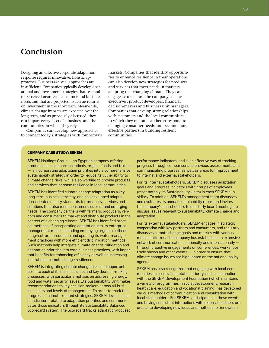# **Conclusion**

Designing an effective corporate adaptation response requires innovative, holistic approaches. Business-as-usual approaches are insufficient. Companies typically develop operational and investment strategies that respond to perceived near-term consumer and business needs and that are projected to accrue returns on investment in the short term. Meanwhile, climate change impacts are expected over the long term, and as previously discussed, they can impact every facet of a business and the communities on which they rely.

Companies can develop new approaches to connect today's strategies with tomorrow's markets. Companies that identify opportunities to enhance resilience in their operations can also develop new strategies for products and services that meet needs in markets adapting to a changing climate. They can engage actors across the company such as executives, product developers, financial decision-makers and business unit managers. Companies that develop strong relationships with customers and the local communities in which they operate can better respond to changing consumer needs and become more effective partners in building resilient communities.

### **Company Case Study: SEKEM**

SEKEM Holdings Group — an Egyptian company offering products such as pharmaceuticals, organic foods and textiles — is incorporating adaptation priorities into a comprehensive sustainability strategy in order to reduce its vulnerability to climate change risks, while also working to provide products and services that increase resilience in local communities.

SEKEM has identified climate change adaptation as a key long-term business strategy, and has developed adaptation-oriented quality standards for products, services and solutions that also meet consumers' current and emerging needs. The company partners with farmers, producers, vendors and consumers to market and distribute products in the context of a changing climate. SEKEM has identified practical methods of incorporating adaptation into its enterprise management model, including employing organic methods of agricultural production and updating its water management practices with more efficient drip irrigation methods. Such methods help integrate climate change mitigation and adaptation priorities into core business practices, with important benefits for enhancing efficiency as well as increasing institutional climate change resilience.

SEKEM is integrating climate change risks and opportunities into each of its business units and key decision-making processes, with particular emphasis on addressing energy, food and water security issues. Its Sustainability Unit makes recommendations to key decision-makers across all business units and levels of management. In order to track the progress of climate-related strategies, SEKEM devised a set of indicators related to adaptation priorities and communicates those indicators through its Sustainability Balanced Scorecard system. The Scorecard tracks adaptation-focused

performance indicators, and is an effective way of tracking progress through comparisons to previous assessments and communicating progress (as well as areas for improvement) to internal and external stakeholders.

For its internal stakeholders, SEKEM discusses adaptation goals and progress indicators with groups of employees (most notably its Sustainability Units) in each SEKEM subsidiary. In addition, SEKEM's management team discusses and evaluates its annual sustainability report and invites the company's shareholders to quarterly board meetings to discuss issues relevant to sustainability, climate change and adaptation.

For its external stakeholders, SEKEM engages in strategic cooperation with key partners and consumers, and regularly discusses climate change goals and metrics with various media platforms. The company has established an extensive network of communications nationally and internationally through proactive engagements on conferences, workshops, trade shows and other events — in order to ensure that climate change issues are highlighted on the national policy agenda.

SEKEM has also recognized that engaging with local communities is a central adaptation priority, and in conjunction with the SEKEM Development Foundation (which maintains a variety of programmes in social development, research, health care, education and vocational training) has developed various methods of communication and consultation with local stakeholders. For SEKEM, participation in these events and having consistent interactions with external partners are crucial to developing new ideas and methods for innovation.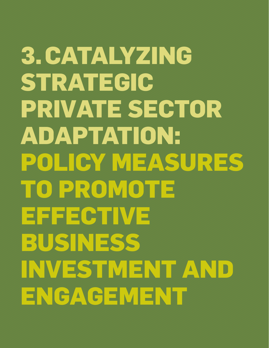**3. Catalyzing Strategic Private Sector Adaptation: policy Measures to Promote Effective Business Investment and Engagement**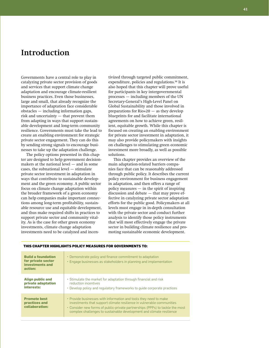# **Introduction**

Governments have a central role to play in catalyzing private sector provision of goods and services that support climate change adaptation and encourage climate-resilient business practices. Even those businesses, large and small, that already recognize the importance of adaptation face considerable obstacles — including information gaps, risk and uncertainty — that prevent them from adapting in ways that support sustainable development and long-term community resilience. Governments must take the lead to create an enabling environment for strategic private sector engagement. They can do this by sending strong signals to encourage businesses to take up the adaptation challenge.

The policy options presented in this chapter are designed to help government decisionmakers at the national level — and in some cases, the subnational level — stimulate private sector investment in adaptation in ways that contribute to sustainable development and the green economy. A public sector focus on climate change adaptation within the broader framework of a green economy can help companies make important connections among long-term profitability, sustainable resource use and equitable development, and thus make required shifts in practices to support private sector and community vitality. As is the case for other green economy investments, climate change adaptation investments need to be catalyzed and incentivized through targeted public commitment, expenditure, policies and regulations.<sup>96</sup> It is also hoped that this chapter will prove useful for participants in key intergovernmental processes — including members of the UN Secretary-General's High-Level Panel on Global Sustainability and those involved in preparations for Rio+20 — as they develop blueprints for and facilitate international agreements on how to achieve green, resilient, equitable growth. While this chapter is focused on creating an enabling environment for private sector investment in adaptation, it may also provide policymakers with insights on challenges to stimulating green economic investment more broadly, as well as possible solutions.

This chapter provides an overview of the main adaptation-related barriers companies face that can be reasonably addressed through public policy. It describes the current policy environment for business engagement in adaptation, and then offers a range of policy measures — in the spirit of inspiring discussion and debate — that may prove effective in catalyzing private sector adaptation efforts for the public good. Policymakers at all levels must engage in in-depth consultation with the private sector and conduct further analysis to identify those policy instruments that will most effectively engage the private sector in building climate resilience and promoting sustainable economic development.

| <b>Build a foundation</b><br>for private sector<br>investments and<br>action: | • Demonstrate policy and finance commitment to adaptation<br>• Engage businesses as stakeholders in planning and implementation                                                                                                                                                                     |
|-------------------------------------------------------------------------------|-----------------------------------------------------------------------------------------------------------------------------------------------------------------------------------------------------------------------------------------------------------------------------------------------------|
| <b>Align public and</b><br>private adaptation<br>interests:                   | • Stimulate the market for adaptation through financial and risk<br>reduction incentives<br>• Develop policy and regulatory frameworks to guide corporate practices                                                                                                                                 |
| <b>Promote best</b><br>practices and<br>collaboration:                        | • Provide businesses with information and tools they need to make<br>investments that support climate resilience in vulnerable communities<br>• Consider new forms of public-private partnerships (PPPs) to tackle the most<br>complex challenges to sustainable development and climate resilience |

# **This chapter highlights policy measures for governments to:**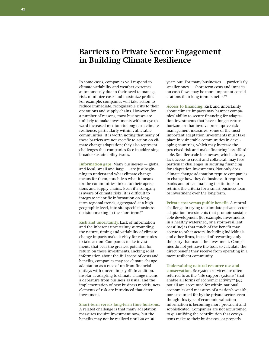# **Barriers to Private Sector Engagement in Building Climate Resilience**

In some cases, companies will respond to climate variability and weather extremes autonomously due to their need to manage risk, minimize costs and maximize profits. For example, companies will take action to reduce immediate, recognizable risks to their operations and supply chains. However, for a number of reasons, most businesses are unlikely to make investments with an eye toward increased medium-to-long-term climate resilience, particularly within vulnerable communities. It is worth noting that many of these barriers are not specific to action on climate change adaptation; they also represent challenges that companies face in addressing broader sustainability issues.

**Information gaps.** Many businesses — global and local, small and large — are just beginning to understand what climate change means for them, much less what it means for the communities linked to their operations and supply chains. Even if a company is aware of climate risks, it is difficult to integrate scientific information on longterm regional trends, aggregated at a high geographic level, into site-specific business decision-making in the short term.<sup>97</sup>

**Risk and uncertainty.** Lack of information and the inherent uncertainty surrounding the nature, timing and variability of climate change impacts make it risky for companies to take action. Companies make investments that bear the greatest potential for return on those investments. Lacking solid information about the full scope of costs and benefits, companies may see climate change adaptation as a case of up-front financial outlays with uncertain payoff. In addition, insofar as adapting to climate change means a departure from business as usual and the implementation of new business models, new elements of risk are introduced that deter investment.

### **Short-term versus long-term time horizons.**  A related challenge is that many adaptation measures require investment now, but the benefits may not be realized until 20 or 30

years out. For many businesses — particularly smaller ones — short-term costs and impacts on cash flows may be more important considerations than long-term benefits.<sup>98</sup>

**Access to financing.** Risk and uncertainty about climate impacts may hamper companies' ability to secure financing for adaptation investments that have a longer return horizon, or that involve pre-emptive risk management measures. Some of the most important adaptation investments must take place in vulnerable communities in developing countries, which may increase the perceived risk and make financing less affordable. Smaller-scale businesses, which already lack access to credit and collateral, may face particular challenges in securing financing for adaptation investments. Not only does climate change adaptation require companies to change how they do business, it requires banks and other financing institutions to rethink the criteria for a smart business loan or investment over the long term.

**Private cost versus public benefit.** A central challenge in trying to stimulate private sector adaptation investments that promote sustainable development (for example, investments in a healthy watershed, or a storm-resilient coastline) is that much of the benefit may accrue to other actors, including individuals and other firms, instead of rewarding only the party that made the investment. Companies do not yet have the tools to calculate the direct benefit they receive from operating in a more resilient community.

**Undervaluing natural resource use and conservation.** Ecosystem services are often referred to as the "life support systems" that enable all forms of economic activity,<sup>99</sup> but not all are accounted for within national economies and measures of a nation's wealth, nor accounted for by the private sector, even though this type of economic valuation information is becoming more prevalent and sophisticated. Companies are not accustomed to quantifying the contribution that ecosystems make to their businesses, or properly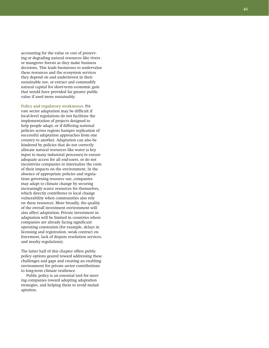accounting for the value or cost of preserv ing or degrading natural resources like rivers or mangrove forests as they make business decisions. This leads businesses to undervalue these resources and the ecosystem services they depend on and underinvest in their sustainable use, or extract and commodify natural capital for short-term economic gain that would have provided far greater public value if used more sustainably.

**Policy and regulatory weaknesses.** Pri vate sector adaptation may be difficult if local-level regulations do not facilitate the implementation of projects designed to help people adapt, or if differing national policies across regions hamper replication of successful adaptation approaches from one country to another. Adaptation can also be hindered by policies that do not correctly allocate natural resources like water (a key input to many industrial processes) to ensure adequate access for all end-users, or do not incentivize companies to internalize the costs of their impacts on the environment. In the absence of appropriate policies and regula tions governing resource use, companies may adapt to climate change by securing increasingly scarce resources for themselves, which directly contributes to local change vulnerability when communities also rely on these resources. More broadly, the quality of the overall investment environment will also affect adaptation. Private investment in adaptation will be limited in countries where companies are already facing significant operating constraints (for example, delays in licensing and registration, weak contract en forcement, lack of dispute resolution services, and murky regulations).

The latter half of this chapter offers public policy options geared toward addressing these challenges and gaps and creating an enabling environment for private sector contributions to long-term climate resilience.

Public policy is an essential tool for steer ing companies toward adopting adaptation strategies, and helping them to avoid malad aptation.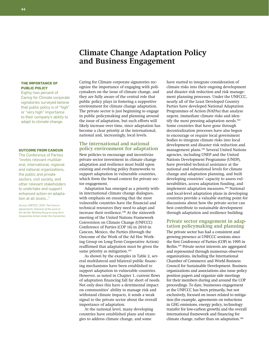# **Climate Change Adaptation Policy and Business Engagement**

### **The Importance of Public Policy**

Eighty-two percent of Caring for Climate corporate signatories surveyed believe that public policy is of "high" or "very high" importance to their company's ability to adapt to climate change.

#### **Outcome from Cancun**

The Conference of Parties "invites relevant multilateral, international, regional and national organizations, the public and private sectors, civil society, and other relevant stakeholders to undertake and support enhanced action on adaptation at all levels…"

*Source: UNFCCC, 2010. The Cancun Agreements: Outcome of the work of the Ad Hoc Working Group on long-term Cooperative Action Under the Convention.*

Caring for Climate corporate signatories recognize the importance of engaging with policymakers on the issue of climate change, and they are fully aware of the central role that public policy plays in fostering a supportive environment for climate change adaptation. The private sector is just beginning to engage in public policymaking and planning around the issue of adaptation, but such efforts will likely increase over time, since adaptation has become a clear priority at the international, national and, increasingly, local levels.

## **The international and national policy environment for adaptation**

New policies to encourage and incentivize private sector investment in climate change adaptation and resilience must build upon existing and evolving policy frameworks to support adaptation in vulnerable countries, which form the broad context for private sector engagement.

Adaptation has emerged as a priority within international climate change dialogues, with emphasis on ensuring that the most vulnerable countries have the financial and technical resources they need to adapt and increase their resilience.<sup>100</sup> At the sixteenth meeting of the United Nations Framework Convention on Climate Change (UNFCCC) Conference of Parties (COP 16) in 2010 in Cancun, Mexico, the Parties (through the Outcome of the Work of the Ad Hoc Working Group on Long-Term Cooperative Action) reaffirmed that adaptation must be given the same priority as mitigation.<sup>101</sup>

As shown by the examples in Table 2, several multilateral and bilateral public financing mechanisms have been established to support adaptation in vulnerable countries. However, as noted in Chapter 1, current flows of adaptation financing fall far short of needs. Not only does this have a detrimental impact on communities' ability to manage risk and withstand climate impacts, it sends a weak signal to the private sector about the overall importance of adaptation.

At the national level, many developing countries have established plans and strategies to address climate change, and some

have started to integrate consideration of climate risks into their ongoing development and disaster risk reduction and risk management planning processes. Under the UNFCCC, nearly all of the Least Developed Country Parties have developed National Adaptation Programmes of Action (NAPAs) that analyze urgent, immediate climate risks and identify the most pressing adaptation needs.<sup>102</sup> Some countries that have gone through decentralization processes have also begun to encourage or require local government bodies to integrate climate risks into local development and disaster risk reduction and management plans.103 Several United Nations agencies, including UNEP and the United Nations Development Programme (UNDP), have provided technical assistance at the national and subnational levels for climate change and adaptation planning, and built developing countries' capacity to assess vulnerabilities, access adaptation funding, and implement adaptation measures.104 National and local-level adaptation plans in developing countries provide a valuable starting point for discussions about how the private sector can best contribute to sustainable development through adaptation and resilience building.

# **Private sector engagement in adap- tation policymaking and planning**

The private sector has had a consistent and growing presence at UNFCCC sessions since the first Conference of Parties (COP) in 1995 in Berlin.105 Private sector interests are aggregated and represented through numerous observer organizations, including the International Chamber of Commerce and World Business Council for Sustainable Development. Business organizations and associations also issue policy position papers and organize side meetings for their members during and around the COP proceedings. To date, businesses engagement at the UNFCCC has been primarily, but not exclusively, focused on issues related to mitigation (for example, agreements on reductions in GHG emissions, energy policy, technology transfer for low-carbon growth) and the overall international framework and financing for climate change, rather than on adaptation.<sup>106</sup>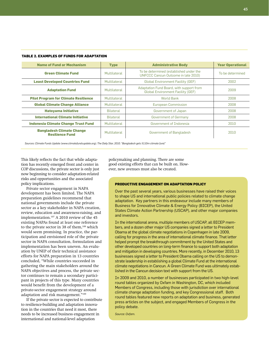| <b>Name of Fund or Mechanism</b>                           | <b>Type</b>      | <b>Administrative Body</b>                                                           | <b>Year Operational</b> |
|------------------------------------------------------------|------------------|--------------------------------------------------------------------------------------|-------------------------|
| <b>Green Climate Fund</b>                                  | Multilateral     | To be determined (established under the<br>UNFCCC Cancun Outcome in late 2010)       | To be determined        |
| <b>Least Developed Countries Fund</b>                      | Multilateral     | <b>Global Environment Facility (GEF)</b>                                             | 2002                    |
| <b>Adaptation Fund</b>                                     | Multilateral     | Adaptation Fund Board, with support from<br><b>Global Environment Facility (GEF)</b> | 2009                    |
| <b>Pilot Program for Climate Resilience</b>                | Multilateral     | <b>World Bank</b>                                                                    | 2008                    |
| <b>Global Climate Change Alliance</b>                      | Multilateral     | European Commission                                                                  | 2008                    |
| <b>Hatoyama Initiative</b>                                 | Bilateral        | Government of Japan                                                                  | 2008                    |
| <b>International Climate Initiative</b>                    | <b>Bilateral</b> | Government of Germany                                                                | 2008                    |
| <b>Indonesia Climate Change Trust Fund</b>                 | Multilateral     | Government of Indonesia                                                              | 2010                    |
| <b>Bangladesh Climate Change</b><br><b>Resilience Fund</b> | Multilateral     | Government of Bangladesh                                                             | 2010                    |

#### **Table 2. Examples of Funds for Adaptation**

*Sources: Climate Funds Update (www.climatefundsupdate.org); The Daily Star, 2010. "Bangladesh gets \$110m climate fund."*

This likely reflects the fact that while adaptation has recently emerged front and center in COP discussions, the private sector is only just now beginning to consider adaptation-related risks and opportunities and the associated policy implications.

Private sector engagement in NAPA development has been limited. The NAPA preparation guidelines recommend that national governments include the private sector as a key stakeholder in NAPA creation, review, education and awareness-raising, and implementation.<sup>107</sup> A 2010 review of the 45 existing NAPAs found at least one reference to the private sector in 38 of them,<sup>108</sup> which would seem promising. In practice, the participation and envisioned role of the private sector in NAPA consultation, formulation and implementation has been uneven. An evaluation by UNEP of their technical assistance efforts for NAPA preparation in 13 countries concluded, "While countries succeeded in gathering the main stakeholders around the NAPA objectives and process, the private sector continues to remain a secondary participant in projects of this type. Many countries would benefit from the development of a private-sector engagement strategy around adaptation and risk management."<sup>109</sup>

If the private sector is expected to contribute to resilience-building and adaptation innovation in the countries that need it most, there needs to be increased business engagement in international and national-level adaptation

policymaking and planning. There are some good existing efforts that can be built on. However, new avenues must also be created.

### **Productive Engagement on Adaptation Policy**

Over the past several years, various businesses have raised their voices to shape US and international public policies related to climate change adaptation. Key partners in this endeavour include many members of Business for Innovative Climate & Energy Policy (BICEP), the United States Climate Action Partnership (USCAP), and other major companies and investors.

In the international arena, multiple members of USCAP, all BICEP members, and a dozen other major US companies signed a letter to President Obama at the global climate negotiations in Copenhagen in late 2009, calling for progress in the area of international climate finance. That letter helped prompt the breakthrough commitment by the United States and other developed countries on long-term finance to support both adaptation and mitigation in developing countries. More recently, in December 2010, 13 businesses signed a letter to President Obama calling on the US to demonstrate leadership in establishing a global Climate Fund at the international climate negotiations in Cancun. A Green Climate Fund was ultimately established in the Cancun decision text with support from the US.

In 2009 and 2010, a number of businesses participated in two high-level round tables organized by Oxfam in Washington, DC, which included Members of Congress, including those with jurisdiction over international climate change adaptation funding, and key Congressional staff. Both round tables featured new reports on adaptation and business, generated press articles on the subject, and engaged Members of Congress in the policy debate.

*Source: Oxfam.*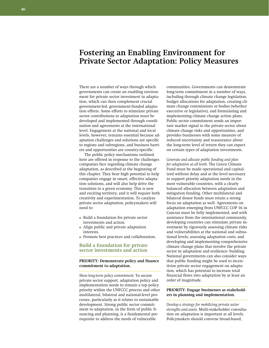# **Fostering an Enabling Environment for Private Sector Adaptation: Policy Measures**

There are a number of ways through which governments can create an enabling environment for private sector investment in adaptation, which can then complement crucial government-led, government-funded adaptation efforts. Some efforts to stimulate private sector contributions to adaptation must be developed and implemented through coordination and agreements at the international level. Engagement at the national and local levels, however, remains essential because adaptation challenges and solutions are specific to regions and subregions, and business barriers and opportunities are country-specific.

The public policy mechanisms outlined here are offered in response to the challenges companies face regarding climate change adaptation, as described at the beginning of this chapter. They bear high potential to help companies engage in smart, effective adaptation solutions, and will also help drive the transition to a green economy. This is new and exciting territory, and it will require both creativity and experimentation. To catalyze private sector adaptation, policymakers will need to:

- Build a foundation for private sector investments and action.
- Align public and private adaptation interests.
- Promote best practices and collaboration.

# **Build a foundation for private sector investments and action**

## **Priority: Demonstrate policy and finance commitment to adaptation.**

*Show long-term policy commitment.* To secure private sector support, adaptation policy and implementation needs to remain a top policy priority within the UNFCCC process and other multilateral, bilateral and national-level processes, particularly as it relates to sustainable development. Strong public sector commitment to adaptation, in the form of public financing and planning, is a fundamental prerequisite to address the needs of vulnerable

communities. Governments can demonstrate long-term commitment in a number of ways, including through climate change legislation, budget allocations for adaptation, creating climate change commissions or bodies (whether executive or legislative), and formulating and implementing climate change action plans. Public sector commitment sends an important market signal to the private sector about climate change risks and opportunities, and provides businesses with some measure of reduced uncertainty and reassurance about the long-term level of return they can expect on certain types of adaptation investments.

*Generate and allocate public funding and plan for adaptation at all levels.* The Green Climate Fund must be made operational and capitalized without delay and at the level necessary to support priority adaptation needs in the most vulnerable countries, with a clearly balanced allocation between adaptation and mitigation funding. Other multilateral and bilateral donor funds must retain a strong focus on adaptation as well. Agreements on adaptation emerging from UNFCCC COP 16 in Cancun must be fully implemented, and with assistance from the international community, developing countries can stimulate private investment by rigorously assessing climate risks and vulnerabilities at the national and subnational levels; assessing adaptation costs; and developing and implementing comprehensive climate change plans that involve the private sector in adaptation and resilience- building. National governments can also consider ways that public funding might be used to incentivize private sector engagement on adaptation, which has potential to increase total financial flows into adaptation by at least an order of magnitude.

## PRIORITY: Engage businesses as stakehold**ers in planning and implementation.**

*Develop a strategy for mobilizing private sector strengths and assets.* Multi-stakeholder consultation on adaptation is important at all levels. Policymakers should convene broad-based,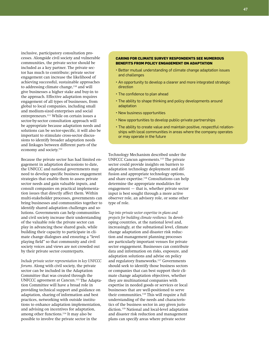inclusive, participatory consultation processes. Alongside civil society and vulnerable communities, the private sector should be included as a key partner. The private sector has much to contribute; private sector engagement can increase the likelihood of achieving successful, sustainable approaches to addressing climate change,<sup>110</sup> and will give businesses a higher stake and buy-in to the approach. Effective adaptation requires engagement of all types of businesses, from global to local companies, including small and medium-sized enterprises and social entrepreneurs.111 While on certain issues a sector-by-sector consultation approach will be appropriate because adaptation needs and solutions can be sector-specific, it will also be important to stimulate cross-sector discussions to identify broader adaptation needs and linkages between different parts of the economy and society.<sup>112</sup>

Because the private sector has had limited engagement in adaptation discussions to date, the UNFCCC and national governments may need to develop specific business engagement strategies that enable them to assess private sector needs and gain valuable inputs, and consult companies on practical implementation issues that directly affect them. Within multi-stakeholder processes, governments can bring businesses and communities together to identify shared adaptation challenges and solutions. Governments can help communities and civil society increase their understanding of the valuable role the private sector can play in advancing these shared goals, while building their capacity to participate in climate change dialogues and ensuring a "level playing field" so that community and civil society voices and views are not crowded out by their private sector counterparts.

*Include private sector representation in key UNFCCC forums.* Along with civil society, the private sector can be included in the Adaptation Committee that was created through the UNFCCC agreement at Cancun.113 The Adaptation Committee will have a broad role in providing technical support and guidance on adaptation, sharing of information and best practices, networking with outside institutions to enhance adaptation implementation, and advising on incentives for adaptation, among other functions.114 It may also be possible to involve the private sector in the

### **Caring for Climate Survey Respondents See Numerous Benefits from Policy Engagement on Adaptation**

- Better mutual understanding of climate change adaptation issues and challenges
- An opportunity to develop a clearer and more integrated strategic direction
- The confidence to plan ahead
- The ability to shape thinking and policy developments around adaptation
- • New business opportunities
- • New opportunities to develop public-private partnerships
- The ability to create value and maintain positive, respectful relationships with local communities in areas where the company operates or may operate in the future

Technology Mechanism described under the UNFCCC Cancun agreements.115 The private sector could provide insights on barriers to adaptation technology deployment and diffusion and appropriate technology options, and share expertise.<sup>116</sup> Consultations can help determine the appropriate modalities for engagement — that is, whether private sector input is best sought through a more active observer role, an advisory role, or some other type of role.

*Tap into private sector expertise in plans and projects for building climate resilience.* In developing countries, at the national level and, increasingly, at the subnational level, climate change adaptation and disaster risk reduction and management planning processes are particularly important venues for private sector engagement. Businesses can contribute data and information on risks, exposure, and adaptation solutions and advise on policy and regulatory frameworks.<sup>117</sup> Governments should seek to identify those business sectors or companies that can best support their climate change adaptation objectives, whether they are multinational companies with expertise in needed goods or services or local businesses that are well-positioned to serve their communities.<sup>118</sup> This will require a full understanding of the needs and characteristics of the business sector in any given jurisdiction.119 National and local-level adaptation and disaster risk reduction and management plans can specify areas where private sector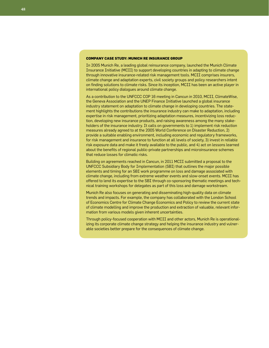### **Company Case Study: Munich Re Insurance Group**

In 2005 Munich Re, a leading global reinsurance company, launched the Munich Climate Insurance Initiative (MCII) to support developing countries in adapting to climate change through innovative insurance-related risk management tools. MCII comprises insurers, climate change and adaptation experts, civil society groups and policy researchers intent on finding solutions to climate risks. Since its inception, MCII has been an active player in international policy dialogues around climate change.

As a contribution to the UNFCCC COP 16 meeting in Cancun in 2010, MCII, ClimateWise, the Geneva Association and the UNEP Finance Initiative launched a global insurance industry statement on adaptation to climate change in developing countries. The statement highlights the contributions the insurance industry can make to adaptation, including expertise in risk management, prioritizing adaptation measures, incentivizing loss reduction, developing new insurance products, and raising awareness among the many stakeholders of the insurance industry. It calls on governments to 1) implement risk reduction measures already agreed to at the 2005 World Conference on Disaster Reduction, 2) provide a suitable enabling environment, including economic and regulatory frameworks, for risk management and insurance to function at all levels of society, 3) invest in reliable risk exposure data and make it freely available to the public, and 4) act on lessons learned about the benefits of regional public-private partnerships and microinsurance schemes that reduce losses for climatic risks.

Building on agreements reached in Cancun, in 2011 MCII submitted a proposal to the UNFCCC Subsidiary Body for Implementation (SBI) that outlines the major possible elements and timing for an SBI work programme on loss and damage associated with climate change, including from extreme weather events and slow-onset events. MCII has offered to lend its expertise to the SBI through co-sponsoring thematic meetings and technical training workshops for delegates as part of this loss and damage workstream.

Munich Re also focuses on generating and disseminating high-quality data on climate trends and impacts. For example, the company has collaborated with the London School of Economics Centre for Climate Change Economics and Policy to review the current state of climate modelling and improve the production and extraction of valuable, relevant information from various models given inherent uncertainties.

Through policy-focused cooperation with MCII and other actors, Munich Re is operationalizing its corporate climate change strategy and helping the insurance industry and vulnerable societies better prepare for the consequences of climate change.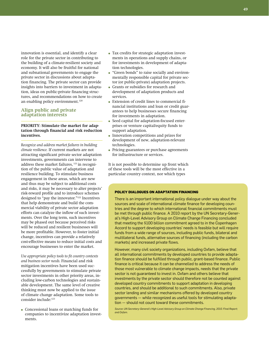innovation is essential, and identify a clear role for the private sector in contributing to the building of a climate-resilient society and economy. It will also be fruitful for national and subnational governments to engage the private sector in discussions about adaptation financing. The private sector can provide insights into barriers to investment in adaptation, ideas on public-private financing structures, and recommendations on how to create an enabling policy environment.<sup>120</sup>

## **Align public and private adaptation interests**

### **PRIORITY: Stimulate the market for adaptation through financial and risk reduction incentives.**

*Recognize and address market failures in building climate resilience.* If current markets are not attracting significant private sector adaptation investments, governments can intervene to address these market failures, 121 in recognition of the public value of adaptation and resilience building. To stimulate business engagement in these areas, which are new and thus may be subject to additional costs and risks, it may be necessary to alter projects' risk-reward profile and to introduce schemes designed to "pay the innovator."122 Incentives that help demonstrate and build the commercial viability of private sector adaptation efforts can catalyze the inflow of such investments. Over the long term, such incentives may be phased out because perceived risks will be reduced and resilient businesses will be more profitable. However, to foster initial change, incentives can provide a relatively cost-effective means to reduce initial costs and encourage businesses to enter the market.

*Use appropriate policy tools to fit country contexts and business sector needs.* Financial and risk mitigation incentives have been used successfully by governments to stimulate private sector investments in other priority areas, including low-carbon technologies and sustainable development. The same level of creative thinking must now be applied to the issue of climate change adaptation. Some tools to consider include:123

● Concessional loans or matching funds for companies to incentivize adaptation investments.

- Tax credits for strategic adaptation investments in operations and supply chains, or for investments in development of adaptation technologies.
- "Green bonds" to raise socially and environmentally responsible capital for private sector (or public-private) adaptation projects.
- Grants or subsidies for research and development of adaptation products and services.
- Extension of credit lines to commercial financial institutions and loan or credit guarantees to help businesses secure financing for investments in adaptation.
- Seed capital for adaptation-focused enterprises or venture capital/equity funds to support adaptation.
- Innovation competitions and prizes for development of new, adaptation-relevant technologies.
- Pricing guarantees or purchase agreements for infrastructure or services.

It is not possible to determine up front which of these tools will be the most effective in a particular country context, nor which types

### **Policy Dialogues on Adaptation Financing**

There is an important international policy dialogue under way about the sources and scale of international climate finance for developing countries and the degree to which international financial commitments must be met through public finance. A 2010 report by the UN Secretary-General's High-Level Advisory Group on Climate Change Financing concluded that meeting the \$100 billion commitment agreed to in the Copenhagen Accord to support developing countries' needs is feasible but will require funds from a wide range of sources, including public funds, bilateral and multilateral funds, alternative sources of financing (including the carbon markets) and increased private flows.

However, many civil society organizations, including Oxfam, believe that all international commitments by developed countries to provide adaptation finance should be fulfilled through public, grant-based finance. Public finance is critical because it can be channelled to address the needs of those most vulnerable to climate change impacts, needs that the private sector is not guaranteed to invest in. Oxfam and others believe that investments by the private sector should therefore not be counted against developed country commitments to support adaptation in developing countries, and should be additional to such commitments. Also, private sector lending and similar mechanisms offered by developed country governments — while recognized as useful tools for stimulating adaptation — should not count toward these commitments.

*Source: UN Secretary-General's High-Level Advisory Group on Climate Change Financing, 2010. Final Report; and Oxfam.*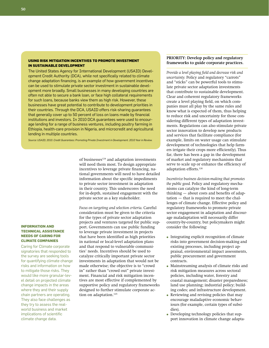## **Using Risk Mitigation Incentives to Promote Investment in Sustainable Development**

The United States Agency for International Development (USAID) Development Credit Authority (DCA), while not specifically related to climate change adaptation financing, is an example of how government incentives can be used to stimulate private sector investment in sustainable development more broadly. Small businesses in many developing countries are often not able to secure a bank loan, or face high collateral requirements for such loans, because banks view them as high risk. However, these businesses have great potential to contribute to development priorities in their countries. Through the DCA, USAID offers risk-sharing guarantees that generally cover up to 50 percent of loss on loans made by financial institutions and investors. In 2010 DCA guarantees were used to encourage lending for a range of business ventures, including poultry farming in Ethiopia, health-care provision in Nigeria, and microcredit and agricultural lending in multiple countries.

*Source: USAID, 2010. Credit Guarantees: Promoting Private Investment in Development. 2010 Year in Review.*

of businesses<sup>124</sup> and adaptation investments will need them most. To design appropriate incentives to leverage private financing, national governments will need to have detailed information about the specific impediments to private sector investment in adaptation in their country. This underscores the need for in-depth, sustained engagement with the private sector as a key stakeholder.

*Focus on targeting and selection criteria.* Careful consideration must be given to the criteria for the types of private sector adaptation projects and ventures targeted for public support. Governments can use public funding to leverage private investment in projects that have been identified as high priorities in national or local-level adaptation plans and that respond to vulnerable communities' needs. Incentives should be used to catalyze critically important private sector investments in adaptation that would not be made otherwise; the objective is to "crowd in" rather than "crowd out" private investment. Financial and risk mitigation incentives are most effective if complemented by supportive policy and regulatory frameworks designed to further stimulate corporate action on adaptation.<sup>125</sup>

### **PRIORITY: Develop policy and regulatory frameworks to guide corporate practices.**

*Provide a level playing field and decrease risk and uncertainty.* Policy and regulatory "carrots" and "sticks" can be powerful tools to stimulate private sector adaptation investments that contribute to sustainable development. Clear and coherent regulatory frameworks create a level playing field, on which companies must all play by the same rules and know what is expected of them, thus helping to reduce risk and uncertainty for those considering different types of adaptation investments. Regulations can also stimulate private sector innovation to develop new products and services that facilitate compliance (for example, limits on water usage can stimulate development of technologies that help farmers irrigate their crops more efficiently). Thus far, there has been a gap in the development of market and regulatory mechanisms that serve to scale up or enhance the efficiency of adaptation efforts.<sup>126</sup>

*Incentivize business decision-making that promotes the public good.* Policy and regulatory mechanisms can catalyze the kind of long-term thinking — about costs and benefits of adaptation — that is required to meet the challenges of climate change. Effective policy and regulatory frameworks to promote private sector engagement in adaptation and discourage maladaptation will necessarily differ country-by-country, but policymakers might consider the following:

- Integrating explicit recognition of climate risks into government decision-making and existing processes, including project appraisal, environmental impact assessments, public procurement and government contracts.
- Mainstreaming analysis of climate risks and risk mitigation measures across sectoral policies, including water, forestry and coastal management; disaster preparedness; land use planning; industrial policy; building codes; and infrastructure development.
- Reviewing and revising policies that may encourage maladaptive economic behaviours (for example, certain types of subsidies).
- Developing technology policies that support innovation in climate change adapta-

### **Information and Technical Assistance Needs of Caring for Climate Companies**

Caring for Climate corporate signatories that responded to the survey are seeking tools for quantifying climate change risks and information on how to mitigate those risks. They would like more granular-level detail on projected climate change impacts in the areas where they and their supply chain partners are operating. They also face challenges as they try to assess the realworld business and market implications of scientific climate change data.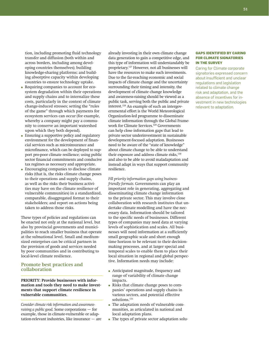tion, including promoting fluid technology transfer and diffusion (both within and across borders, including among developing countries themselves); building knowledge-sharing platforms; and building absorptive capacity within developing countries to ensure technology uptake.

- Requiring companies to account for ecosystem degradation within their operations and supply chains and to internalize these costs, particularly in the context of climate change-induced stresses; setting the "rules of the game" through which payments for ecosystem services can occur (for example, whereby a company might pay a community to conserve an important watershed upon which they both depend).
- Ensuring a supportive policy and regulatory environment for the development of financial services such as microinsurance and microfinance, which can be deployed to support pro-poor climate resilience; using public sector financial commitments and conducive tax regimes as necessary and appropriate.
- Encouraging companies to disclose climate risks (that is, the risks climate change poses to their operations and supply chains, as well as the risks their business activities may have on the climate resilience of vulnerable communities) in a standardized, comparable, disaggregated format to their stakeholders; and report on actions being taken to address those risks.

These types of policies and regulations can be enacted not only at the national level, but also by provincial governments and municipalities to reach smaller business that operate at the subnational level. Small and mediumsized enterprises can be critical partners in the provision of goods and services needed by poor communities and in contributing to local-level climate resilience.

# **Promote best practices and collaboration**

**PRIORITY: Provide businesses with information and tools they need to make investments that support climate resilience in vulnerable communities.** 

*Consider climate risk information and awarenessraising a public good.* Some corporations — for example, those in climate-vulnerable or adaptation-relevant industries, like insurance — are already investing in their own climate change data generation to gain a competitive edge, and this type of information will understandably be proprietary.127 However, not all businesses will have the resources to make such investments. Due to the far-reaching economic and social impacts of climate change and the uncertainty surrounding their timing and intensity, the development of climate change knowledge and awareness-raising should be viewed as a public task, serving both the public and private interest.128 An example of such an intergovernmental effort is the World Meteorological Organization-led programme to disseminate climate information through the Global Framework for Climate Services.<sup>129</sup> Governments can help close information gaps that lead to private sector underinvestment in sustainable development-focused adaptation. Businesses need to be aware of the "state of knowledge" about climate change to be able to understand their exposure and address climate risks,<sup>130</sup> and also to be able to avoid maladaptation and instead adapt in ways that support community resilience.

*Fill priority information gaps using businessfriendly formats.* Governments can play an important role in generating, aggregating and disseminating climate change information to the private sector. This may involve close collaboration with research institutes that undertake climate modelling and have the necessary data. Information should be tailored to the specific needs of businesses. Different types of companies may need data at varying levels of sophistication and scales. All businesses will need information at a sufficiently small geographic scale and short enough time horizon to be relevant to their decisionmaking processes, and at larger special and temporal scales to enable them to place their local situation in regional and global perspective. Information needs may include:

- Anticipated magnitude, frequency and range of variability of climate change impacts.
- Risks that climate change poses to companies' operations and supply chains in various sectors, and potential effective solutions.<sup>131</sup>
- The adaptation needs of vulnerable communities, as articulated in national and local adaptation plans.
- The types of private sector adaptation solu-

#### **Gaps Identified by Caring for Climate Signatories in the Survey**

Caring for Climate corporate signatories expressed concern about insufficient and unclear regulations and legislation related to climate change risk and adaptation, and the absence of incentives for investment in new technologies relevant to adaptation.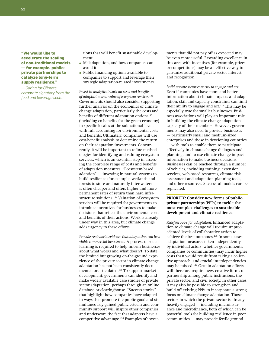**"We would like to accelerate the scaling of non-traditional models — for example, publicprivate partnerships to catalyze long-term supply resilience."**

*— Caring for Climate corporate signatory from the food and beverage sector*

tions that will benefit sustainable development.

- Maladaptation, and how companies can avoid it.
- Public financing options available to companies to support and leverage their strategic adaptation-related investments.

*Invest in analytical work on costs and benefits of adaptation and value of ecosystem services.*<sup>132</sup> Governments should also consider supporting further analysis on the economics of climate change adaptation, particularly the costs and benefits of different adaptation options<sup>133</sup> (including co-benefits for the green economy) in specific locales at the subnational level, with full accounting for environmental costs and benefits. Ultimately, companies will use cost-benefit analysis to determine the return on their adaptation investments. Concurrently, it will be important to refine methodologies for identifying and valuing ecosystem services, which is an essential step in assessing the complete range of costs and benefits of adaptation measures. "Ecosystem-based adaption" — investing in natural systems to build resilience (for example, wetlands and forests to store and naturally filter water) is often cheaper and offers higher and more permanent rates of return than hard infrastructure solutions.134 Valuation of ecosystem services will be required for governments to introduce incentives for businesses to make decisions that reflect the environmental costs and benefits of their actions. Work is already under way in this area, but climate change adds urgency to these efforts.

*Provide real-world evidence that adaptation can be a viable commercial investment.* A process of social learning is required to help inform businesses about what works and what doesn't. To date, the limited but growing on-the-ground experience of the private sector in climate change adaptation has not been consistently documented or articulated.135 To support market development, governments can identify and make widely available case studies of private sector adaptation, perhaps through an online database or clearinghouse. "Success stories" that highlight how companies have adapted in ways that promote the public good and simultaneously gained public esteem and community support will inspire other companies and underscore the fact that adapters have a competitive advantage.136 Examples of investments that did not pay off as expected may be even more useful. Rewarding excellence in this area with incentives (for example, prizes or competitions) may be an effective way to galvanize additional private sector interest and recognition.

*Build private sector capacity to engage and act.*  Even if companies have more and better information about climate impacts and adaptation, skill and capacity constraints can limit their ability to engage and  $act.^{137}$  This may be especially true for smaller businesses. Business associations will play an important role in building the climate change adaptation capacity of their members. However, governments may also need to provide businesses — particularly small and medium-sized enterprises and those in developing countries — with tools to enable them to participate effectively in climate change dialogues and planning, and to use climate change impact information to make business decisions. Businesses can be reached through a number of vehicles, including training, extension services, web-based resources, climate risk assessment and adaptation planning tools, and other resources. Successful models can be replicated.

## PRIORITY: Consider new forms of public**private partnerships (PPPs) to tackle the most complex challenges to sustainable development and climate resilience.**

*Redefine PPPs for adaptation.* Enhanced adaptation to climate change will require unprecedented levels of collaborative action to achieve the best outcomes.<sup>138</sup> In some cases, adaptation measures taken independently by individual actors (whether governments, companies or communities) may incur higher costs than would result from taking a collective approach, and crucial interdependencies may be missed.139 Certain adaptation efforts will therefore require new, creative forms of partnership among public institutions, the private sector, and civil society. In other cases, it may also be possible to strengthen and build off existing PPPs to incorporate a strong focus on climate change adaptation. Those sectors in which the private sector is already heavily engaged — including microinsurance and microfinance, both of which can be powerful tools for building resilience in poor communities — may provide fertile ground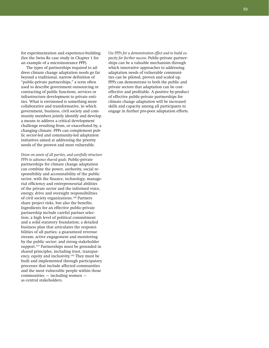for experimentation and experience-building. (See the Swiss Re case study in Chapter 1 for an example of a microinsurance PPP).

The types of partnerships required to address climate change adaptation needs go far beyond a traditional, narrow definition of "public-private partnerships," a term often used to describe government outsourcing or contracting of public functions, services or infrastructure development to private entities. What is envisioned is something more collaborative and transformative, in which government, business, civil society and community members jointly identify and develop a means to address a critical development challenge resulting from, or exacerbated by, a changing climate. PPPs can complement public sector-led and community-led adaptation initiatives aimed at addressing the priority needs of the poorest and most vulnerable.

*Draw on assets of all parties, and carefully structure PPPs to advance shared goals.* Public-private partnerships for climate change adaptation can combine the power, authority, social responsibility and accountability of the public sector, with the finance, technology, managerial efficiency and entrepreneurial abilities of the private sector and the informed voice, energy, drive and oversight responsibilities of civil society organizations.140 Partners share project risks, but also the benefits. Ingredients for an effective public-private partnership include careful partner selection; a high level of political commitment and a solid statutory foundation; a detailed business plan that articulates the responsibilities of all parties; a guaranteed revenue stream; active engagement and monitoring by the public sector; and strong stakeholder support.<sup>141</sup> Partnerships must be grounded in shared principles, including trust, transparency, equity and inclusivity.142 They must be built and implemented through participatory processes that include affected communities and the most vulnerable people within those communities — including women as central stakeholders.

*Use PPPs for a demonstration effect and to build capacity for further success.* Public-private partnerships can be a valuable mechanism through which innovative approaches to addressing adaptation needs of vulnerable communities can be piloted, proven and scaled up. PPPs can demonstrate to both the public and private sectors that adaptation can be costeffective and profitable. A positive by-product of effective public-private partnerships for climate change adaptation will be increased skills and capacity among all participants to engage in further pro-poor adaptation efforts.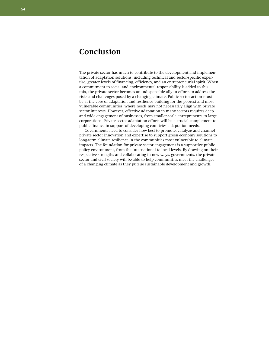# **Conclusion**

The private sector has much to contribute to the development and implementation of adaptation solutions, including technical and sector-specific expertise, greater levels of financing, efficiency, and an entrepreneurial spirit. When a commitment to social and environmental responsibility is added to this mix, the private sector becomes an indispensible ally in efforts to address the risks and challenges posed by a changing climate. Public sector action must be at the core of adaptation and resilience building for the poorest and most vulnerable communities, where needs may not necessarily align with private sector interests. However, effective adaptation in many sectors requires deep and wide engagement of businesses, from smaller-scale entrepreneurs to large corporations. Private sector adaptation efforts will be a crucial complement to public finance in support of developing countries' adaptation needs.

Governments need to consider how best to promote, catalyze and channel private sector innovation and expertise to support green economy solutions to long-term climate resilience in the communities most vulnerable to climate impacts. The foundation for private sector engagement is a supportive public policy environment, from the international to local levels. By drawing on their respective strengths and collaborating in new ways, governments, the private sector and civil society will be able to help communities meet the challenges of a changing climate as they pursue sustainable development and growth.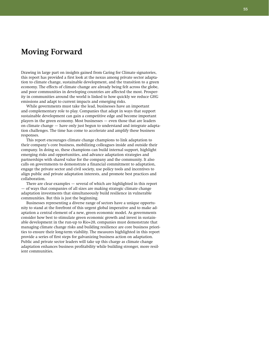# **Moving Forward**

Drawing in large part on insights gained from Caring for Climate signatories, this report has provided a first look at the nexus among private sector adaptation to climate change, sustainable development, and the transition to a green economy. The effects of climate change are already being felt across the globe, and poor communities in developing countries are affected the most. Prosperity in communities around the world is linked to how quickly we reduce GHG emissions and adapt to current impacts and emerging risks.

While governments must take the lead, businesses have an important and complementary role to play. Companies that adapt in ways that support sustainable development can gain a competitive edge and become important players in the green economy. Most businesses — even those that are leaders on climate change — have only just begun to understand and integrate adaptation challenges. The time has come to accelerate and amplify these business responses.

This report encourages climate change champions to link adaptation to their company's core business, mobilizing colleagues inside and outside their company. In doing so, these champions can build internal support, highlight emerging risks and opportunities, and advance adaptation strategies and partnerships with shared value for the company and the community. It also calls on governments to demonstrate a financial commitment to adaptation, engage the private sector and civil society, use policy tools and incentives to align public and private adaptation interests, and promote best practices and collaboration.

There are clear examples — several of which are highlighted in this report — of ways that companies of all sizes are making strategic climate change adaptation investments that simultaneously build resilience in vulnerable communities. But this is just the beginning.

Businesses representing a diverse range of sectors have a unique opportunity to stand at the forefront of this urgent global imperative and to make adaptation a central element of a new, green economic model. As governments consider how best to stimulate green economic growth and invest in sustainable development in the run-up to Rio+20, companies must demonstrate that managing climate change risks and building resilience are core business priorities to ensure their long-term viability. The measures highlighted in this report provide a series of first steps for galvanizing business action on adaptation. Public and private sector leaders will take up this charge as climate change adaptation enhances business profitability while building stronger, more resilient communities.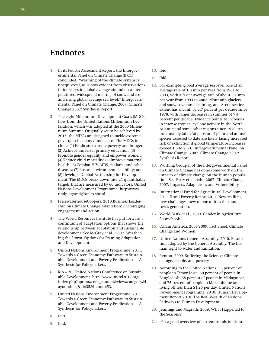# **Endnotes**

- **1.** In its Fourth Assessment Report, the Intergovernmental Panel on Climate Change (IPCC) concluded, "Warming of the climate system is unequivocal, as is now evident from observations in increases in global average air and ocean temperatures, widespread melting of snow and ice and rising global average sea level." Intergovernmental Panel on Climate Change, 2007. Climate Change 2007: Synthesis Report.
- **2.** The eight Millennium Development Goals (MDGs) flow from the United Nations Millennium Declaration, which was adopted at the 2000 Millennium Summit. Originally set to be achieved by 2015, the MDGs are designed to tackle extreme poverty in its many dimensions. The MDGs include: (1) Eradicate extreme poverty and hunger; (2) Achieve universal primary education; (3) Promote gender equality and empower women; (4) Reduce child mortality; (5) Improve maternal health; (6) Combat HIV/AIDS, malaria, and other diseases; (7) Ensure environmental stability; and (8) Develop a Global Partnership for Development. The MDGs break down into 21 quantifiable targets that are measured by 60 indicators. United Nations Development Programme. http://www. undp.org/mdg/basics.shtml.
- **3.** PricewaterhouseCoopers, 2010.Business Leadership on Climate Change Adaptation: Encouraging engagement and action.
- **4.** The World Resources Institute has put forward a continuum of adaptation options that shows the relationship between adaptation and sustainable development. See McGray et al., 2007. Weathering the Storm. Options for Framing Adaptation and Development.
- **5.** United Nations Environment Programme, 2011. Towards a Green Economy: Pathways to Sustainable Development and Poverty Eradication  $-$  A Synthesis for Policymakers.
- **6.** Rio + 20, United Nations Conference on Sustainable Development. http://www.uncsd2012.org/ index.php?option=com\_content&view=category&l ayout=blog&id=35&Itemid=53.
- **7.** United Nations Environment Programme, 2011. Towards a Green Economy: Pathways to Sustainable Development and Poverty Eradication  $-$  A Synthesis for Policymakers.
- **8.** Ibid.
- **9.** Ibid.
- **10.** Ibid.
- **11.** Ibid.
- **12.** For example, global average sea level rose at an average rate of 1.8 mm per year from 1961 to 2003, with a faster average rate of about 3.1 mm per year from 1993 to 2003. Mountain glaciers and snow cover are declining, and Arctic sea ice extent has shrunk by 2.7 percent per decade since 1978, with larger decreases in summer of 7.4 percent per decade. Evidence points to increases in intense tropical cyclone activity in the North Atlantic and some other regions since 1970. Approximately 20 to 30 percent of plant and animal species assessed to date are likely facing increased risk of extinction if global temperature increases exceed 1.5 to 2.5°C. Intergovernmental Panel on Climate Change, 2007. Climate Change 2007: Synthesis Report.
- **13.** Working Group II of the Intergovernmental Panel on Climate Change has done some work on the impacts of climate change on the human population. See Parry et al., eds., 2007. Climate Change 2007: Impacts, Adaptation, and Vulnerability.
- **14.** International Fund for Agricultural Development, 2011. Rural Poverty Report 2011. New realities, new challenges: new opportunities for tomorrow's generation.
- **15.** World Bank et al., 2009. Gender in Agriculture Sourcebook.
- **16.** Oxfam America, 2008/2009. Fact Sheet: Climate Change and Women.
- **17.** United Nations General Assembly, 2010. Resolution adopted by the General Assembly. The human right to water and sanitation.
- **18.** Renton, 2009. Suffering the Science: Climate change, people, and poverty.
- **19.** According to the United Nations, 38 percent of people in Timor-Leste, 50 percent of people in Bangladesh, 68 percent of people in Madagascar, and 75 percent of people in Mozambique are living off less than \$1.25 per day. United Nations Development Programme, 2010. Human Development Report 2010. The Real Wealth of Nations: Pathways to Human Development.
- **20.** Jennings and Magrath, 2009. What Happened to the Seasons?
- **21.** For a good overview of current trends in disaster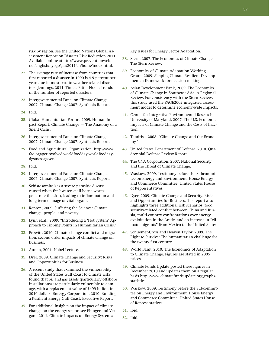risk by region, see the United Nations Global Assessment Report on Disaster Risk Reduction 2011. Available online at http://www.preventionweb. net/english/hyogo/gar/2011/en/home/index.html.

- **22.** The average rate of increase from countries that first reported a disaster in 1990 is 4.9 percent per year, due in most part to weather-related disasters. Jennings, 2011. Time's Bitter Flood: Trends in the number of reported disasters.
- **23.** Intergovernmental Panel on Climate Change, 2007. Climate Change 2007: Synthesis Report.
- **24.** Ibid.
- **25.** Global Humanitarian Forum, 2009. Human Impact Report: Climate Change – The Anatomy of a Silent Crisis.
- **26.** Intergovernmental Panel on Climate Change, 2007. Climate Change 2007: Synthesis Report.
- **27.** Food and Agricultural Organization. http://www. fao.org/getinvolved/worldfoodday/worldfooddaydgsmessage/en/
- **28.** Ibid.
- **29.** Intergovernmental Panel on Climate Change, 2007. Climate Change 2007: Synthesis Report.
- **30.** Schistosomiasis is a severe parasitic disease caused when freshwater snail-borne worms penetrate the skin, leading to inflammation and long-term damage of vital organs.
- **31.** Renton, 2009. Suffering the Science: Climate change, people, and poverty.
- **32.** Lynn et.al., 2009. "Introducing a 'Hot System' Approach to Tipping Points in Humanitarian Crisis."
- **33.** Prowitt, 2010. Climate change conflict and migration: second order impacts of climate change on business.
- **34.** Annan, 2001. Nobel Lecture.
- **35.** Dyer, 2009. Climate Change and Security: Risks and Opportunities for Business.
- **36.** A recent study that examined the vulnerability of the United States Gulf Coast to climate risks found that oil and gas assets (particularly offshore installations) are particularly vulnerable to damage, with a replacement value of \$499 billion in 2010 dollars. Entergy Corporation, 2010. Building a Resilient Energy Gulf Coast: Executive Report.
- **37.** For additional insights on the impact of climate change on the energy sector, see Ebinger and Vergara, 2011, Climate Impacts on Energy Systems:

Key Issues for Energy Sector Adaptation.

- **38.** Stern, 2007. The Economics of Climate Change: The Stern Review.
- **39.** Economics of Climate Adaptation Working Group, 2009. Shaping Climate-Resilient Development: a framework for decision making.
- **40.** Asian Development Bank, 2009. The Economics of Climate Change in Southeast Asia: A Regional Review. For consistency with the Stern Review, this study used the PAGE2002 integrated assessment model to determine economy-wide impacts.
- **41.** Center for Integrative Environmental Research, University of Maryland, 2007. The U.S. Economic Impacts of Climate Change and the Costs of Inaction.
- **42.** Tamirisa, 2008. "Climate Change and the Economy."
- **43.** United States Department of Defense, 2010. Quadrennial Defense Review Report.
- **44.** The CNA Corporation, 2007. National Security and the Threat of Climate Change.
- **45.** Waskow, 2009. Testimony before the Subcommittee on Energy and Environment, House Energy and Commerce Committee, United States House of Representatives.
- **46.** Dyer, 2009. Climate Change and Security: Risks and Opportunities for Business.This report also highlights three additional risk scenarios: food security-related conflict between China and Russia, multi-country confrontations over energy exploitation in the Arctic, and an increase in "climate migrants" from Mexico to the United States.
- **47.** Schuemer-Cross and Heaven Taylor, 2009. The Right to Survive: The humanitarian challenge for the twenty-first century.
- **48.** World Bank, 2010. The Economics of Adaptation to Climate Change. Figures are stated in 2005 prices.
- **49.** Climate Funds Update posted these figures in December 2010 and updates them on a regular basis.http://www.climatefundsupdate.org/graphsstatistics.
- **50.** Waskow, 2009. Testimony before the Subcommittee on Energy and Environment, House Energy and Commerce Committee, United States House of Representatives.
- **51.** Ibid.
- **52.** Ibid.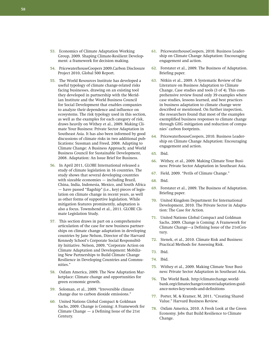**58** 

- **53.** Economics of Climate Adaptation Working Group, 2009. Shaping Climate-Resilient Development: a framework for decision making.
- **54.** PricewaterhouseCoopers 2009.Carbon Disclosure Project 2010, Global 500 Report.
- **55.** The World Resources Institute has developed a useful typology of climate change-related risks facing businesses, drawing on an existing tool they developed in partnership with the Meridian Institute and the World Business Council for Social Development that enables companies to analyze their dependence and influence on ecosystems. The risk typology used in this section, as well as the examples for each category of risk, draws heavily on Withey et al., 2009. Making Climate Your Business: Private Sector Adaptation in Southeast Asia. It has also been informed by good discussions of climate risks in two additional publications: Sussman and Freed, 2008. Adapting to Climate Change: A Business Approach; and World Business Council for Sustainable Development, 2008. Adaptation: An Issue Brief for Business.
- **56.** In April 2011, GLOBE International released a study of climate legislation in 16 countries. The study shows that several developing countries with sizeable economies — including Brazil, China, India, Indonesia, Mexico, and South Africa — have passed "flagship" (i.e., key) pieces of legislation on climate change in recent years, as well as other forms of supportive legislation. While mitigation features prominently, adaptation is also a focus. Townshend et al., 2011. GLOBE Climate Legislation Study.
- **57.** This section draws in part on a comprehensive articulation of the case for new business partnerships on climate change adaptation in developing countries by Jane Nelson, Director of the Harvard Kennedy School's Corporate Social Responsibility Initiative. Nelson, 2009, "Corporate Action on Climate Adaptation and Development: Mobilizing New Partnerships to Build Climate Change Resilience in Developing Countries and Communities."
- **58.** Oxfam America, 2009. The New Adaptation Marketplace: Climate change and opportunities for green economic growth.
- **59.** Soloman, et al., 2009. "Irreversible climate change due to carbon dioxide emissions."
- **60.** United Nations Global Compact & Goldman Sachs, 2009. Change is Coming: A Framework for Climate Change — a Defining Issue of the 21st Century.
- **61.** PricewaterhouseCoopers, 2010. Business Leadership on Climate Change Adaptation: Encouraging engagement and action.
- **62.** Forstater et al., 2009. The Business of Adaptation. Briefing paper.
- **63.** Nitkin et al., 2009. A Systematic Review of the Literature on Business Adaptation to Climate Change, Case studies and tools (3 of 4). This comprehensive review found only 39 examples where case studies, lessons learned, and best practices in business adaptation to climate change were described or mentioned. On further inspection, the researchers found that most of the examples exemplified business responses to climate change through GHG mitigation and reduction of companies' carbon footprints.
- **64.** PricewaterhouseCoopers, 2010. Business Leadership on Climate Change Adaptation: Encouraging engagement and action.
- **65.** Ibid.
- **66.** Withey, et al., 2009. Making Climate Your Business: Private Sector Adaptation in Southeast Asia.
- **67.** Field, 2009. "Perils of Climate Change."
- **68.** Ibid.
- **69.** Forstater et al., 2009. The Business of Adaptation. Briefing paper.
- **70.** United Kingdom Department for International Development, 2010. The Private Sector in Adaptation: The Case for Action.
- **71.** United Nations Global Compact and Goldman Sachs, 2009. Change is Coming: A Framework for Climate Change—a Defining Issue of the 21stCentury.
- **72.** Stenek, et al., 2010. Climate Risk and Business: Practical Methods for Assessing Risk.
- **73.** Ibid.
- **74.** Ibid.
- **75.** Withey et al., 2009. Making Climate Your Business: Private Sector Adaptation in Southeast Asia.
- **76.** The World Bank. http://climatechange.worldbank.org/climatechange/content/adaptation-guidance-notes-key-words-and-definitions
- **77.** Porter, M, & Kramer, M, 2011. "Creating Shared Value." Harvard Business Review.
- **78.** Oxfam America, 2010. A Fresh Look at the Green Economy. Jobs that Build Resilience to Climate Change.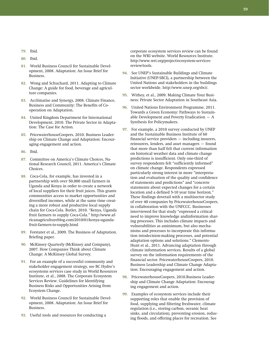- **79.** Ibid.
- **80.** Ibid.
- **81.** World Business Council for Sustainable Development, 2008. Adaptation: An Issue Brief for Business.
- **82.** Wong and Schuchard, 2011. Adapting to Climate Change: A guide for food, beverage and agriculture companies.
- **83.** Acclimatise and Synergy, 2008. Climate Finance, Business and Community: The Benefits of Cooperation on Adaptation.
- **84.** United Kingdom Department for International Development, 2010. The Private Sector in Adaptation: The Case for Action.
- **85.** PricewaterhouseCoopers, 2010. Business Leadership on Climate Change and Adaptation: Encouraging engagement and action.
- **86.** Ibid.
- **87.** Committee on America's Climate Choices, National Research Council, 2011. America's Climate Choices.
- **88.** Coca-Cola, for example, has invested in a partnership with over 50,000 small farmers in Uganda and Kenya in order to create a network of local suppliers for their fruit juices. This grants communities access to market opportunities and diversified incomes, while at the same time creating a more robust and productive local supply chain for Coca-Cola. Butler, 2010. "Kenya, Uganda fruit farmers to supply Coca-Cola." http://www.africanagricultureblog.com/2010/01/kenya-ugandafruit-farmers-to-supply.html
- **89.** Forstater et al., 2009. The Business of Adaptation. Briefing paper.
- **90.** McKinsey Quarterly (McKinsey and Company), 2007. How Companies Think about Climate Change: A McKinsey Global Survey.
- **91.** For an example of a successful community and stakeholder engagement strategy, see BC Hydro's ecosystems services case study in World Resources Institute, et al., 2008. The Corporate Ecosystem Services Review. Guidelines for Identifying Business Risks and Opportunities Arising from Ecoystem Change.
- **92.** World Business Council for Sustainable Development, 2008. Adaptation: An Issue Brief for Business.
- **93.** Useful tools and resources for conducting a

corporate ecosystem services review can be found on the WRI website. World Resources Institute. http://www.wri.org/project/ecosystem-servicesreview/tools.

- **94.** See UNEP's Sustainable Buildings and Climate Initiative (UNEP-SBCI), a partnership between the United Nations and stakeholders in the buildings sector worldwide. http://www.unep.org/sbci/.
- **95.** Withey, et al., 2009. Making Climate Your Business: Private Sector Adaptation in Southeast Asia.
- **96.** United Nations Environment Programme, 2011. Towards a Green Economy: Pathways to Sustainable Development and Poverty Eradication  $-$  A Synthesis for Policymakers.
- **97.** For example, a 2010 survey conducted by UNEP and the Sustainable Business Institute of 60 financial service providers — including insurers, reinsurers, lenders, and asset managers — found that more than half felt that current information on historical weather data and climate change predictions is insufficient. Only one-third of survey respondents felt "sufficiently informed" on climate change. Respondents expressed particularly strong interest in more "interpretation and evaluation of the quality and confidence of statements and predictions" and "concrete statements about expected changes for a certain location and a defined 5-10 year time horizon." These findings dovetail with a multisector study of over 40 companies by PricewaterhouseCoopers, in collaboration with the UNFCCC. Businesses interviewed for that study "expressed a critical need to improve knowledge andinformation sharing processes. This includes climate impacts and vulnerabilities as aminimum, but also mechanisms and processes to incorporate this information intodecision-making processes, and potential adaptation options and solutions." Clements-Hunt et al., 2011. Advancing adaptation through climate information services. Results of a global survey on the information requirements of the financial sector. PricewaterhouseCoopers, 2010. Business Leadership and Climate Change Adaptation: Encouraging engagement and action.
- **98.** PricewaterhouseCoopers, 2010.Business Leadership and Climate Change Adaptation: Encouraging engagement and action.
- **99.** Examples of ecosystem services include their supporting roles that enable the provision of food, supplying and filtering freshwater, climate regulation (i.e., storing carbon, oceanic heat sinks, and circulation), preventing erosion, reducing floods, and offering places for recreation. See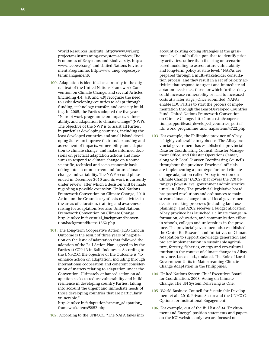**60** 

World Resources Institute, http://www.wri.org/ project/mainstreaming-ecosystem-services; The Economics of Ecoystems and Biodiversity, http:// www.teebweb.org/; and United Nations Environment Programme, http://www.unep.org/ecosystemmanagement/.

- **100.** Adaptation is identified as a priority in the original text of the United Nations Framework Convention on Climate Change, and several Articles (including 4.4, 4.8, and 4.9) recognize the need to assist developing countries to adapt through funding, technology transfer, and capacity building. In 2005, the Parties adopted the five-year "Nairobi work programme on impacts, vulnerability, and adaptation to climate change" (NWP). The objective of the NWP is to assist all Parties, in particular developing countries, including the least developed countries and small island developing States to: improve their understanding and assessment of impacts, vulnerability and adaptation to climate change; and make informed decisions on practical adaptation actions and measures to respond to climate change on a sound scientific, technical and socio-economic basis, taking into account current and future climate change and variability. The NWP second phase ended in December 2010 and its work is currently under review, after which a decision will be made regarding a possible extension. United Nations Framework Convention on Climate Change, 2010. Action on the Ground: a synthesis of activities in the areas of education, training and awarenessraising for adaptation. See also United Nations Framework Convention on Climate Change, http://unfccc.int/essential\_background/convention/background/items/1362.php.
- **101.** The Long-term Cooperative Action (LCA) Cancun Outcome is the result of three years of negotiation on the issue of adaptation that followed the adoption of the Bali Action Plan, agreed to by the Parties at COP 13 in Bali, Indonesia. According to the UNFCCC, the objective of the Outcome is "to enhance action on adaptation, including through international cooperation and coherent consideration of matters relating to adaptation under the Convention. Ultimately enhanced action on adaptation seeks to reduce vulnerability and build resilience in developing country Parties, taking into account the urgent and immediate needs of those developing countries that are particularly vulnerable."

http://unfccc.int/adaptation/cancun\_adaptation\_ framework/items/5852.php

**102.** According to the UNFCCC, "The NAPA takes into

account existing coping strategies at the grassroots level, and builds upon that to identify priority activities, rather than focusing on scenariobased modelling to assess future vulnerability and long-term policy at state level." NAPAs are prepared through a multi-stakeholder consultation process, and they result in a set of priority activities that respond to urgent and immediate adaptation needs (i.e., those for which further delay could increase vulnerability or lead to increased costs at a later stage.) Once submitted, NAPAs enable LDC Parties to start the process of implementation through the Least-Developed Countries Fund. United Nations Framework Convention on Climate Change. http://unfccc.int/cooperation\_support/least\_developed\_countries\_portal/ ldc\_work\_programme\_and\_napa/items/4722.php

- **103.** For example, the Philippine province of Albay is highly vulnerable to typhoons. The Albay provincial government has established a provincial Disaster Coordinating Council, Disaster Management Office, and Disaster Operations Center, along with Local Disaster Coordinating Councils throughout the province. Provincial officials are implementing a prototype for local climate change adaptation called "Albay in Action on Climate Change" (A2C2) that covers the 720 barangays (lowest-level government administrative units) in Albay. The provincial legislative board has passed resolutions and ordinances to mainstream climate change into all local government decision-making processes (including land use planning), and A2C2 receives a budget allocation. Albay province has launched a climate change information, education, and communication effort in schools, colleges and universities in the province. The provincial government also established the Center for Research and Initiatives on Climate Adaptation to support knowledge generation and project implementation in sustainable agriculture, forestry, fisheries, energy and eco-cultural tourism in the context of climate change in Albay province. Lasco et al., undated. The Role of Local Government Units in Mainstreaming Climate Change Adaptation in the Philippines.
- **104.** United Nations System Chief Executives Board for Coordination, 2008. Acting on Climate Change: The UN System Delivering as One.
- **105.** World Business Council for Sustainable Development et al., 2010. Private Sector and the UNFCCC: Options for Institutional Engagement.
- **106.** For example, out of the full list of 34 "Environment and Energy" position statements and papers on the ICC website, only two are focused on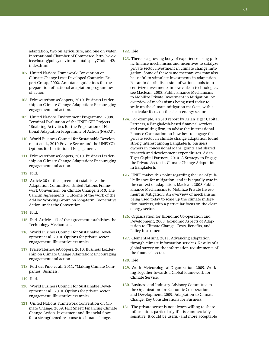adaptation, two on agriculture, and one on water. International Chamber of Commerce. http://www. iccwbo.org/policy/environment/display7/folder42/ index.html

- **107.** United Nations Framework Convention on Climate Change Least Developed Countries Expert Group, 2002. Annotated guidelines for the preparation of national adaptation programmes of action.
- **108.** PricewaterhouseCoopers, 2010. Business Leadership on Climate Change Adaptation: Encouraging engagement and action.
- **109.** United Nations Environment Programme, 2008. Terminal Evaluation of the UNEP GEF Projects "Enabling Activities for the Preparation of National Adaptation Programme of Action (NAPA)".
- **110.** World Business Council for Sustainable Development et al., 2010.Private Sector and the UNFCCC: Options for Institutional Engagement.
- **111.** PricewaterhouseCoopers, 2010. Business Leadership on Climate Change Adaptation: Encouraging engagement and action.
- **112.** Ibid.
- **113.** Article 20 of the agreement establishes the Adaptation Committee. United Nations Framework Convention, on Climate Change, 2010. The Cancun Agreements: Outcome of the work of the Ad-Hoc Working Group on long-term Cooperative Action under the Convention.
- **114.** Ibid.
- **115.** Ibid. Article 117 of the agreement establishes the Technology Mechanism.
- **116.** World Business Council for Sustainable Development et al. 2010. Options for private sector engagement: illustrative examples.
- **117.** PricewaterhouseCoopers, 2010. Business Leadership on Climate Change Adaptation: Encouraging engagement and action.
- **118.** Putt del Pino et al., 2011. "Making Climate Companies' Business."
- **119.** Ibid.
- **120.** World Business Council for Sustainable Development et al., 2010. Options for private sector engagement: illustrative examples.
- **121.** United Nations Framework Convention on Climate Change, 2009. Fact Sheet: Financing Climate Change Action. Investment and financial flows for a strengthened response to climate change.

**122.** Ibid.

- **123.** There is a growing body of experience using public finance mechanisms and incentives to catalyze private sector investment in climate change mitigation. Some of these same mechanisms may also be useful to stimulate investments in adaptation. For an in-depth discussion of various tools to incentivize investments in low-carbon technologies, see Maclean, 2008. Public Finance Mechanisms to Mobilize Private Investment in Mitigation. An overview of mechanisms being used today to scale up the climate mitigation markets, with a particular focus on the clean energy sector.
- **124.** For example, a 2010 report by Asian Tiger Capital Partners, a Bangladesh-based financial services and consulting firm, to advise the International Finance Corporation on how best to engage the private sector in climate change adaptation found strong interest among Bangladeshi business owners in concessional loans, grants and shared research and development expenditures. Asian Tiger Capital Partners, 2010. A Strategy to Engage the Private Sector in Climate Change Adaptation in Bangladesh.
- **125.** UNEP makes this point regarding the use of public finance for mitigation, and it is equally true in the context of adaptation. Maclean, 2008.Public Finance Mechanisms to Mobilize Private Investment in Mitigation. An overview of mechanisms being used today to scale up the climate mitigation markets, with a particular focus on the clean energy sector.
- **126.** Organization for Economic Co-operation and Development, 2008. Economic Aspects of Adaptation to Climate Change. Costs, Benefits, and Policy Instruments.
- **127.** Clements-Hunt, 2011. Advancing adaptation through climate information services. Results of a global survey on the information requirements of the financial sector.
- **128.** Ibid.
- **129.** World Meteorological Organization, 2009. Working Together towards a Global Framework for Climate Service.
- **130.** Business and Industry Advisory Committee to the Organization for Economic Co-operation and Development, 2009. Adaptation to Climate Change. Key Considerations for Business.
- **131.** The private sector is not always willing to share information, particularly if it is commercially sensitive. It could be useful (and more acceptable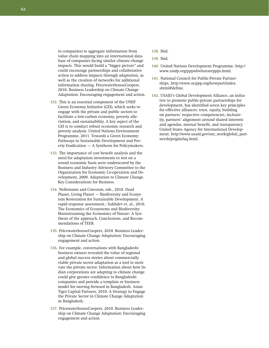to companies) to aggregate information from value chain mapping into an international database of companies facing similar climate change impacts. This would build a "bigger picture" and could encourage partnerships and collaborative action to address impacts through adaptation, as well as the creation of networks for additional information sharing. PricewaterhouseCoopers, 2010. Business Leadership on Climate Change Adaptation: Encouraging engagement and action.

- **132.** This is an essential component of the UNEP Green Economy Initiative (GEI), which seeks to engage with the private and public sectors to facilitate a low-carbon economy, poverty alleviation, and sustainability. A key aspect of the GEI is to conduct robust economic research and poverty analysis. United Nations Environment Programme, 2011. Towards a Green Economy: Pathways to Sustainable Development and Poverty Eradication — A Synthesis for Policymakers.
- **133.** The importance of cost benefit analysis and the need for adaptation investments to rest on a sound economic basis were underscored by the Business and Industry Advisory Committee to the Organization for Economic Co-operation and Development, 2009. Adaptation to Climate Change. Key Considerations for Business.
- **134.** Nellemann and Corcoran, eds., 2010. Dead Planet, Living Planet — Biodiversity and Ecosystem Restoration for Sustainable Development. A rapid response assessment.; Sukhdev et. al., 2010. The Economics of Ecosystems and Biodiversity: Mainstreaming the Economics of Nature: A Synthesis of the approach, Conclusions, and Recommendations of TEEB.
- **135.** PricewaterhouseCoopers, 2010. Business Leadership on Climate Change Adaptation: Encouraging engagement and action.
- **136.** For example, conversations with Bangladeshi business owners revealed the value of regional and global success stories about commercially viable private sector adaptation as a tool to motivate the private sector. Information about how Indian corporations are adapting to climate change could give greater confidence to Bangladeshi companies and provide a template or business model for moving forward in Bangladesh. Asian Tiger Capital Partners, 2010. A Strategy to Engage the Private Sector in Climate Change Adaptation in Bangladesh.
- **137.** PricewaterhouseCoopers, 2010. Business Leadership on Climate Change Adaptation: Encouraging engagement and action.
- **138.** Ibid.
- **139.** Ibid.
- **140.** United Nations Development Programme. http:// www.undp.org/pppsd/whatareppps.html.
- **141.** National Council for Public-Private Partnerships. http://www.ncppp.org/howpart/index. shtml#define.
- **142.** USAID's Global Development Alliance, an initiative to promote public-private partnerships for development, has identified seven key principles for effective alliances: trust, equity, building on partners' respective competencies, inclusivity, partners' alignment around shared interests and agendas, mutual benefit, and transparency. United States Agency for International Development. http://www.usaid.gov/our\_work/global\_partnerships/gda/faq.html.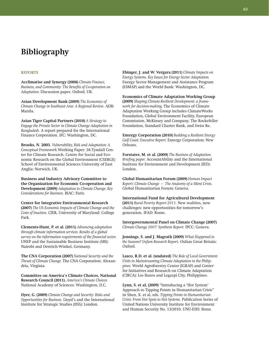# **Bibliography**

## **Reports**

**Acclimatise and Synergy (2008)** *Climate Finance, Business, and Community: The Benefits of Co-operation on Adaptation.* Discussion paper. Oxford, UK.

**Asian Development Bank (2009)** *The Economics of Climate Change in Southeast Asia: A Regional Review.* ADB: Manila.

**Asian Tiger Capital Partners (2010)** *A Strategy to Engage the Private Sector in Climate Change Adaptation in Bangladesh.* A report prepared for the International Finance Corporation. IFC: Washington, DC.

**Brooks, N. 2003.** *Vulnerability, Risk and Adaptation: A Conceptual Framework.*Working Paper: 38.Tyndall Center for Climate Research. Centre for Social and Economic Research on the Global Environment (CSERGE) School of Environmental Sciences University of East Anglia: Norwich, UK.

**Business and Industry Advisory Committee to the Organization for Economic Co-operation and Development (2009)** *Adaptation to Climate Change. Key Considerations for Business.* BIAC: Paris.

**Center for Integrative Environmental Research (2007)** *The US Economic Impacts of Climate Change and the Costs of Inaction.* CIER, University of Maryland: College Park.

**Clements-Hunt, P. et al. (2011)** *Advancing adaptation through climate information services. Results of a global survey on the information requirements of the financial sector.* UNEP and the Sustainable Business Institute (SBI): Nairobi and Oestrich-Winkel, Germany.

**The CNA Corporation (2007)** *National Security and the Threat of Climate Change.* The CNA Corporation: Alexandria, Virginia.

**Committee on America's Climate Choices, National Research Council (2011).** *America's Climate Choices.*  National Academy of Sciences: Washington, D.C.

**Dyer, G. (2009)** *Climate Change and Security: Risks and Opportunities for Business.* Lloyd's and the International Institute for Strategic Studies (IISS): London.

**Ebinger, J. and W. Vergara (2011)** *Climate Impacts on Energy Systems. Key Issues for Energy Sector Adaptation.* Energy Sector Management and Assistance Program (ESMAP) and the World Bank: Washington, DC.

**Economics of Climate Adaptation Working Group (2009)** *Shaping Climate-Resilient Development: a framework for decision-making.* The Economics of Climate Adaptation Working Group includes ClimateWorks Foundation, Global Environment Facility, European Commission, McKinsey and Company, The Rockefeller Foundation, Standard Charter Bank, and Swiss Re.

**Entergy Corporation (2010)** *Building a Resilient Energy Gulf Coast: Executive Report.* Entergy Corporation: New Orleans.

**Forstater, M. et al. (2009)** *The Business of Adaptation. Briefing paper.* AccountAbility and the International Institute for Environment and Development (IED): London.

**Global Humanitarian Forum (2009)** *Human Impact Report: Climate Change — The Anatomy of a Silent Crisis.* Global Humanitarian Forum: Geneva.

**International Fund for Agricultural Development (2011)** *Rural Poverty Report 2011.* New realities, new challenges: new opportunities for tomorrow's generation. IFAD: Rome.

**Intergovernmental Panel on Climate Change (2007)** *Climate Change 2007: Synthesis Report.* IPCC: Geneva.

**Jennings, S. and J. Magrath (2009)** *What Happened to the Seasons? Oxfam Research Report.* Oxfam Great Britain: Oxford.

**Lasco, R.D. et al. (undated)** *The Role of Local Government Units in Mainstreaming Climate Adaptation in the Philippines.* World Agroforestry Center (IGRAF) and Center for Initiatives and Research on Climate Adaptation (CIRCA): Los Banos and Legazpi City, Philippines.

**Lynn, S. et al, (2009)** "Introducing a 'Hot System' Approach to Tipping Points in Humanitarian Crisis" in Shen, X. et al, eds. *Tipping Points in Humanitarian Crisis: From Hot Spots to Hot Systems.* Publication Series of United Nations University Institute for Environment and Human Security No. 13/2010. UNU-EHS: Bonn.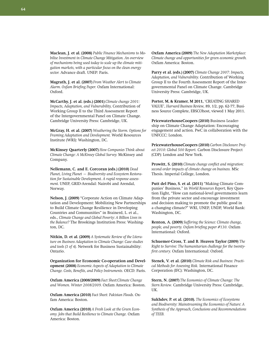**Maclean, J. et al. (2008)** *Public Finance Mechanisms to Mobilise Investment in Climate Change Mitigation. An overview of mechanisms being used today to scale up the climate mitigation markets, with a particular focus on the clean energy sector.* Advance draft. UNEP: Paris.

**Magrath, J. et al. (2007)** *From Weather Alert to Climate Alarm. Oxfam Briefing Paper.* Oxfam International: Oxford.

**McCarthy, J. et al. (eds.) (2001)** *Climate change 2001: Impacts, Adaptation, and Vulnerability,* Contribution of Working Group II to the Third Assessment Report of the Intergovernmental Panel on Climate Change. Cambridge University Press: Cambridge, UK.

**McGray, H. et al. (2007)** *Weathering the Storm. Options for Framing Adaptation and Development.* World Resources Institute (WRI): Washington, DC.

**McKinsey Quarterly (2007)** *How Companies Think about Climate Change: A McKinsey Global Survey.* McKinsey and Company.

**Nellemann, C. and E. Corcoran (eds.) (2010)** *Dead Planet, Living Planet — Biodiversity and Ecosystem Restoration for Sustainable Development. A rapid response assessment.* UNEP, GRID-Arendal: Nairobi and Arendal, Norway.

**Nelson, J. (2009)** "Corporate Action on Climate Adaptation and Development: Mobilizing New Partnerships to Build Climate Change Resilience in Developing Countries and Communities" in Brainerd, L. et al., eds., *Climate Change and Global Poverty: A Billion Lives in the Balance?* The Brookings Institution Press: Washington, DC.

**Nitkin, D. et al. (2009)** *A Systematic Review of the Literature on Business Adaptation to Climate Change: Case studies and tools (3 of 4).* Network for Business Sustainability: Ontario.

**Organization for Economic Co-operation and Development (2008)** *Economic Aspects of Adaptation to Climate Change. Costs, Benefits, and Policy Instruments.* OECD: Paris.

**Oxfam America (2008/2009)** *Fact Sheet:Climate Change and Women. Winter 2008/2009.* Oxfam America: Boston.

**Oxfam America (2010)** *Fact Sheet: Pakistan Floods.* Oxfam America: Boston.

**Oxfam America (2010)** *A Fresh Look at the Green Economy. Jobs that Build Resilience to Climate Change.* Oxfam America: Boston.

**Oxfam America (2009)** *The New Adaptation Marketplace: Climate change and opportunities for green economic growth.* Oxfam America: Boston.

**Parry et al. (eds.) (2007)** *Climate Change 2007: Impacts, Adaptation, and Vulnerability.* Contribution of Working Group II to the Fourth Assessment Report of the Intergovernmental Panel on Climate Change. Cambridge University Press: Cambridge, UK.

**Porter, M, & Kramer, M 2011,** 'CREATING SHARED VALUE', *Harvard Business Review,* 89, 1/2, pp. 62-77, Business Source Complete, EBSCOhost, viewed 1 May 2011.

**PricewaterhouseCoopers (2010)** Business Leadership on Climate Change Adaptation: Encouraging engagement and action. PwC in collaboration with the UNFCCC: London.

**PricewaterhouseCoopers (2010)** *Carbon Disclosure Project 2010: Global 500 Report.* Carbon Disclosure Project (CDP): London and New York.

**Prowitt, S. (2010)** *Climate change conflict and migration: second order impacts of climate change on business.* MSc Thesis. Imperial College, London.

**Putt del Pino, S. et al. (2011)** "Making Climate Companies' Business," in *World Resources Report,* Key Question Eight, "How can national-level governments learn from the private sector and encourage investment and decision making to promote the public good in a changing climate?" WRI, UNEP, UNDP, World Bank: Washington, DC.

**Renton, A. (2009)** *Suffering the Science: Climate change, people, and poverty. Oxfam briefing paper #130.* Oxfam International: Oxford.

**Schuemer-Cross, T. and B. Heaven Taylor (2009)** *The Right to Survive: The humanitarian challenge for the twentyfirst century.* Oxfam International: Oxford.

**Stenek, V. et al. (2010)** *Climate Risk and Business: Practical Methods for Assessing Risk.* International Finance Corporation (IFC): Washington, DC.

**Stern, N. (2007)** *The Economics of Climate Change: The Stern Review.* Cambridge University Press: Cambridge, UK.

**Sukhdev, P. et al. (2010).** *The Economics of Ecosystems and Biodiversity: Mainstreaming the Economics of Nature: A Synthesis of the Approach, Conclusions and Recommendations of TEEB.*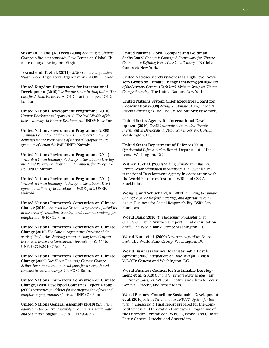**Sussman, F. and J.R. Freed (2008)** *Adapting to Climate Change: A Business Approach.* Pew Center on Global Climate Change: Arlington, Virginia.

**Townshend, T. et al. (2011)** *GLOBE Climate Legislation Study.* Globe Legislators Organization (GLOBE): London.

**United Kingdom Department for International Development (2010)** *The Private Sector in Adaptation: The Case for Action. Factsheet.* A DFID practice paper. DFID: London.

**United Nations Development Programme (2010)**  *Human Development Report 2010. The Real Wealth of Nations: Pathways to Human Development.* UNDP: New York.

**United Nations Environment Programme (2008)** *Terminal Evaluation of the UNEP GEF Projects "Enabling Activities for the Preparation of National Adaptation Programmes of Action (NAPA)".* UNEP: Nairobi.

**United Nations Environment Programme (2011)** *Towards a Green Economy: Pathways to Sustainable Development and Poverty Eradication — A Synthesis for Policymakers.* UNEP: Nairobi.

**United Nations Environment Programme (2011)** *Towards a Green Economy: Pathways to Sustainable Development and Poverty Eradication — Full Report*. UNEP: Nairobi.

**United Nations Framework Convention on Climate Change (2010)** *Action on the Ground: a synthesis of activities in the areas of education, training, and awareness-raising for adaptation.* UNFCCC: Bonn.

**United Nations Framework Convention on Climate Change (2010)** *The Cancun Agreements: Outcome of the work of the Ad Hoc Working Group on Long-term Cooperative Action under the Convention.* December 10, 2010. UNFCCC/CP/2010/7/Add.1.

**United Nations Framework Convention on Climate Change (2009)** *Fact Sheet: Financing Climate Change Action. Investment and financial flows for a strengthened response to climate change.* UNFCCC: Bonn.

**United Nations Framework Convention on Climate Change, Least Developed Countries Expert Group (2002)** *Annotated guidelines for the preparation of national adaptation programmes of action.* UNFCCC: Bonn.

**United Nations General Assembly (2010)** *Resolution adopted by the General Assembly. The human right to water and sanitation. August 3, 2010.* A/RES/64/292.

**United Nations Global Compact and Goldman Sachs (2009)** *Change is Coming: A Framework for Climate Change — a Defining Issue of the 21st Century.* UN Global Compact: New York.

**United Nations Secretary-General's High-Level Advisory Group on Climate Change Financing (2010)***Report of the Secretary-General's High-Level Advisory Group on Climate Change Financing.* The United Nations: New York.

**United Nations System Chief Executives Board for Coordination (2008)** *Acting on Climate Change: The UN System Delivering as One.* The United Nations: New York.

**United States Agency for International Development (2010)** *Credit Guarantees: Promoting Private Investment in Development. 2010 Year in Review.* USAID: Washington, DC.

**United States Department of Defense (2010)**  *Quadrennial Defense Review Report.* Department of Defense: Washington, DC.

**Withey, L. et al. (2009)** *Making Climate Your Business: Private Sector Adaptation in Southeast Asia.* Swedish International Development Agency in cooperation with the World Resources Institute (WRI) and CSR Asia: Stockholm.

**Wong, J. and Schuchard, R. (2011)** *Adapting to Climate Change: A guide for food, beverage, and agriculture companies.* Business for Social Responsibility (BSR): San Francisco.

**World Bank (2010)** *The Economics of Adaptation to Climate Change.* A Synthesis Report. Final consultation draft. The World Bank Group: Washington, DC.

**World Bank et al. (2009)** *Gender in Agriculture Sourcebook.* The World Bank Group: Washington, DC.

**World Business Council for Sustainable Development (2008)** *Adaptation: An Issue Brief for Business.*  WBCSD: Geneva and Washington, DC.

**World Business Council for Sustainable Development et al. (2010)** *Options for private sector engagement: illustrative examples.* WBCSD, Ecofys, and Climate Focus: Geneva, Utrecht, and Amsterdam.

**World Business Council for Sustainable Development et al. (2010)** *Private Sector and the UNFCCC: Options for Institutional Engagement.* Final report prepared for the Competitiveness and Innovation Framework Programme of the European Commission. WBCSD, Ecofys, and Climate Focus: Geneva, Utrecht, and Amsterdam.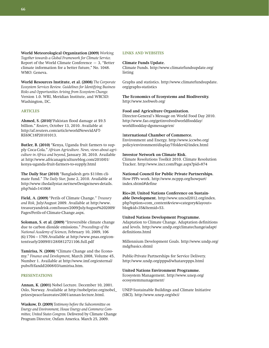**World Meteorological Organization (2009)** *Working Together towards a Global Framework for Climate Service.* Report of the World Climate Conference  $-3$ , "Better climate information for a better future," No. 1048. WMO: Geneva.

**World Resources Institute, et al. (2008)** *The Corporate Ecosystem Services Review. Guidelines for Identifying Business Risks and Opportunities Arising from Ecosystem Change.*  Version 1.0. WRI, Meridian Institute, and WBCSD: Washington, DC.

### **Articles**

**Ahmed, S. (2010)**"Pakistan flood damage at \$9.5 billion." *Reuters,* October 13, 2010. Available at http://af.reuters.com/article/worldNews/idAFT-RE69C18P20101013.

**Butler, B. (2010)** "Kenya, Uganda fruit farmers to supply Coca-Cola." *African Agriculture. News, views about agriculture in Africa and beyond,* January 30, 2010. Available at http://www.africanagricultureblog.com/2010/01/ kenya-uganda-fruit-farmers-to-supply.html

**The Daily Star (2010)** "Bangladesh gets \$110m climate fund." *The Daily Star,* June 2, 2010. Available at http://www.thedailystar.net/newDesign/news-details. php?nid=141068

**Field, A. (2009)** "Perils of Climate Change." *Treasury and Risk,* July/August 2009. Available at http://www. treasuryandrisk.com/Issues/2009/JulyAugust%202009/ Pages/Perils-of-Climate-Change.aspx.

**Soloman, S. et al. (2009)** "Irreversible climate change due to carbon dioxide emissions." *Proceedings of the National Academy of Sciences,* February 10, 2009, 106 (6):1704–1709.Available at http://www.pnas.org/content/early/2009/01/28/0812721106.full.pdf

**Tamirisa, N. (2008)** "Climate Change and the Economy." *Finance and Development,* March 2008, Volume 45, Number 1. Available at http://www.imf.org/external/ pubs/ft/fandd/2008/03/tamirisa.htm.

# **Presentations**

**Annan, K. (2001)** Nobel Lecture. December 10, 2001. Oslo, Norway. Available at http://nobelprize.org/nobel\_ prizes/peace/laureates/2001/annan-lecture.html.

**Waskow, D. (2009)** *Testimony before the Subcommittee on Energy and Environment, House Energy and Commerce Committee, United States Congress.* Delivered by Climate Change Program Director, Oxfam America. March 25, 2009.

## **Links and websites**

#### **Climate Funds Update.**

Climate Funds. http://www.climatefundsupdate.org/ listing

Graphs and statistics. http://www.climatefundsupdate. org/graphs-statistics

**The Economics of Ecosystems and Biodiversity.** http://www.teebweb.org/

### **Food and Agriculture Organization.**

Director-General's Message on World Food Day 2010. http://www.fao.org/getinvolved/worldfoodday/ worldfoodday-dgsmessage/en/

### I**nternational Chamber of Commerce.**

Environment and Energy. http://www.iccwbo.org/ policy/environment/display7/folder42/index.html

### **Investor Network on Climate Risk.**

Climate Resolutions Toolkit 2010. Climate Resolution Tracker. http://www.incr.com/Page.aspx?pid=874

**National Council for Public Private Partnerships.** How PPPs work. http://www.ncppp.org/howpart/ index.shtml#define

**Rio+20, United Nations Conference on Sustainable Development.** http://www.uncsd2012.org/index. php?option=com\_content&view=category&layout= blog&id=35&Itemid=53.

## **United Nations Development Programme.**

Adaptation to Climate Change. Adaptation definitions and levels. http://www.undp.org/climatechange/adapt/ definitions.html

Millennium Development Goals. http://www.undp.org/ mdg/basics.shtml

Public-Private Partnerships for Service Delivery. http://www.undp.org/pppsd/whatareppps.html

#### **United Nations Environment Programme.**

Ecosystem Management. http://www.unep.org/ ecosystemmanagement/

UNEP-Sustainable Buildings and Climate Initiative (SBCI). http://www.unep.org/sbci/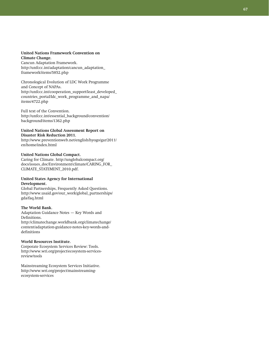### **United Nations Framework Convention on Climate Change.**

Cancun Adaptation Framework. http://unfccc.int/adaptation/cancun\_adaptation\_ framework/items/5852.php

Chronological Evolution of LDC Work Programme and Concept of NAPAs. http://unfccc.int/cooperation\_support/least\_developed\_ countries\_portal/ldc\_work\_programme\_and\_napa/ items/4722.php

Full text of the Convention. http://unfccc.int/essential\_background/convention/ background/items/1362.php

# **United Nations Global Assessment Report on Disaster Risk Reduction 2011.**

http://www.preventionweb.net/english/hyogo/gar/2011/ en/home/index.html

# **United Nations Global Compact.**

Caring for Climate. http://unglobalcompact.org/ docs/issues\_doc/Environment/climate/CARING\_FOR\_ CLIMATE\_STATEMENT\_2010.pdf.

### **United States Agency for International Development.**

Global Partnerships, Frequently Asked Questions. http://www.usaid.gov/our\_work/global\_partnerships/ gda/faq.html

# **The World Bank.**

Adaptation Guidance Notes — Key Words and Definitions.

http://climatechange.worldbank.org/climatechange/ content/adaptation-guidance-notes-key-words-anddefinitions

# **World Resources Institute.**

Corporate Ecosystem Services Review: Tools. http://www.wri.org/project/ecosystem-servicesreview/tools

Mainstreaming Ecosystem Services Initiative. http://www.wri.org/project/mainstreamingecosystem-services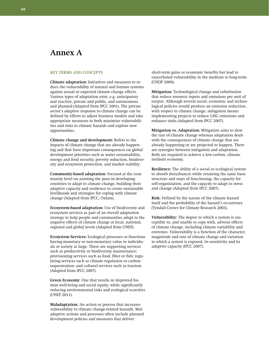# **Annex A**

### **KEY TERMS AND CONCEPTS**

**Climate adaptation:** Initiatives and measures to reduce the vulnerability of natural and human systems against actual or expected climate change effects. Various types of adaptation exist, e.g. anticipatory and reactive, private and public, and autonomous and planned (Adapted from IPCC 2001). The private sector's adaptive response to climate change can be defined by efforts to adjust business models and take appropriate measures to both minimize vulnerabilities and risks to climate hazards and explore new opportunities.

**Climate change and development:** Refers to the impacts of climate change that are already happening and that have important consequences on global development priorities such as water sustainability, energy and food security, poverty reduction, biodiversity and ecosystem protection, and market stability.

**Community-based adaptation:** Focused at the community level on assisting the poor in developing countries to adapt to climate change, building their adaptive capacity and resilience to create sustainable livelihoods and strategies for coping with climate change (Adapted from IPCC, Oxfam).

**Ecosystem-based adaptation:** Use of biodiversity and ecosystem services as part of an overall adaptation strategy to help people and communities adapt to the negative effects of climate change at local, national, regional and global levels (Adapted from UNEP).

**Ecosystem Services:** Ecological processes or functions having monetary or non-monetary value to individuals or society at large. There are supporting services such as productivity or biodiversity maintenance; provisioning services such as food, fiber or fish; regulating services such as climate regulation or carbon sequestration; and cultural services such as tourism. (Adapted from IPCC 2007).

**Green Economy:** One that results in improved human well-being and social equity, while significantly reducing environmental risks and ecological scarcities (UNEP 2011).

**Maladaptation:** An action or process that increases vulnerability to climate change-related hazards. Maladaptive actions and processes often include planned development policies and measures that deliver

short-term gains or economic benefits but lead to exacerbated vulnerability in the medium to long-term (UNDP 2009).

**Mitigation:** Technological change and substitution that reduce resource inputs and emissions per unit of output. Although several social, economic and technological policies would produce an emission reduction, with respect to climate change, mitigation means implementing projects to reduce GHG emissions and enhance sinks (Adapted from IPCC 2007).

**Mitigation vs. Adaptation:** Mitigation aims to slow the rate of climate change whereas adaptation deals with the consequences of climate change that are already happening or are projected to happen. There are synergies between mitigation and adaptation. Both are required to achieve a low-carbon, climate resilient economy.

**Resilience:** The ability of a social or ecological system to absorb disturbances while retaining the same basic structure and ways of functioning, the capacity for self-organization, and the capacity to adapt to stress and change (Adapted from IPCC 2007).

**Risk:** Defined by the nature of the climate hazard itself and the probability of the hazard's occurrence (Tyndall Center for Climate Research 2003).

**Vulnerability:** The degree to which a system is susceptible to, and unable to cope with, adverse effects of climate change, including climate variability and extremes. Vulnerability is a function of the character, magnitude and rate of climate change and variation to which a system is exposed, its sensitivity and its adaptive capacity (IPCC 2007).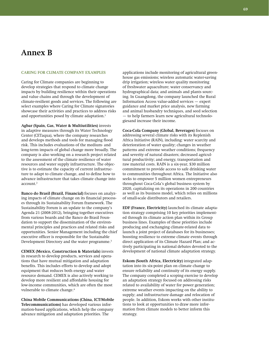# **Annex B**

### **CARING FOR CLIMATE COMPANY EXAMPLES**

Caring for Climate companies are beginning to develop strategies that respond to climate change impacts by building resilience within their operations and value chains and through the development of climate-resilient goods and services. The following are select examples where Caring for Climate signatories showcase their activities and practices to address risks and opportunities posed by climate adaptation.<sup>1</sup>

**Agbar (Spain, Gas, Water & Multiutilities)** invests in adaptive measures through its Water Technology Center (CETaqua), where the company researches and develops methods and tools for managing flood risk. This includes evaluations of the medium- and long-term impacts of global change more broadly. The company is also working on a research project related to the assessment of the climate resilience of water resources and water supply infrastructure. The objective is to estimate the capacity of current infrastructure to adapt to climate change, and to define how to advance infrastructure that takes climate change into account.<sup>2</sup>

**Banco do Brasil (Brazil, Financial)** focuses on analyzing impacts of climate change on its financial processes through its Sustainability Forum framework. The Sustainability Forum is an update to the company's Agenda 21 (2008-2012), bringing together executives from various boards and the Banco do Brasil Foundation to support the dissemination of the environmental principles and practices and related risks and opportunities. Senior Management including the chief executive officer is responsible for the Sustainable Development Directory and the water programme.<sup>3</sup>

**CEMEX (Mexico, Construction & Materials)** invests in research to develop products, services and operations that have mutual mitigation and adaptation benefits. This includes efforts to develop and adopt equipment that reduces both energy and water resource demand. CEMEX is also actively working to develop more resilient and affordable housing for low-income communities, which are often the most vulnerable to climate change.<sup>4</sup>

**China Mobile Communications (China, ICT/Mobile Telecommunications)** has developed various information-based applications, which help the company advance mitigation and adaptation priorities. The

applications include monitoring of agricultural greenhouse gas emissions; wireless automatic water-saving drip irrigation; wireless water quality monitoring of freshwater aquaculture; water conservancy and hydrographical data; and animals and plants sourcing. In Guangdong, the company launched the Rural Information Access value-added services — expert guidance and market price analysis, new farming and animal husbandry techniques, and seed selection — to help farmers learn new agricultural technologiesand increase their income.

**Coca-Cola Company (Global, Beverages)** focuses on addressing several climate risks with its Replenish Africa Initiative (RAIN), including: water scarcity and deterioration of water quality; changes in weather patterns and extreme weather conditions; frequency and severity of natural disasters; decreased agricultural productivity; and energy, transportation and raw material costs. RAIN is a six-year, \$30 million commitment to provide access to safe drinking water to communities throughout Africa. The Initiative also seeks to empower 5 million women entrepreneurs throughout Coca-Cola's global business system by 2020, capitalizing on its operations in 200 countries as well as its business model, which relies on millions of small-scale distributors and retailers.

**EDF (France, Electricity)** launched its climate adaptation strategy comprising 10 key priorities implemented through its climate action plan within its Group business lines. Examples of these priorities include producing and exchanging climate-related data to launch a joint project of databases for its businesses; boosting resilience to extreme climate events through direct application of its Climate Hazard Plan; and actively participating in national debates devoted to the development of national climate adaptation strategy.

**Eskom (South Africa, Electricity)** integrated adaptation into its six-point plan on climate change to ensure reliability and continuity of its energy supply. The company completed a scoping exercise to develop an adaptation strategy focused on addressing risks related to availability of water for power generation; extreme weather events impacting on the ability to supply; and infrastructure damage and relocation of people. In addition, Eskom works with other institutions to look at opportunities to draw more information from climate models to better inform this strategy.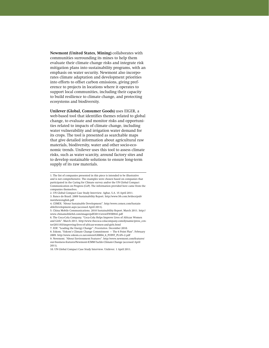**Newmont (United States, Mining)** collaborates with communities surrounding its mines to help them evaluate their climate change risks and integrate risk mitigation plans into sustainability programs, with an emphasis on water security. Newmont also incorporates climate adaptation and development priorities into efforts to offset carbon emissions, giving preference to projects in locations where it operates to support local communities, including their capacity to build resilience to climate change, and protecting ecosystems and biodiversity.

**Unilever (Global, Consumer Goods)** uses EIGER, a web-based tool that identifies themes related to global change, to evaluate and monitor risks and opportunities related to impacts of climate change, including water vulnerability and irrigation water demand for its crops. The tool is presented as searchable maps that give detailed information about agricultural raw materials, biodiversity, water and other socio-economic trends. Unilever uses this tool to assess climate risks, such as water scarcity, around factory sites and to develop sustainable solutions to ensure long-term supply of its raw materials.

<sup>1.</sup> The list of companies presented in this piece is intended to be illustrative and is not comprehensive. The examples were chosen based on companies that participated in the Caring for Climate survey and/or the UN Global Compact Communication on Progress (CoP). The information provided here came from the companies themselves.

<sup>2.</sup> UN Global Compact Case Study Interview. Agbar, S.A. 15 April 2011.

<sup>3.</sup> Banco do Brasil. 2009 Sustainability Report. http://www.bb.com.br/docs/pub/ inst/dwn/english.pdf

<sup>4.</sup> CEMEX. "About Sustainable Development". http://www.cemex.com/SustainableDevelopment.aspx (accessed April 2011).

<sup>5.</sup> China Mobile Communications. 2010 Sustainability Report. March 2011. http:// www.chinamobileltd.com/images/pdf/2011/sr/en/EW00941.pdf

<sup>6.</sup> The Coca-Cola Company. "Coca-Cola Helps Improve Lives of African Women and Girls". March 2011. http://www.thecoca-colacompany.com/dynamic/press\_center/2011/03/improving-lives-of-african-women-and-girls.html

<sup>7.</sup> EDF. "Leading the Energy Change". *Presentation.* December 2010.

<sup>8.</sup> Eskom. "Eskom's Climate Change Commitment – The 6 Point Plan". February 2009. http://www.eskom.co.za/content/GI0004\_6\_POINT\_PLAN~2.pdf

<sup>9.</sup> Newmont. "About Environment Features". http://www.newmont.com/features/ our-business-features/Newmont-ICMM-Tackle-Climate-Change (accessed April 2011).

<sup>10.</sup> UN Global Compact Case Study Interview. Unilever. 1 April 2011.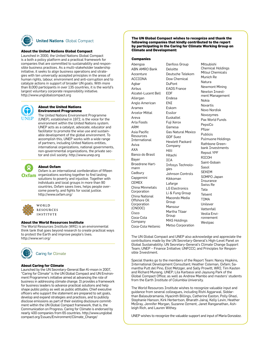

# **United Nations Global Compact**

#### **About the United Nations Global Compact**

Launched in 2000, the United Nations Global Compact is a both a policy platform and a practical framework for companies that are committed to sustainability and responsible business practices. As a multi-stakeholder leadership initiative, it seeks to align business operations and strategies with ten universally accepted principles in the areas of human rights, labour, environment and anti-corruption and to catalyze actions in support of broader UN goals. With more than 8,000 participants in over 135 countries, it is the world's largest voluntary corporate responsibility initiative. http://www.unglobalcompact.org



#### **About the United Nations Environment Programme**

The United Nations Environment Programme (UNEP), established in 1972, is the voice for the environment within the United Nations system. UNEP acts as a catalyst, advocate, educator and facilitator to promote the wise use and sustainable development of the global environment. To accomplish this, UNEP works with a wide range of partners, including United Nations entities, international organizations, national governments, non-governmental organizations, the private sector and civil society. http://www.unep.org



## **About Oxfam**

Oxfam is an international confederation of fifteen organizations working together to find lasting solutions to poverty and injustice. Together with individuals and local groups in more than 90 countries, Oxfam saves lives, helps people overcome poverty, and fights for social justice. http://www.oxfam.org/





The World Resources Institute (WRI) is an environmental think tank that goes beyond research to create practical ways to protect the Earth and improve people's lives. http://www.wri.org/



Caring for Climate

#### **About Caring for Climate**

Launched by the UN Secretary-General Ban Ki-moon in 2007, "Caring for Climate" is the UN Global Compact and UN Environment Programme's initiative aimed at advancing the role of business in addressing climate change. It provides a framework for business leaders to advance practical solutions and help shape public policy as well as public attitudes. Chief executive officers who support the statement are prepared to set goals, develop and expand strategies and practices, and to publicly disclose emissions as part of their existing disclosure commitment within the UN Global Compact framework, that is, the Communication on Progress. Caring for Climate is endorsed by nearly 400 companies from 65 countries. http://www.unglobal compact.org/Issues/Environment/Climate\_Change/

**The UN Global Compact wishes to recognize and thank the following companies that kindly contributed to the report by participating in the Caring for Climate Working Group on Climate and Development:** 

#### **Companies**

Abengoa ABN AMRO Bank Accenture ACCIONA Aghar Airbus Alcatel-Lucent Bell Allergan Anglo American Aramex Arcelor Mittal Areva Arla Foods ARM Asia Pacific Resources International Aviva AXA Banco do Brasil Bayer Broedrene Hartmann **Cadbury Capgemini CEMEX** China Minmetals Corporation China National Offshore Oil Corporation (CNOOC) Cisco Coca-Cola Company Coca-Cola Hellenic

Danfoss Group Deloitte Deutsche Telekom Dow Chemical DuPont EADS France EDF Endesa ENI Eskom Essilor Euskaltel Fuji Xerox Gamesa Gas Natural Mexico GDF Suez Hewlett Packard Company Hilti Hitachi ICA Infosys Technologies Johnson Controls Kikkoman Lafarge LG Electronics Li & Fung Group Macondo Media Group Mansour Martha Tilaar Group MAS Holdings Metso Corporation

Mitsubishi Chemical Holdings Mitsui Chemicals Munich Re Natura Newmont Mining Newton Investment Management Nokia Novartis Novo Nordisk Novozymes Pax World Funds PepsiCo Pfizer Publicis Pulmuone Holdings Rathbone Greenbank Investments Repsol YPF RICOH Saint-Gobain Sasol SEKEM SOMPO Japan Insurance Swiss Re Tata Telvent TIMA Unilever Vattenfall Veolia Environnement Westpac

The UN Global Compact and UNEP also acknowledge and appreciate the contributions made by the UN Secretary-General's High-Level Panel on Global Sustainability; UN Secretary-General's Climate Change Support Team; UNEP – Finance Initiative; UNFCCC; and Principles for Responsible Investment.

Special thanks go to the members of the Report Team: Nancy Hopkins, International Development Consultant; Heather Coleman, Oxfam; Samantha Putt del Pino, Eliot Metzger, and Sally Prowitt, WRI; Tim Kasten and Richard Munang, UNEP; Lila Karbassi and Jayoung Park of the Global Compact Office; as well as Andrew Mambo and masters' students from the Earth Institute of Columbia University.

The World Resources Institute wishes to recognize valuable input and guidance from several colleagues, including Rishi Aggarwal, Siddarthan Balasubramania, Hyacinth Billings, Catherine Easton, Polly Ghazi, Stephanie Hanson, Kirk Herbertson, Bharath Jairaj, Kelly Levin, Heather McGray, Jennifer Morgan, Suzanne Ozment, Janet Ranganathan, Ashleigh Rich, and Lauren Withey.

UNEP wishes to recognize the valuable support and input of Maria Gonzalez.